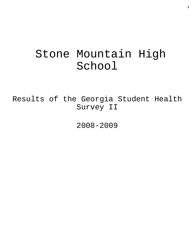# Stone Mountain High School

Results of the Georgia Student Health Survey II

2008-2009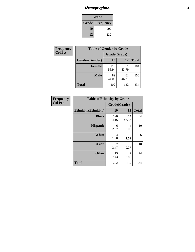## *Demographics* **2**

| Grade                    |     |  |  |  |
|--------------------------|-----|--|--|--|
| <b>Grade   Frequency</b> |     |  |  |  |
| 10                       | 202 |  |  |  |
| 12                       | 132 |  |  |  |

| <b>Frequency</b> | <b>Table of Gender by Grade</b> |              |             |              |  |  |
|------------------|---------------------------------|--------------|-------------|--------------|--|--|
| <b>Col Pct</b>   |                                 | Grade(Grade) |             |              |  |  |
|                  | Gender(Gender)                  | 10           | 12          | <b>Total</b> |  |  |
|                  | <b>Female</b>                   | 113<br>55.94 | 71<br>53.79 | 184          |  |  |
|                  | <b>Male</b>                     | 89<br>44.06  | 61<br>46.21 | 150          |  |  |
|                  | <b>Total</b>                    | 202          | 132         | 334          |  |  |

| Frequency<br>Col Pct |
|----------------------|
|                      |

| <b>Table of Ethnicity by Grade</b> |              |              |              |  |  |  |
|------------------------------------|--------------|--------------|--------------|--|--|--|
|                                    | Grade(Grade) |              |              |  |  |  |
| <b>Ethnicity</b> (Ethnicity)       | 10           | 12           | <b>Total</b> |  |  |  |
| <b>Black</b>                       | 170<br>84.16 | 114<br>86.36 | 284          |  |  |  |
| <b>Hispanic</b>                    | 6<br>2.97    | 4<br>3.03    | 10           |  |  |  |
| White                              | 4<br>1.98    | 2<br>1.52    | 6            |  |  |  |
| <b>Asian</b>                       | 7<br>3.47    | 3<br>2.27    | 10           |  |  |  |
| <b>Other</b>                       | 15<br>7.43   | 9<br>6.82    | 24           |  |  |  |
| <b>Total</b>                       | 202          | 132          | 334          |  |  |  |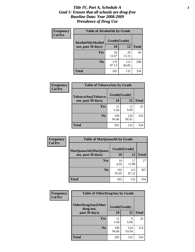#### *Title IV, Part A, Schedule A* **3** *Goal 1: Ensure that all schools are drug-free Baseline Data: Year 2008-2009 Prevalence of Drug Use*

| Frequency<br><b>Col Pct</b> | <b>Table of AlcoholAlt by Grade</b> |              |              |              |  |
|-----------------------------|-------------------------------------|--------------|--------------|--------------|--|
|                             | AlcoholAlt(Alcohol                  | Grade(Grade) |              |              |  |
|                             | use, past 30 days)                  | <b>10</b>    | 12           | <b>Total</b> |  |
|                             | <b>Yes</b>                          | 26<br>12.87  | 20<br>15.15  | 46           |  |
|                             | N <sub>0</sub>                      | 176<br>87.13 | 112<br>84.85 | 288          |  |
|                             | Total                               | 202          | 132          | 334          |  |

| Frequency<br><b>Col Pct</b> | <b>Table of TobaccoAny by Grade</b> |              |              |              |  |  |
|-----------------------------|-------------------------------------|--------------|--------------|--------------|--|--|
|                             | TobaccoAny(Tobacco                  | Grade(Grade) |              |              |  |  |
|                             | use, past 30 days)                  | 10           | 12           | <b>Total</b> |  |  |
|                             | Yes                                 | 12<br>5.94   | 12<br>9.09   | 24           |  |  |
|                             | N <sub>0</sub>                      | 190<br>94.06 | 120<br>90.91 | 310          |  |  |
|                             | <b>Total</b>                        | 202          | 132          | 334          |  |  |

| Frequency      | <b>Table of MarijuanaAlt by Grade</b> |              |              |              |  |
|----------------|---------------------------------------|--------------|--------------|--------------|--|
| <b>Col Pct</b> | MarijuanaAlt(Marijuana                | Grade(Grade) |              |              |  |
|                | use, past 30 days)                    | 10           | 12           | <b>Total</b> |  |
|                | <b>Yes</b>                            | 10<br>4.95   | 17<br>12.88  | 27           |  |
|                | N <sub>0</sub>                        | 192<br>95.05 | 115<br>87.12 | 307          |  |
|                | <b>Total</b>                          | 202          | 132          | 334          |  |

| Frequency<br><b>Col Pct</b> | <b>Table of OtherDrugAny by Grade</b>  |              |              |              |  |
|-----------------------------|----------------------------------------|--------------|--------------|--------------|--|
|                             | <b>OtherDrugAny(Other</b><br>drug use, | Grade(Grade) |              |              |  |
|                             | past 30 days)                          | 10           | 12           | <b>Total</b> |  |
|                             | Yes                                    | 12<br>5.94   | 8<br>6.06    | 20           |  |
|                             | N <sub>0</sub>                         | 190<br>94.06 | 124<br>93.94 | 314          |  |
|                             | <b>Total</b>                           | 202          | 132          | 334          |  |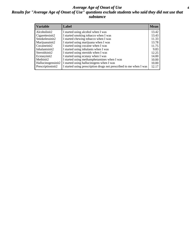#### *Average Age of Onset of Use* **4** *Results for "Average Age of Onset of Use" questions exclude students who said they did not use that substance*

| <b>Variable</b>       | Label                                                              | <b>Mean</b> |
|-----------------------|--------------------------------------------------------------------|-------------|
| Alcoholinit2          | I started using alcohol when I was                                 | 13.42       |
| Cigarettesinit2       | I started smoking tobacco when I was                               | 13.43       |
| Smokelessinit2        | I started chewing tobacco when I was                               | 11.33       |
| Marijuanainit2        | I started using marijuana when I was                               | 13.78       |
| Cocaineinit2          | I started using cocaine when I was                                 | 11.75       |
| Inhalantsinit2        | I started using inhalants when I was                               | 9.83        |
| Steroidsinit2         | I started using steroids when I was                                | 12.25       |
| Ecstasyinit2          | I started using ecstasy when I was                                 | 14.00       |
| Methinit <sub>2</sub> | I started using methamphetamines when I was                        | 10.00       |
| Hallucinogensinit2    | I started using hallucinogens when I was                           | 10.00       |
| Prescriptioninit2     | I started using prescription drugs not prescribed to me when I was | 12.17       |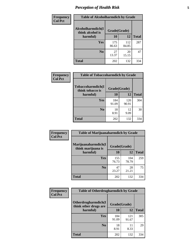### *Perception of Health Risk* **5**

| <b>Frequency</b> | <b>Table of Alcoholharmdich by Grade</b> |              |              |              |  |
|------------------|------------------------------------------|--------------|--------------|--------------|--|
| <b>Col Pct</b>   | Alcoholharmdich(I<br>think alcohol is    | Grade(Grade) |              |              |  |
|                  | harmful)                                 | 10           | 12           | <b>Total</b> |  |
|                  | <b>Yes</b>                               | 175<br>86.63 | 112<br>84.85 | 287          |  |
|                  | N <sub>0</sub>                           | 27<br>13.37  | 20<br>15.15  | 47           |  |
|                  | <b>Total</b>                             | 202          | 132          | 334          |  |

| <b>Frequency</b> | <b>Table of Tobaccoharmdich by Grade</b> |              |              |              |
|------------------|------------------------------------------|--------------|--------------|--------------|
| <b>Col Pct</b>   | Tobaccoharmdich(I<br>think tobacco is    | Grade(Grade) |              |              |
|                  | harmful)                                 | 10           | 12           | <b>Total</b> |
|                  | Yes                                      | 184<br>91.09 | 120<br>90.91 | 304          |
|                  | N <sub>0</sub>                           | 18<br>8.91   | 12<br>9.09   | 30           |
|                  | <b>Total</b>                             | 202          | 132          | 334          |

| Frequency      | <b>Table of Marijuanaharmdich by Grade</b>                |              |              |              |  |  |
|----------------|-----------------------------------------------------------|--------------|--------------|--------------|--|--|
| <b>Col Pct</b> | Marijuanaharmdich(I<br>Grade(Grade)<br>think marijuana is |              |              |              |  |  |
|                | harmful)                                                  | 10           | 12           | <b>Total</b> |  |  |
|                | <b>Yes</b>                                                | 155<br>76.73 | 104<br>78.79 | 259          |  |  |
|                | N <sub>0</sub>                                            | 47<br>23.27  | 28<br>21.21  | 75           |  |  |
|                | <b>Total</b>                                              | 202          | 132          | 334          |  |  |

| <b>Frequency</b> | <b>Table of Otherdrugharmdich by Grade</b>   |              |              |              |  |  |  |
|------------------|----------------------------------------------|--------------|--------------|--------------|--|--|--|
| <b>Col Pct</b>   | Otherdrugharmdich(I<br>think other drugs are | Grade(Grade) |              |              |  |  |  |
|                  | harmful)                                     | 10           | 12           | <b>Total</b> |  |  |  |
|                  | <b>Yes</b>                                   | 184<br>91.09 | 121<br>91.67 | 305          |  |  |  |
|                  | N <sub>0</sub>                               | 18<br>8.91   | 8.33         | 29           |  |  |  |
|                  | <b>Total</b>                                 | 202          | 132          | 334          |  |  |  |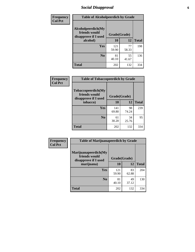### *Social Disapproval* **6**

| Frequency      | <b>Table of Alcoholpeerdich by Grade</b>                    |              |             |              |  |  |
|----------------|-------------------------------------------------------------|--------------|-------------|--------------|--|--|
| <b>Col Pct</b> | Alcoholpeerdich(My<br>friends would<br>disapprove if I used | Grade(Grade) |             |              |  |  |
|                | alcohol)                                                    | 10           | 12          | <b>Total</b> |  |  |
|                | <b>Yes</b>                                                  | 121<br>59.90 | 77<br>58.33 | 198          |  |  |
|                | N <sub>0</sub>                                              | 81<br>40.10  | 55<br>41.67 | 136          |  |  |
|                | <b>Total</b>                                                | 202          | 132         | 334          |  |  |

| <b>Frequency</b> |
|------------------|
| <b>Col Pct</b>   |

| <b>Table of Tobaccopeerdich by Grade</b>                    |              |             |              |  |  |  |
|-------------------------------------------------------------|--------------|-------------|--------------|--|--|--|
| Tobaccopeerdich(My<br>friends would<br>disapprove if I used | Grade(Grade) |             |              |  |  |  |
| tobacco)                                                    | 10           | 12          | <b>Total</b> |  |  |  |
| Yes                                                         | 141<br>69.80 | 98<br>74.24 | 239          |  |  |  |
| N <sub>0</sub>                                              | 61<br>30.20  | 34<br>25.76 | 95           |  |  |  |
| <b>Total</b>                                                | 202          | 132         | 334          |  |  |  |

| <b>Frequency</b> | <b>Table of Marijuanapeerdich by Grade</b>                    |              |             |              |  |  |  |
|------------------|---------------------------------------------------------------|--------------|-------------|--------------|--|--|--|
| <b>Col Pct</b>   | Marijuanapeerdich(My<br>friends would<br>disapprove if I used | Grade(Grade) |             |              |  |  |  |
|                  | marijuana)                                                    | 10           | 12          | <b>Total</b> |  |  |  |
|                  | <b>Yes</b>                                                    | 121<br>59.90 | 83<br>62.88 | 204          |  |  |  |
|                  | N <sub>0</sub>                                                | 81<br>40.10  | 49<br>37.12 | 130          |  |  |  |
|                  | <b>Total</b>                                                  | 202          | 132         | 334          |  |  |  |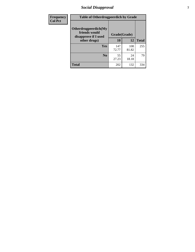### *Social Disapproval* **7**

| Frequency      | <b>Table of Otherdrugpeerdich by Grade</b>                    |              |              |              |  |  |  |
|----------------|---------------------------------------------------------------|--------------|--------------|--------------|--|--|--|
| <b>Col Pct</b> | Otherdrugpeerdich(My<br>friends would<br>disapprove if I used | Grade(Grade) |              |              |  |  |  |
|                | other drugs)                                                  |              | 12           | <b>Total</b> |  |  |  |
|                | Yes                                                           | 147<br>72.77 | 108<br>81.82 | 255          |  |  |  |
|                | N <sub>0</sub>                                                | 55<br>27.23  | 24<br>18.18  | 79           |  |  |  |
|                | <b>Total</b>                                                  | 202          | 132          | 334          |  |  |  |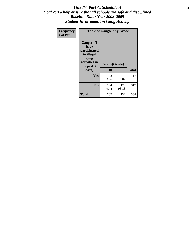#### Title IV, Part A, Schedule A **8** *Goal 2: To help ensure that all schools are safe and disciplined Baseline Data: Year 2008-2009 Student Involvement in Gang Activity*

| Frequency      |                                                                                                   | <b>Table of Gangself by Grade</b> |              |              |
|----------------|---------------------------------------------------------------------------------------------------|-----------------------------------|--------------|--------------|
| <b>Col Pct</b> | Gangself(I<br>have<br>participated<br>in illegal<br>gang<br>activities in<br>the past 30<br>days) | Grade(Grade)<br>10                | 12           | <b>Total</b> |
|                | Yes                                                                                               | 8<br>3.96                         | 9<br>6.82    | 17           |
|                | N <sub>0</sub>                                                                                    | 194<br>96.04                      | 123<br>93.18 | 317          |
|                | <b>Total</b>                                                                                      | 202                               | 132          | 334          |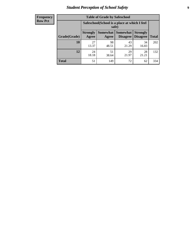### *Student Perception of School Safety* **9**

| <b>Frequency</b><br>Row Pct |
|-----------------------------|
|                             |

| <b>Table of Grade by Safeschool</b> |                                                                                                                          |             |             |             |     |  |  |
|-------------------------------------|--------------------------------------------------------------------------------------------------------------------------|-------------|-------------|-------------|-----|--|--|
|                                     | Safeschool (School is a place at which I feel<br>safe)                                                                   |             |             |             |     |  |  |
| Grade(Grade)                        | Somewhat Somewhat<br><b>Strongly</b><br><b>Strongly</b><br><b>Disagree</b><br>Agree<br>Disagree<br><b>Total</b><br>Agree |             |             |             |     |  |  |
| 10                                  | 27<br>13.37                                                                                                              | 98<br>48.51 | 43<br>21.29 | 34<br>16.83 | 202 |  |  |
| 12                                  | 24<br>18.18                                                                                                              | 51<br>38.64 | 29<br>21.97 | 28<br>21.21 | 132 |  |  |
| <b>Total</b>                        | 51                                                                                                                       | 149         | 72          | 62          | 334 |  |  |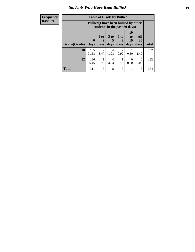#### *Students Who Have Been Bullied* **10**

| <b>Frequency</b> | <b>Table of Grade by Bullied</b> |              |                                                                               |                 |                        |                                   |                   |              |
|------------------|----------------------------------|--------------|-------------------------------------------------------------------------------|-----------------|------------------------|-----------------------------------|-------------------|--------------|
| <b>Row Pct</b>   |                                  |              | <b>Bullied</b> (I have been bullied by other<br>students in the past 30 days) |                 |                        |                                   |                   |              |
|                  | Grade(Grade)                     | $\mathbf{0}$ | 1 or<br>2                                                                     | 3 <sub>to</sub> | 6 to<br>9              | <b>10</b><br>t <sub>0</sub><br>19 | All<br>30<br>days | <b>Total</b> |
|                  |                                  | <b>Days</b>  | days                                                                          | days            | days                   | days                              |                   |              |
|                  | 10                               | 185<br>91.58 | 7<br>3.47                                                                     | 4<br>1.98       | $\mathfrak{D}$<br>0.99 | 0.50                              | 3<br>1.49         | 202          |
|                  | 12                               | 126<br>95.45 | 0.76                                                                          | 4<br>3.03       | 0.76                   | 0<br>0.00                         | $\Omega$<br>0.00  | 132          |
|                  | <b>Total</b>                     | 311          | 8                                                                             | 8               | 3                      |                                   | 3                 | 334          |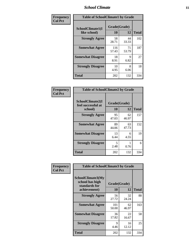### *School Climate* **11**

| <b>Frequency</b> | <b>Table of SchoolClimate1 by Grade</b> |                    |             |              |  |
|------------------|-----------------------------------------|--------------------|-------------|--------------|--|
| <b>Col Pct</b>   | SchoolClimate1(I<br>like school)        | Grade(Grade)<br>10 | 12          | <b>Total</b> |  |
|                  | <b>Strongly Agree</b>                   | 58<br>28.71        | 44<br>33.33 | 102          |  |
|                  | <b>Somewhat Agree</b>                   | 116<br>57.43       | 71<br>53.79 | 187          |  |
|                  | <b>Somewhat Disagree</b>                | 18<br>8.91         | 9<br>6.82   | 27           |  |
|                  | <b>Strongly Disagree</b>                | 10<br>4.95         | 8<br>6.06   | 18           |  |
|                  | <b>Total</b>                            | 202                | 132         | 334          |  |

| <b>Frequency</b> |  |
|------------------|--|
| <b>Col Pct</b>   |  |

|                                                   | <b>Table of SchoolClimate2 by Grade</b> |                    |              |  |  |
|---------------------------------------------------|-----------------------------------------|--------------------|--------------|--|--|
| SchoolClimate2(I<br>feel successful at<br>school) | 10                                      | Grade(Grade)<br>12 | <b>Total</b> |  |  |
| <b>Strongly Agree</b>                             | 95<br>47.03                             | 62<br>46.97        | 157          |  |  |
| <b>Somewhat Agree</b>                             | 89<br>44.06                             | 63<br>47.73        | 152          |  |  |
| <b>Somewhat Disagree</b>                          | 13<br>6.44                              | 6<br>4.55          | 19           |  |  |
| <b>Strongly Disagree</b>                          | 5<br>2.48                               | 0.76               | 6            |  |  |
| Total                                             | 202                                     | 132                | 334          |  |  |

| Frequency      | <b>Table of SchoolClimate3 by Grade</b>                               |                    |             |              |  |
|----------------|-----------------------------------------------------------------------|--------------------|-------------|--------------|--|
| <b>Col Pct</b> | SchoolClimate3(My<br>school has high<br>standards for<br>achievement) | Grade(Grade)<br>10 | 12          | <b>Total</b> |  |
|                |                                                                       |                    |             |              |  |
|                | <b>Strongly Agree</b>                                                 | 56<br>27.72        | 32<br>24.24 | 88           |  |
|                | <b>Somewhat Agree</b>                                                 | 101<br>50.00       | 62<br>46.97 | 163          |  |
|                | <b>Somewhat Disagree</b>                                              | 36<br>17.82        | 22<br>16.67 | 58           |  |
|                | <b>Strongly Disagree</b>                                              | 9<br>4.46          | 16<br>12.12 | 25           |  |
|                | Total                                                                 | 202                | 132         | 334          |  |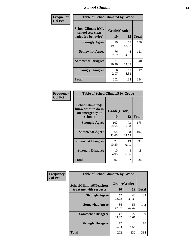### *School Climate* **12**

| Frequency      | <b>Table of SchoolClimate4 by Grade</b>                       |                    |             |              |
|----------------|---------------------------------------------------------------|--------------------|-------------|--------------|
| <b>Col Pct</b> | SchoolClimate4(My<br>school sets clear<br>rules for behavior) | Grade(Grade)<br>10 | 12          | <b>Total</b> |
|                | <b>Strongly Agree</b>                                         | 99<br>49.01        | 57<br>43.18 | 156          |
|                | <b>Somewhat Agree</b>                                         | 76<br>37.62        | 45<br>34.09 | 121          |
|                | <b>Somewhat Disagree</b>                                      | 21<br>10.40        | 19<br>14.39 | 40           |
|                | <b>Strongly Disagree</b>                                      | 6<br>2.97          | 11<br>8.33  | 17           |
|                | <b>Total</b>                                                  | 202                | 132         | 334          |

| <b>Table of SchoolClimate5 by Grade</b>                   |              |             |              |  |  |
|-----------------------------------------------------------|--------------|-------------|--------------|--|--|
| SchoolClimate5(I<br>know what to do in<br>an emergency at | Grade(Grade) |             |              |  |  |
| school)                                                   | 10           | 12          | <b>Total</b> |  |  |
| <b>Strongly Agree</b>                                     | 102<br>50.50 | 73<br>55.30 | 175          |  |  |
| <b>Somewhat Agree</b>                                     | 68<br>33.66  | 38<br>28.79 | 106          |  |  |
| <b>Somewhat Disagree</b>                                  | 22<br>10.89  | 13<br>9.85  | 35           |  |  |
| <b>Strongly Disagree</b>                                  | 10<br>4.95   | 8<br>6.06   | 18           |  |  |
| Total                                                     | 202          | 132         | 334          |  |  |

| Frequency      | <b>Table of SchoolClimate6 by Grade</b>                  |                    |             |              |
|----------------|----------------------------------------------------------|--------------------|-------------|--------------|
| <b>Col Pct</b> | <b>SchoolClimate6(Teachers</b><br>treat me with respect) | Grade(Grade)<br>10 | 12          | <b>Total</b> |
|                | <b>Strongly Agree</b>                                    | 57<br>28.22        | 48<br>36.36 | 105          |
|                | <b>Somewhat Agree</b>                                    | 86<br>42.57        | 56<br>42.42 | 142          |
|                | <b>Somewhat Disagree</b>                                 | 47<br>23.27        | 22<br>16.67 | 69           |
|                | <b>Strongly Disagree</b>                                 | 12<br>5.94         | 6<br>4.55   | 18           |
|                | <b>Total</b>                                             | 202                | 132         | 334          |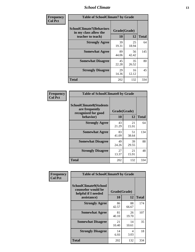### *School Climate* **13**

| Frequency      | <b>Table of SchoolClimate7 by Grade</b>                                       |                           |             |              |
|----------------|-------------------------------------------------------------------------------|---------------------------|-------------|--------------|
| <b>Col Pct</b> | <b>SchoolClimate7(Behaviors</b><br>in my class allow the<br>teacher to teach) | Grade(Grade)<br><b>10</b> | 12          | <b>Total</b> |
|                | <b>Strongly Agree</b>                                                         | 39<br>19.31               | 25<br>18.94 | 64           |
|                | <b>Somewhat Agree</b>                                                         | 89<br>44.06               | 56<br>42.42 | 145          |
|                | <b>Somewhat Disagree</b>                                                      | 45<br>22.28               | 35<br>26.52 | 80           |
|                | <b>Strongly Disagree</b>                                                      | 29<br>14.36               | 16<br>12.12 | 45           |
|                | <b>Total</b>                                                                  | 202                       | 132         | 334          |

| Frequency      | <b>Table of SchoolClimate8 by Grade</b>                                              |                    |             |              |
|----------------|--------------------------------------------------------------------------------------|--------------------|-------------|--------------|
| <b>Col Pct</b> | <b>SchoolClimate8(Students</b><br>are frequently<br>recognized for good<br>behavior) | Grade(Grade)<br>10 | 12          | <b>Total</b> |
|                | <b>Strongly Agree</b>                                                                | 43<br>21.29        | 21<br>15.91 | 64           |
|                | <b>Somewhat Agree</b>                                                                | 83<br>41.09        | 51<br>38.64 | 134          |
|                | <b>Somewhat Disagree</b>                                                             | 49<br>24.26        | 39<br>29.55 | 88           |
|                | <b>Strongly Disagree</b>                                                             | 27<br>13.37        | 21<br>15.91 | 48           |
|                | <b>Total</b>                                                                         | 202                | 132         | 334          |

| Frequency      | <b>Table of SchoolClimate9 by Grade</b>                                           |                    |             |              |
|----------------|-----------------------------------------------------------------------------------|--------------------|-------------|--------------|
| <b>Col Pct</b> | SchoolClimate9(School<br>counselor would be<br>helpful if I needed<br>assistance) | Grade(Grade)<br>10 | 12          | <b>Total</b> |
|                | <b>Strongly Agree</b>                                                             | 86<br>42.57        | 88<br>66.67 | 174          |
|                | <b>Somewhat Agree</b>                                                             | 81<br>40.10        | 26<br>19.70 | 107          |
|                | <b>Somewhat Disagree</b>                                                          | 21<br>10.40        | 14<br>10.61 | 35           |
|                | <b>Strongly Disagree</b>                                                          | 14<br>6.93         | 4<br>3.03   | 18           |
|                | <b>Total</b>                                                                      | 202                | 132         | 334          |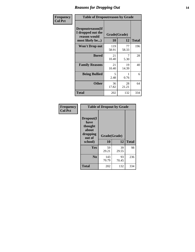### *Reasons for Dropping Out* **14**

| Frequency      | <b>Table of Dropoutreason by Grade</b>                                   |                    |             |              |
|----------------|--------------------------------------------------------------------------|--------------------|-------------|--------------|
| <b>Col Pct</b> | Dropoutreason(If<br>I dropped out the<br>reason would<br>most likely be) | Grade(Grade)<br>10 | 12          | <b>Total</b> |
|                | <b>Won't Drop out</b>                                                    | 119<br>58.91       | 77<br>58.33 | 196          |
|                | <b>Bored</b>                                                             | 21<br>10.40        | 7<br>5.30   | 28           |
|                | <b>Family Reasons</b>                                                    | 21<br>10.40        | 19<br>14.39 | 40           |
|                | <b>Being Bullied</b>                                                     | 5<br>2.48          | 0.76        | 6            |
|                | <b>Other</b>                                                             | 36<br>17.82        | 28<br>21.21 | 64           |
|                | Total                                                                    | 202                | 132         | 334          |

| Frequency      | <b>Table of Dropout by Grade</b>                            |              |             |              |  |
|----------------|-------------------------------------------------------------|--------------|-------------|--------------|--|
| <b>Col Pct</b> | Dropout(I<br>have<br>thought<br>about<br>dropping<br>out of | Grade(Grade) |             |              |  |
|                | school)                                                     | 10           | 12          | <b>Total</b> |  |
|                | Yes                                                         | 59<br>29.21  | 39<br>29.55 | 98           |  |
|                | N <sub>0</sub>                                              | 143<br>70.79 | 93<br>70.45 | 236          |  |
|                | <b>Total</b>                                                | 202          | 132         | 334          |  |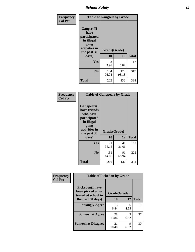*School Safety* **15**

| Frequency      | <b>Table of Gangself by Grade</b>                                                        |              |              |              |
|----------------|------------------------------------------------------------------------------------------|--------------|--------------|--------------|
| <b>Col Pct</b> | Gangself(I<br>have<br>participated<br>in illegal<br>gang<br>activities in<br>the past 30 | Grade(Grade) |              |              |
|                | days)                                                                                    | 10           | 12           | <b>Total</b> |
|                | Yes                                                                                      | 8<br>3.96    | 9<br>6.82    | 17           |
|                | N <sub>o</sub>                                                                           | 194<br>96.04 | 123<br>93.18 | 317          |
|                | Total                                                                                    | 202          | 132          | 334          |

| Frequency<br><b>Col Pct</b> | <b>Table of Gangpeers by Grade</b>                                                                                             |                    |             |              |
|-----------------------------|--------------------------------------------------------------------------------------------------------------------------------|--------------------|-------------|--------------|
|                             | <b>Gangpeers</b> (I<br>have friends<br>who have<br>participated<br>in illegal<br>gang<br>activities in<br>the past 30<br>days) | Grade(Grade)<br>10 | 12          | <b>Total</b> |
|                             | <b>Yes</b>                                                                                                                     | 71<br>35.15        | 41<br>31.06 | 112          |
|                             | N <sub>0</sub>                                                                                                                 | 131<br>64.85       | 91<br>68.94 | 222          |
|                             | <b>Total</b>                                                                                                                   | 202                | 132         | 334          |

| Frequency      | <b>Table of Pickedon by Grade</b>                                  |              |           |              |
|----------------|--------------------------------------------------------------------|--------------|-----------|--------------|
| <b>Col Pct</b> | <b>Pickedon(I have</b><br>been picked on or<br>teased at school in | Grade(Grade) |           |              |
|                | the past 30 days)                                                  | 10           | 12        | <b>Total</b> |
|                | <b>Strongly Agree</b>                                              | 13<br>6.44   | 6<br>4.55 | 19           |
|                | <b>Somewhat Agree</b>                                              | 28<br>13.86  | 9<br>6.82 | 37           |
|                | <b>Somewhat Disagree</b>                                           | 21<br>10.40  | 9<br>6.82 | 30           |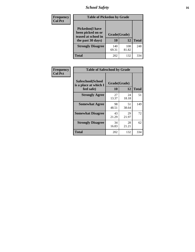### *School Safety* **16**

| <b>Frequency</b> |                                                                                          | <b>Table of Pickedon by Grade</b> |              |              |  |  |  |  |  |  |  |
|------------------|------------------------------------------------------------------------------------------|-----------------------------------|--------------|--------------|--|--|--|--|--|--|--|
| <b>Col Pct</b>   | <b>Pickedon</b> (I have<br>been picked on or<br>teased at school in<br>the past 30 days) | Grade(Grade)<br>10                | 12           | <b>Total</b> |  |  |  |  |  |  |  |
|                  | <b>Strongly Disagree</b>                                                                 | 140<br>69.31                      | 108<br>81.82 | 248          |  |  |  |  |  |  |  |
|                  | Total                                                                                    | 202                               | 132          | 334          |  |  |  |  |  |  |  |

| Frequency      | <b>Table of Safeschool by Grade</b>                      |                    |             |              |
|----------------|----------------------------------------------------------|--------------------|-------------|--------------|
| <b>Col Pct</b> | Safeschool(School<br>is a place at which I<br>feel safe) | Grade(Grade)<br>10 | 12          | <b>Total</b> |
|                | <b>Strongly Agree</b>                                    | 27<br>13.37        | 24<br>18.18 | 51           |
|                | <b>Somewhat Agree</b>                                    | 98<br>48.51        | 51<br>38.64 | 149          |
|                | <b>Somewhat Disagree</b>                                 | 43<br>21.29        | 29<br>21.97 | 72           |
|                | <b>Strongly Disagree</b>                                 | 34<br>16.83        | 28<br>21.21 | 62           |
|                | Total                                                    | 202                | 132         | 334          |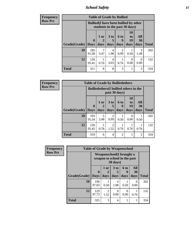*School Safety* **17**

| <b>Frequency</b> |              |                                                                               | <b>Table of Grade by Bullied</b> |             |                        |                       |                  |              |
|------------------|--------------|-------------------------------------------------------------------------------|----------------------------------|-------------|------------------------|-----------------------|------------------|--------------|
| <b>Row Pct</b>   |              | <b>Bullied</b> (I have been bullied by other<br>students in the past 30 days) |                                  |             |                        |                       |                  |              |
|                  |              | $\mathbf 0$                                                                   | 1 or                             | $3$ to<br>5 | 6 to<br>9              | <b>10</b><br>to<br>19 | All<br>30        |              |
|                  | Grade(Grade) | <b>Days</b>                                                                   | days                             | days        | days                   | days                  | days             | <b>Total</b> |
|                  | 10           | 185<br>91.58                                                                  | 3.47                             | 4<br>1.98   | $\mathfrak{D}$<br>0.99 | 0.50                  | 3<br>1.49        | 202          |
|                  | 12           | 126<br>95.45                                                                  | 0.76                             | 4<br>3.03   | 0.76                   | $\Omega$<br>0.00      | $\Omega$<br>0.00 | 132          |
|                  | <b>Total</b> | 311                                                                           | 8                                | 8           | 3                      |                       | 3                | 334          |

| <b>Frequency</b> |              |              |             |                        |                                                                |                  | <b>Table of Grade by Bulliedothers</b> |              |  |  |  |  |  |  |  |  |  |
|------------------|--------------|--------------|-------------|------------------------|----------------------------------------------------------------|------------------|----------------------------------------|--------------|--|--|--|--|--|--|--|--|--|
| <b>Row Pct</b>   |              |              |             |                        | <b>Bulliedothers</b> (I bullied others in the<br>past 30 days) |                  |                                        |              |  |  |  |  |  |  |  |  |  |
|                  |              | $\mathbf{0}$ | $1$ or<br>2 | 3 <sub>to</sub><br>5   | 6 to<br>9                                                      | 10<br>to<br>19   | All<br>30                              |              |  |  |  |  |  |  |  |  |  |
|                  | Grade(Grade) | <b>Days</b>  | days        | days                   | days                                                           | days             | days                                   | <b>Total</b> |  |  |  |  |  |  |  |  |  |
|                  | <b>10</b>    | 193<br>95.54 | 5<br>2.48   | $\overline{2}$<br>0.99 | 0.50                                                           | $\Omega$<br>0.00 | 0.50                                   | 202          |  |  |  |  |  |  |  |  |  |
|                  | 12           | 126<br>95.45 | 0.76        | $\overline{2}$<br>1.52 | 1<br>0.76                                                      | 0.76             | 0.76                                   | 132          |  |  |  |  |  |  |  |  |  |
|                  | <b>Total</b> | 319          | 6           | $\overline{4}$         | $\overline{2}$                                                 | 1                | $\overline{2}$                         | 334          |  |  |  |  |  |  |  |  |  |

| <b>Frequency</b> | <b>Table of Grade by Weaponschool</b> |                                                          |                   |                              |                   |                   |              |  |  |  |  |
|------------------|---------------------------------------|----------------------------------------------------------|-------------------|------------------------------|-------------------|-------------------|--------------|--|--|--|--|
| <b>Row Pct</b>   |                                       | Weaponschool(I brought a<br>weapon to school in the past |                   |                              |                   |                   |              |  |  |  |  |
|                  | Grade(Grade)                          | $\bf{0}$<br><b>Days</b>                                  | 1 or<br>2<br>days | 3 <sub>to</sub><br>5<br>days | 6 to<br>9<br>days | All<br>30<br>days | <b>Total</b> |  |  |  |  |
|                  | 10                                    | 196<br>97.03                                             | 0.50              | 4<br>1.98                    | 0.50              | 0<br>0.00         | 202          |  |  |  |  |
|                  | 12                                    | 129<br>97.73                                             | 2<br>1.52         | 0<br>0.00                    | $\Omega$<br>0.00  | 0.76              | 132          |  |  |  |  |
|                  | <b>Total</b>                          | 325                                                      | 3                 | 4                            | 1                 |                   | 334          |  |  |  |  |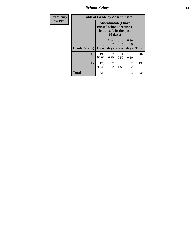*School Safety* **18**

| <b>Frequency</b> |              | <b>Table of Grade by Absentunsafe</b>                                             |                        |                              |                        |              |  |  |  |  |  |  |  |
|------------------|--------------|-----------------------------------------------------------------------------------|------------------------|------------------------------|------------------------|--------------|--|--|--|--|--|--|--|
| <b>Row Pct</b>   |              | <b>Absentunsafe</b> (I have<br>missed school because I<br>felt unsafe in the past |                        |                              |                        |              |  |  |  |  |  |  |  |
|                  | Grade(Grade) | 0<br><b>Days</b>                                                                  | 1 or<br>days           | 3 <sub>to</sub><br>5<br>days | 6 to<br>9<br>days      | <b>Total</b> |  |  |  |  |  |  |  |
|                  | 10           | 198<br>98.02                                                                      | 2<br>0.99              | 0.50                         | 0.50                   | 202          |  |  |  |  |  |  |  |
|                  | 12           | 126<br>95.45                                                                      | $\mathfrak{D}$<br>1.52 | 2<br>1.52                    | $\mathfrak{D}$<br>1.52 | 132          |  |  |  |  |  |  |  |
|                  | Total        | 324                                                                               | 4                      | 3                            | 3                      | 334          |  |  |  |  |  |  |  |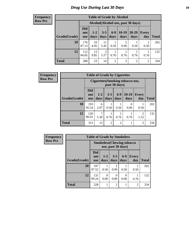## *Drug Use During Last 30 Days* **19**

#### **Frequency Row Pct**

| <b>Table of Grade by Alcohol</b> |                                 |                                    |                 |                 |                        |               |                |              |  |  |  |
|----------------------------------|---------------------------------|------------------------------------|-----------------|-----------------|------------------------|---------------|----------------|--------------|--|--|--|
|                                  |                                 | Alcohol(Alcohol use, past 30 days) |                 |                 |                        |               |                |              |  |  |  |
| Grade(Grade)                     | <b>Did</b><br>not<br><b>use</b> | $1-2$<br>days                      | $3 - 5$<br>days | $6 - 9$<br>days | $10-19$<br>days        | 20-29<br>days | Every<br>day   | <b>Total</b> |  |  |  |
| 10                               | 176<br>87.13                    | 10<br>4.95                         | 11<br>5.45      | 0.50            | $\overline{2}$<br>0.99 | 0.50          | 0.50           | 202          |  |  |  |
| 12                               | 112<br>84.85                    | 13<br>9.85                         | 3<br>2.27       | 0.76            | 0.76                   | 0.76          | 0.76           | 132          |  |  |  |
| <b>Total</b>                     | 288                             | 23                                 | 14              | $\overline{2}$  | 3                      | 2             | $\overline{2}$ | 334          |  |  |  |

| <b>Frequency</b> | <b>Table of Grade by Cigarettes</b> |                                 |                                                   |                 |               |                 |                        |              |  |  |  |
|------------------|-------------------------------------|---------------------------------|---------------------------------------------------|-----------------|---------------|-----------------|------------------------|--------------|--|--|--|
| <b>Row Pct</b>   |                                     |                                 | Cigarettes (Smoking tobacco use,<br>past 30 days) |                 |               |                 |                        |              |  |  |  |
|                  | Grade(Grade)                        | <b>Did</b><br>not<br><b>use</b> | $1-2$<br>days                                     | $3 - 5$<br>days | $6-9$<br>days | $10-19$<br>days | Every<br>day           | <b>Total</b> |  |  |  |
|                  | 10                                  | 193<br>95.54                    | 6<br>2.97                                         | 0.50            | 0.50          | 0<br>0.00       | 0.50                   | 202          |  |  |  |
|                  | 12                                  | 120<br>90.91                    | 5.30                                              | 0.76            | 0.76          | 0.76            | $\mathfrak{D}$<br>1.52 | 132          |  |  |  |
|                  | <b>Total</b>                        | 313                             | 13                                                | 2               | 2             |                 | 3                      | 334          |  |  |  |

| <b>Frequency</b> | <b>Table of Grade by Smokeless</b> |                          |                                   |                        |                  |                     |              |  |  |
|------------------|------------------------------------|--------------------------|-----------------------------------|------------------------|------------------|---------------------|--------------|--|--|
| <b>Row Pct</b>   |                                    |                          | <b>Smokeless</b> (Chewing tobacco | use, past 30 days)     |                  |                     |              |  |  |
|                  | Grade(Grade)                       | Did<br>not<br><b>use</b> | $1-2$<br>days                     | $3-5$<br>days          | $6-9$<br>days    | <b>Every</b><br>day | <b>Total</b> |  |  |
|                  | 10                                 | 197<br>97.52             | 0.50                              | $\overline{2}$<br>0.99 | 0.50             | 0.50                | 202          |  |  |
|                  | 12                                 | 131<br>99.24             | 0<br>0.00                         | 0<br>0.00              | $\theta$<br>0.00 | 0.76                | 132          |  |  |
|                  | <b>Total</b>                       | 328                      | 1                                 | $\overline{c}$         |                  | $\overline{2}$      | 334          |  |  |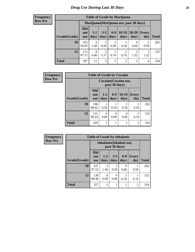#### **Frequency Row Pct**

| <b>Table of Grade by Marijuana</b> |                                 |                                         |                        |                        |                 |                        |                        |       |  |  |
|------------------------------------|---------------------------------|-----------------------------------------|------------------------|------------------------|-----------------|------------------------|------------------------|-------|--|--|
|                                    |                                 | Marijuana (Marijuana use, past 30 days) |                        |                        |                 |                        |                        |       |  |  |
| Grade(Grade)                       | <b>Did</b><br>not<br><b>use</b> | $1 - 2$<br>days                         | $3 - 5$<br>days        | $6 - 9$<br>days        | $10-19$<br>days | 20-29<br>days          | Every<br>day           | Total |  |  |
| 10                                 | 192<br>95.05                    | 3<br>1.49                               | $\overline{2}$<br>0.99 | $\overline{2}$<br>0.99 | 0.50            | 0<br>0.00              | $\overline{2}$<br>0.99 | 202   |  |  |
| 12                                 | 115<br>87.12                    | 8<br>6.06                               | 3<br>2.27              | 0.76                   | 0.76            | $\overline{2}$<br>1.52 | 2<br>1.52              | 132   |  |  |
| <b>Total</b>                       | 307                             | 11                                      | 5                      | 3                      | $\overline{2}$  | 2                      | 4                      | 334   |  |  |

| Frequency      |              | <b>Table of Grade by Cocaine</b> |                       |               |                              |                |              |  |  |  |
|----------------|--------------|----------------------------------|-----------------------|---------------|------------------------------|----------------|--------------|--|--|--|
| <b>Row Pct</b> |              |                                  |                       | past 30 days) | <b>Cocaine</b> (Cocaine use, |                |              |  |  |  |
|                | Grade(Grade) | <b>Did</b><br>not<br><b>use</b>  | $1-2$<br>days         | $6-9$<br>days | $10-19$<br>days              | Every<br>day   | <b>Total</b> |  |  |  |
|                | 10           | 198<br>98.02                     | 0.50                  | 0.50          | 0.50                         | 0.50           | 202          |  |  |  |
|                | 12           | 131<br>99.24                     | $\mathcal{O}$<br>0.00 | 0<br>0.00     | $\theta$<br>0.00             | 0.76           | 132          |  |  |  |
|                | <b>Total</b> | 329                              |                       |               |                              | $\overline{2}$ | 334          |  |  |  |

| Frequency      | <b>Table of Grade by Inhalants</b> |                                 |               |                  |                   |                     |              |
|----------------|------------------------------------|---------------------------------|---------------|------------------|-------------------|---------------------|--------------|
| <b>Row Pct</b> |                                    | <b>Inhalants</b> (Inhalant use, |               |                  |                   |                     |              |
|                | Grade(Grade)                       | Did<br>not<br><b>use</b>        | $1-2$<br>days | $3 - 5$<br>days  | $6-9$<br>days     | <b>Every</b><br>day | <b>Total</b> |
|                | 10                                 | 197<br>97.52                    | 3<br>1.49     | 0.50             | $\bigcap$<br>0.00 | 0.50                | 202          |
|                | 12                                 | 130<br>98.48                    | 0<br>0.00     | $\theta$<br>0.00 | 0.76              | 0.76                | 132          |
|                | <b>Total</b>                       | 327                             | 3             | 1                |                   | $\overline{c}$      | 334          |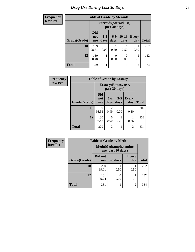### *Drug Use During Last 30 Days* **21**

| Frequency      | <b>Table of Grade by Steroids</b> |                                         |               |               |                 |                     |              |
|----------------|-----------------------------------|-----------------------------------------|---------------|---------------|-----------------|---------------------|--------------|
| <b>Row Pct</b> |                                   | Steroids (Steroid use,<br>past 30 days) |               |               |                 |                     |              |
|                | Grade(Grade)                      | <b>Did</b><br>not<br><b>use</b>         | $1-2$<br>days | $6-9$<br>days | $10-19$<br>days | <b>Every</b><br>day | <b>Total</b> |
|                | 10                                | 199<br>98.51                            | 0<br>0.00     | 0.50          | 0.50            | 0.50                | 202          |
|                | 12                                | 130<br>98.48                            | 0.76          | 0<br>0.00     | 0<br>0.00       | 0.76                | 132          |
|                | <b>Total</b>                      | 329                                     |               |               |                 | $\overline{2}$      | 334          |

| <b>Frequency</b> | <b>Table of Grade by Ecstasy</b> |                                 |                       |                 |                     |              |
|------------------|----------------------------------|---------------------------------|-----------------------|-----------------|---------------------|--------------|
| <b>Row Pct</b>   |                                  |                                 | Ecstasy (Ecstasy use, | past 30 days)   |                     |              |
|                  | Grade(Grade)                     | <b>Did</b><br>not<br><b>use</b> | $1-2$<br>days         | $3 - 5$<br>days | <b>Every</b><br>day | <b>Total</b> |
|                  | 10                               | 199<br>98.51                    | 2<br>0.99             | 0<br>0.00       | 0.50                | 202          |
|                  | 12                               | 130<br>98.48                    | 0<br>0.00             | 0.76            | 0.76                | 132          |
|                  | <b>Total</b>                     | 329                             | $\overline{2}$        |                 | $\overline{c}$      | 334          |

| Frequency      | <b>Table of Grade by Meth</b>                      |                       |            |                     |              |  |  |
|----------------|----------------------------------------------------|-----------------------|------------|---------------------|--------------|--|--|
| <b>Row Pct</b> | <b>Meth</b> (Methamphetamine<br>use, past 30 days) |                       |            |                     |              |  |  |
|                | Grade(Grade)                                       | Did not<br><b>use</b> | $3-5$ days | <b>Every</b><br>day | <b>Total</b> |  |  |
|                | 10                                                 | 200<br>99.01          | 0.50       | 0.50                | 202          |  |  |
|                | 12                                                 | 131<br>99.24          | 0.00       | 0.76                | 132          |  |  |
|                | <b>Total</b>                                       | 331                   |            | $\overline{2}$      | 334          |  |  |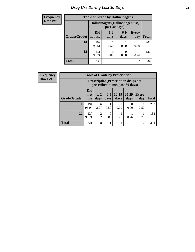### *Drug Use During Last 30 Days* **22**

| <b>Frequency</b> | <b>Table of Grade by Hallucinogens</b> |                                  |               |                       |                             |              |
|------------------|----------------------------------------|----------------------------------|---------------|-----------------------|-----------------------------|--------------|
| <b>Row Pct</b>   |                                        | Hallucinogens (Hallucinogen use, |               |                       |                             |              |
|                  | Grade(Grade)                           | Did<br>not use                   | $1-2$<br>days | $6-9$<br>days         | <b>Every</b><br>day         | <b>Total</b> |
|                  | 10                                     | 199<br>98.51                     | 0.50          | 0.50                  | 0.50                        | 202          |
|                  | 12                                     | 131<br>99.24                     | 0.00          | $\mathcal{O}$<br>0.00 | 0.76                        | 132          |
|                  | <b>Total</b>                           | 330                              |               |                       | $\mathcal{D}_{\mathcal{D}}$ | 334          |

| Frequency      | <b>Table of Grade by Prescription</b> |                          |                                                                                |               |                 |                   |                     |              |  |
|----------------|---------------------------------------|--------------------------|--------------------------------------------------------------------------------|---------------|-----------------|-------------------|---------------------|--------------|--|
| <b>Row Pct</b> |                                       |                          | <b>Prescription</b> (Prescription drugs not<br>prescribed to me, past 30 days) |               |                 |                   |                     |              |  |
|                | Grade(Grade)                          | Did<br>not<br><b>use</b> | $1-2$<br>days                                                                  | $6-9$<br>days | $10-19$<br>days | $20 - 29$<br>days | <b>Every</b><br>day | <b>Total</b> |  |
|                | 10                                    | 194<br>96.04             | 6<br>2.97                                                                      | 0.50          | 0<br>0.00       | 0<br>0.00         | 0.50                | 202          |  |
|                | 12                                    | 127<br>96.21             | $\overline{2}$<br>1.52                                                         | 0.00          | 0.76            | 0.76              | 0.76                | 132          |  |
|                | <b>Total</b>                          | 321                      | 8                                                                              |               |                 |                   | $\overline{c}$      | 334          |  |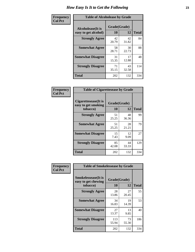| Frequency      | <b>Table of Alcoholease by Grade</b>              |                    |             |              |  |
|----------------|---------------------------------------------------|--------------------|-------------|--------------|--|
| <b>Col Pct</b> | <b>Alcoholease</b> (It is<br>easy to get alcohol) | Grade(Grade)<br>10 | 12          | <b>Total</b> |  |
|                | <b>Strongly Agree</b>                             | 42<br>20.79        | 42<br>31.82 | 84           |  |
|                | <b>Somewhat Agree</b>                             | 58<br>28.71        | 30<br>22.73 | 88           |  |
|                | <b>Somewhat Disagree</b>                          | 31<br>15.35        | 17<br>12.88 | 48           |  |
|                | <b>Strongly Disagree</b>                          | 71<br>35.15        | 43<br>32.58 | 114          |  |
|                | <b>Total</b>                                      | 202                | 132         | 334          |  |

| Frequency      | <b>Table of Cis</b> |
|----------------|---------------------|
| <b>Col Pct</b> |                     |
|                | Cigarettesease(It   |
|                | easy to get smoki   |
|                | tobacco)            |
|                | <b>Strongly Agr</b> |
|                |                     |

л т

| <b>Table of Cigarettesease by Grade</b>                  |                    |             |              |  |  |  |
|----------------------------------------------------------|--------------------|-------------|--------------|--|--|--|
| Cigarettesease (It is<br>easy to get smoking<br>tobacco) | Grade(Grade)<br>10 | 12          | <b>Total</b> |  |  |  |
| <b>Strongly Agree</b>                                    | 51<br>25.25        | 48<br>36.36 | 99           |  |  |  |
| <b>Somewhat Agree</b>                                    | 51<br>25.25        | 28<br>21.21 | 79           |  |  |  |
| <b>Somewhat Disagree</b>                                 | 15<br>7.43         | 12<br>9.09  | 27           |  |  |  |
| <b>Strongly Disagree</b>                                 | 85<br>42.08        | 44<br>33.33 | 129          |  |  |  |
| <b>Total</b>                                             | 202                | 132         | 334          |  |  |  |

| Frequency      | <b>Table of Smokelessease by Grade</b>                                                     |              |             |              |
|----------------|--------------------------------------------------------------------------------------------|--------------|-------------|--------------|
| <b>Col Pct</b> | <b>Smokelessease</b> (It is<br>Grade(Grade)<br>easy to get chewing<br>10<br>12<br>tobacco) |              |             | <b>Total</b> |
|                | <b>Strongly Agree</b>                                                                      | 28<br>13.86  | 27<br>20.45 | 55           |
|                | <b>Somewhat Agree</b>                                                                      | 34<br>16.83  | 19<br>14.39 | 53           |
|                | <b>Somewhat Disagree</b>                                                                   | 27<br>13.37  | 13<br>9.85  | 40           |
|                | <b>Strongly Disagree</b>                                                                   | 113<br>55.94 | 73<br>55.30 | 186          |
|                | <b>Total</b>                                                                               | 202          | 132         | 334          |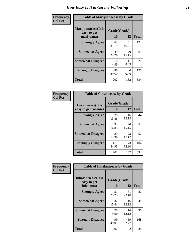| Frequency      | <b>Table of Marijuanaease by Grade</b>           |                    |             |              |  |
|----------------|--------------------------------------------------|--------------------|-------------|--------------|--|
| <b>Col Pct</b> | Marijuanaease(It is<br>easy to get<br>marijuana) | Grade(Grade)<br>10 | 12          | <b>Total</b> |  |
|                | <b>Strongly Agree</b>                            | 63<br>31.19        | 61<br>46.21 | 124          |  |
|                | <b>Somewhat Agree</b>                            | 49<br>24.26        | 20<br>15.15 | 69           |  |
|                | <b>Somewhat Disagree</b>                         | 10<br>4.95         | 11<br>8.33  | 21           |  |
|                | <b>Strongly Disagree</b>                         | 80<br>39.60        | 40<br>30.30 | 120          |  |
|                | <b>Total</b>                                     | 202                | 132         | 334          |  |

| <b>Table of Cocaineease by Grade</b> |              |             |              |  |  |  |
|--------------------------------------|--------------|-------------|--------------|--|--|--|
| <b>Cocaineease</b> (It is            | Grade(Grade) |             |              |  |  |  |
| easy to get cocaine)                 | 10           | 12          | <b>Total</b> |  |  |  |
| <b>Strongly Agree</b>                | 28<br>13.86  | 16<br>12.12 | 44           |  |  |  |
| <b>Somewhat Agree</b>                | 34<br>16.83  | 20<br>15.15 | 54           |  |  |  |
| <b>Somewhat Disagree</b>             | 29<br>14.36  | 23<br>17.42 | 52           |  |  |  |
| <b>Strongly Disagree</b>             | 111<br>54.95 | 73<br>55.30 | 184          |  |  |  |
| <b>Total</b>                         | 202          | 132         | 334          |  |  |  |

| Frequency      | <b>Table of Inhalantsease by Grade</b>           |                    |             |              |
|----------------|--------------------------------------------------|--------------------|-------------|--------------|
| <b>Col Pct</b> | Inhalantsease(It is<br>easy to get<br>inhalants) | Grade(Grade)<br>10 | 12          | <b>Total</b> |
|                | <b>Strongly Agree</b>                            | 51<br>25.25        | 31<br>23.48 | 82           |
|                | <b>Somewhat Agree</b>                            | 32<br>15.84        | 16<br>12.12 | 48           |
|                | <b>Somewhat Disagree</b>                         | 20<br>9.90         | 16<br>12.12 | 36           |
|                | <b>Strongly Disagree</b>                         | 99<br>49.01        | 69<br>52.27 | 168          |
|                | <b>Total</b>                                     | 202                | 132         | 334          |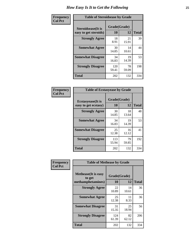| Frequency      | <b>Table of Steroidsease by Grade</b>               |                    |             |              |  |  |  |  |  |  |  |
|----------------|-----------------------------------------------------|--------------------|-------------|--------------|--|--|--|--|--|--|--|
| <b>Col Pct</b> | <b>Steroidsease</b> (It is<br>easy to get steroids) | Grade(Grade)<br>10 | 12          | <b>Total</b> |  |  |  |  |  |  |  |
|                | <b>Strongly Agree</b>                               | 18<br>8.91         | 21<br>15.91 | 39           |  |  |  |  |  |  |  |
|                | <b>Somewhat Agree</b>                               | 30<br>14.85        | 14<br>10.61 | 44           |  |  |  |  |  |  |  |
|                | <b>Somewhat Disagree</b>                            | 34<br>16.83        | 19<br>14.39 | 53           |  |  |  |  |  |  |  |
|                | <b>Strongly Disagree</b>                            | 120<br>59.41       | 78<br>59.09 | 198          |  |  |  |  |  |  |  |
|                | Total                                               | 202                | 132         | 334          |  |  |  |  |  |  |  |

| Frequency      | <b>Table of Ecstasyease by Grade</b>              |                    |              |     |  |  |  |  |  |  |
|----------------|---------------------------------------------------|--------------------|--------------|-----|--|--|--|--|--|--|
| <b>Col Pct</b> | <b>Ecstasyease</b> (It is<br>easy to get ecstasy) | Grade(Grade)<br>10 | <b>Total</b> |     |  |  |  |  |  |  |
|                | <b>Strongly Agree</b>                             | 30<br>14.85        | 18<br>13.64  | 48  |  |  |  |  |  |  |
|                | <b>Somewhat Agree</b>                             | 34<br>16.83        | 19<br>14.39  | 53  |  |  |  |  |  |  |
|                | <b>Somewhat Disagree</b>                          | 25<br>12.38        | 16<br>12.12  | 41  |  |  |  |  |  |  |
|                | <b>Strongly Disagree</b>                          | 113<br>55.94       | 79<br>59.85  | 192 |  |  |  |  |  |  |
|                | Total                                             | 202                | 132          | 334 |  |  |  |  |  |  |

| Frequency      | <b>Table of Methease by Grade</b>     |              |             |              |
|----------------|---------------------------------------|--------------|-------------|--------------|
| <b>Col Pct</b> | <b>Methease</b> (It is easy<br>to get | Grade(Grade) |             |              |
|                | methamphetamines)                     | 10           | 12          | <b>Total</b> |
|                | <b>Strongly Agree</b>                 | 22<br>10.89  | 14<br>10.61 | 36           |
|                | <b>Somewhat Agree</b>                 | 25<br>12.38  | 11<br>8.33  | 36           |
|                | <b>Somewhat Disagree</b>              | 31<br>15.35  | 25<br>18.94 | 56           |
|                | <b>Strongly Disagree</b>              | 124<br>61.39 | 82<br>62.12 | 206          |
|                | Total                                 | 202          | 132         | 334          |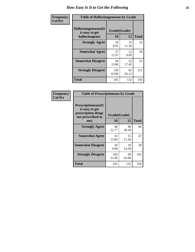| <b>Frequency</b> | <b>Table of Hallucinogensease by Grade</b>               |                    |             |              |  |  |  |  |  |  |
|------------------|----------------------------------------------------------|--------------------|-------------|--------------|--|--|--|--|--|--|
| <b>Col Pct</b>   | Hallucinogensease(It<br>is easy to get<br>hallucinogens) | Grade(Grade)<br>10 | 12          | <b>Total</b> |  |  |  |  |  |  |
|                  | <b>Strongly Agree</b>                                    | 18<br>8.91         | 15<br>11.36 | 33           |  |  |  |  |  |  |
|                  | <b>Somewhat Agree</b>                                    | 27<br>13.37        | 12<br>9.09  | 39           |  |  |  |  |  |  |
|                  | <b>Somewhat Disagree</b>                                 | 28<br>13.86        | 23<br>17.42 | 51           |  |  |  |  |  |  |
|                  | <b>Strongly Disagree</b>                                 | 129<br>63.86       | 82<br>62.12 | 211          |  |  |  |  |  |  |
|                  | <b>Total</b>                                             | 202                | 132         | 334          |  |  |  |  |  |  |

| <b>Table of Prescriptionease by Grade</b>                                                |                    |             |              |  |  |  |  |  |
|------------------------------------------------------------------------------------------|--------------------|-------------|--------------|--|--|--|--|--|
| <b>Prescriptionease</b> (It<br>is easy to get<br>prescription drugs<br>not prescribed to | Grade(Grade)<br>10 | 12          | <b>Total</b> |  |  |  |  |  |
| me)                                                                                      |                    |             |              |  |  |  |  |  |
| <b>Strongly Agree</b>                                                                    | 46<br>22.77        | 40<br>30.30 | 86           |  |  |  |  |  |
| <b>Somewhat Agree</b>                                                                    | 32<br>15.84        | 15<br>11.36 | 47           |  |  |  |  |  |
| <b>Somewhat Disagree</b>                                                                 | 20<br>9.90         | 19<br>14.39 | 39           |  |  |  |  |  |
| <b>Strongly Disagree</b>                                                                 | 104<br>51.49       | 58<br>43.94 | 162          |  |  |  |  |  |
| <b>Total</b>                                                                             | 202                | 132         | 334          |  |  |  |  |  |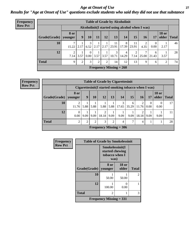*Age at Onset of Use* **27** *Results for "Age at Onset of Use" questions exclude students who said they did not use that substance*

| <b>Frequency</b> |              |                        |                                                  | <b>Table of Grade by Alcoholinit</b> |      |                |                           |                                                   |           |           |                  |                       |              |
|------------------|--------------|------------------------|--------------------------------------------------|--------------------------------------|------|----------------|---------------------------|---------------------------------------------------|-----------|-----------|------------------|-----------------------|--------------|
| <b>Row Pct</b>   |              |                        | Alcoholinit (I started using alcohol when I was) |                                      |      |                |                           |                                                   |           |           |                  |                       |              |
|                  | Grade(Grade) | <b>8</b> or<br>younger | 9 <sup>°</sup>                                   | <b>10</b>                            | 11   | 12             | 13                        | 14                                                | 15        | 16        | 17               | <b>18 or</b><br>older | <b>Total</b> |
|                  | 10           | ⇁<br>15.22             | 2.17                                             | 3                                    |      |                | 11                        | 8<br>$6.52$   2.17   2.17   23.91   17.39   23.91 | 11        | 2<br>4.35 | $\theta$<br>0.00 | 2.17                  | 46           |
|                  | 12           | 2<br>7.14              | 3.57                                             | $\theta$<br>$0.00\,$                 | 3.57 | 3.57           | 3<br>10.71                | 4<br>14.29                                        | 2<br>7.14 | 25.00     | 6<br>21.43       | 3.57                  | 28           |
|                  | <b>Total</b> | 9                      | 2                                                | 3                                    | 2    | $\overline{2}$ | 14                        | 12                                                | 13        | 9         | 6                | $\overline{2}$        | 74           |
|                  |              |                        |                                                  |                                      |      |                | Frequency Missing $= 260$ |                                                   |           |           |                  |                       |              |

| <b>Frequency</b> |
|------------------|
| <b>Row Pct</b>   |

| <b>Table of Grade by Cigarettesinit</b>                                                     |                                                                                                                |                                                      |      |                           |      |            |            |            |           |      |    |
|---------------------------------------------------------------------------------------------|----------------------------------------------------------------------------------------------------------------|------------------------------------------------------|------|---------------------------|------|------------|------------|------------|-----------|------|----|
|                                                                                             |                                                                                                                | Cigarettesinit(I started smoking tobacco when I was) |      |                           |      |            |            |            |           |      |    |
| <b>Grade</b> (Grade)                                                                        | 8 or<br><b>18 or</b><br>15<br>9<br>10<br>13<br>older<br>12<br><b>Total</b><br>14<br><b>16</b><br>17<br>vounger |                                                      |      |                           |      |            |            |            |           |      |    |
| 10                                                                                          | 11.76                                                                                                          | 5.88                                                 | 5.88 | 5.88                      | 5.88 | 3<br>17.65 | 6<br>35.29 | 2<br>11.76 | 0<br>0.00 | 0.00 | 17 |
| 12                                                                                          | ◠<br>$\theta$<br>9.09<br>18.18<br>9.09<br>9.09<br>18.18<br>9.09<br>9.09<br>9.09<br>0.00<br>9.09                |                                                      |      |                           |      |            |            |            |           |      | 11 |
| <b>Total</b><br>$\overline{2}$<br>$\overline{2}$<br>3<br>2<br>$\overline{2}$<br>┑<br>4<br>4 |                                                                                                                |                                                      |      |                           |      |            |            |            |           |      | 28 |
|                                                                                             |                                                                                                                |                                                      |      | Frequency Missing $=$ 306 |      |            |            |            |           |      |    |

| Frequency      | <b>Table of Grade by Smokelessinit</b> |                                                              |                       |              |  |  |  |  |  |
|----------------|----------------------------------------|--------------------------------------------------------------|-----------------------|--------------|--|--|--|--|--|
| <b>Row Pct</b> |                                        | Smokelessinit(I<br>started chewing<br>tobacco when I<br>was) |                       |              |  |  |  |  |  |
|                | Grade(Grade)   younger                 | 8 or                                                         | <b>18 or</b><br>older | <b>Total</b> |  |  |  |  |  |
|                | 10                                     | 50.00                                                        | 50.00                 | 2            |  |  |  |  |  |
|                | 12                                     | 100.00                                                       | 0<br>0.00             |              |  |  |  |  |  |
|                | <b>Total</b>                           | 2                                                            |                       | 3            |  |  |  |  |  |
|                | Frequency Missing $= 331$              |                                                              |                       |              |  |  |  |  |  |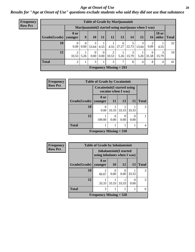#### *Age at Onset of Use* **28**

*Results for "Age at Onset of Use" questions exclude students who said they did not use that substance*

| Frequency      |                        | <b>Table of Grade by Marijuanainit</b> |                                                      |                               |                      |            |                           |                     |                  |            |                       |              |  |
|----------------|------------------------|----------------------------------------|------------------------------------------------------|-------------------------------|----------------------|------------|---------------------------|---------------------|------------------|------------|-----------------------|--------------|--|
| <b>Row Pct</b> |                        |                                        | Marijuanainit (I started using marijuana when I was) |                               |                      |            |                           |                     |                  |            |                       |              |  |
|                | Grade(Grade)   younger | <b>8 or</b>                            | 9                                                    | 10                            | 11                   | 12         | 13                        | 14                  | 15 <sup>15</sup> | 16         | <b>18 or</b><br>older | <b>Total</b> |  |
|                | 10                     | 0.00                                   | 0.00                                                 | 3<br>13.64                    | 4.55                 | 4.55       | 6<br>27.27                | 22.73               | 13.64            | 9.09       | 4.55                  | 22           |  |
|                | 12                     | 10.53                                  | 5.26                                                 | $\Omega$<br>0.00 <sub>l</sub> | $\Omega$<br>$0.00\,$ | 2<br>10.53 |                           | 3<br>$5.26$   15.79 | 5.26             | 6<br>31.58 | 3<br>15.79            | 19           |  |
|                | <b>Total</b>           | $\mathfrak{D}$                         |                                                      | 3                             |                      | 3          | ⇁                         | 8                   | 4                | 8          | 4                     | 41           |  |
|                |                        |                                        |                                                      |                               |                      |            | Frequency Missing $= 293$ |                     |                  |            |                       |              |  |

| Frequency      | <b>Table of Grade by Cocaineinit</b> |                           |                                                            |                  |       |              |  |  |  |  |
|----------------|--------------------------------------|---------------------------|------------------------------------------------------------|------------------|-------|--------------|--|--|--|--|
| <b>Row Pct</b> |                                      |                           | <b>Cocaineinit</b> (I started using<br>cocaine when I was) |                  |       |              |  |  |  |  |
|                | Grade(Grade)                         | 8 or<br>vounger           | 11                                                         | 13               | 15    | <b>Total</b> |  |  |  |  |
|                | 10                                   | 0<br>0.00                 | 33.33                                                      | 33.33            | 33.33 | 3            |  |  |  |  |
|                | 12                                   | 100.00                    | 0.00                                                       | $\Omega$<br>0.00 | 0.00  |              |  |  |  |  |
|                | <b>Total</b>                         |                           |                                                            |                  |       |              |  |  |  |  |
|                |                                      | Frequency Missing $= 330$ |                                                            |                  |       |              |  |  |  |  |

| <b>Frequency</b> | <b>Table of Grade by Inhalantsinit</b> |                                                        |           |                       |                  |               |
|------------------|----------------------------------------|--------------------------------------------------------|-----------|-----------------------|------------------|---------------|
| <b>Row Pct</b>   |                                        | Inhalantsinit(I started<br>using inhalants when I was) |           |                       |                  |               |
|                  | <b>Grade</b> (Grade)                   | 8 or<br>younger                                        | <b>10</b> | <b>12</b>             | 13               | <b>Total</b>  |
|                  | 10                                     | 2<br>66.67                                             | 0.00      | $\mathcal{O}$<br>0.00 | 33.33            | 3             |
|                  | 12                                     | 33.33                                                  | 33.33     | 33.33                 | $\Omega$<br>0.00 | $\mathcal{R}$ |
|                  | <b>Total</b>                           | 3                                                      |           |                       |                  | 6             |
|                  |                                        | Frequency Missing $=$ 328                              |           |                       |                  |               |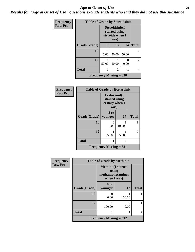#### *Age at Onset of Use* **29**

*Results for "Age at Onset of Use" questions exclude students who said they did not use that substance*

| <b>Frequency</b> | <b>Table of Grade by Steroidsinit</b> |                                                            |       |       |                |
|------------------|---------------------------------------|------------------------------------------------------------|-------|-------|----------------|
| <b>Row Pct</b>   |                                       | Steroidsinit(I<br>started using<br>steroids when I<br>was) |       |       |                |
|                  | Grade(Grade)                          | 9                                                          | 13    | 14    | <b>Total</b>   |
|                  | 10                                    | ∩<br>0.00                                                  | 50.00 | 50.00 | $\overline{2}$ |
|                  | 12                                    | 50.00                                                      | 50.00 | 0.00  | $\overline{c}$ |
|                  | <b>Total</b>                          |                                                            | 2     |       | $\overline{4}$ |
|                  | <b>Frequency Missing = 330</b>        |                                                            |       |       |                |

| Frequency      | <b>Table of Grade by Ecstasyinit</b> |                                                          |                |                |
|----------------|--------------------------------------|----------------------------------------------------------|----------------|----------------|
| <b>Row Pct</b> |                                      | Ecstasyinit(I<br>started using<br>ecstasy when I<br>was) |                |                |
|                | Grade(Grade)                         | 8 or<br>younger                                          | 17             | <b>Total</b>   |
|                | 10                                   | $\mathbf{\Omega}$<br>0.00                                | 100.00         |                |
|                | 12                                   | 50.00                                                    | 50.00          | $\overline{2}$ |
|                | <b>Total</b>                         |                                                          | $\overline{c}$ | 3              |
|                |                                      | <b>Frequency Missing = 331</b>                           |                |                |

| <b>Frequency</b> | <b>Table of Grade by Methinit</b> |                                                                        |        |                |  |
|------------------|-----------------------------------|------------------------------------------------------------------------|--------|----------------|--|
| <b>Row Pct</b>   |                                   | <b>Methinit</b> (I started<br>using<br>methamphetamines<br>when I was) |        |                |  |
|                  | Grade(Grade)                      | 8 or<br>younger                                                        | 12     | <b>Total</b>   |  |
|                  | 10                                | 0.00                                                                   | 100.00 |                |  |
|                  | 12                                | 100.00                                                                 | 0.00   |                |  |
|                  | <b>Total</b>                      |                                                                        |        | $\mathfrak{D}$ |  |
|                  |                                   | Frequency Missing $= 332$                                              |        |                |  |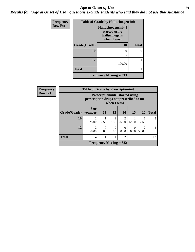#### Age at Onset of Use **30**

*Results for "Age at Onset of Use" questions exclude students who said they did not use that substance*

| Frequency      | <b>Table of Grade by Hallucinogensinit</b> |                                                                      |              |  |
|----------------|--------------------------------------------|----------------------------------------------------------------------|--------------|--|
| <b>Row Pct</b> |                                            | Hallucinogensinit(I<br>started using<br>hallucinogens<br>when I was) |              |  |
|                | Grade(Grade)                               | 10                                                                   | <b>Total</b> |  |
|                | 10                                         | $\theta$<br>٠                                                        | 0            |  |
|                | 12                                         | 100.00                                                               |              |  |
|                | <b>Total</b>                               |                                                                      |              |  |
|                |                                            | Frequency Missing $=$ 333                                            |              |  |

| Frequency      |                        | <b>Table of Grade by Prescriptioninit</b>                                                         |                  |                  |                                      |                  |                                      |              |
|----------------|------------------------|---------------------------------------------------------------------------------------------------|------------------|------------------|--------------------------------------|------------------|--------------------------------------|--------------|
| <b>Row Pct</b> |                        | <b>Prescriptioninit(I started using</b><br>prescription drugs not prescribed to me<br>when I was) |                  |                  |                                      |                  |                                      |              |
|                | Grade(Grade)   younger | 8 or                                                                                              | <b>11</b>        | 12               | 14                                   | <b>15</b>        | <b>16</b>                            | <b>Total</b> |
|                | 10                     | 2<br>25.00                                                                                        | 12.50            | 12.50            | $\mathcal{D}_{\mathcal{L}}$<br>25.00 | 12.50            | 12.50                                | 8            |
|                | 12                     | $\mathfrak{D}$<br>50.00                                                                           | $\theta$<br>0.00 | $\Omega$<br>0.00 | $\Omega$<br>0.00                     | $\Omega$<br>0.00 | $\mathcal{D}_{\mathcal{L}}$<br>50.00 | 4            |
|                | <b>Total</b>           | 4                                                                                                 |                  |                  | 2                                    |                  | 3                                    | 12           |
|                |                        |                                                                                                   |                  |                  | Frequency Missing $= 322$            |                  |                                      |              |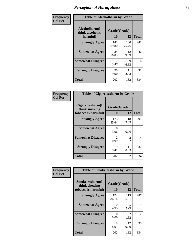| Frequency      | <b>Table of Alcoholharm by Grade</b>          |                    |              |              |
|----------------|-----------------------------------------------|--------------------|--------------|--------------|
| <b>Col Pct</b> | Alcoholharm(I<br>think alcohol is<br>harmful) | Grade(Grade)<br>10 | 12           | <b>Total</b> |
|                | <b>Strongly Agree</b>                         | 141<br>69.80       | 100<br>75.76 | 241          |
|                | <b>Somewhat Agree</b>                         | 34<br>16.83        | 12<br>9.09   | 46           |
|                | <b>Somewhat Disagree</b>                      | 3.47               | 9<br>6.82    | 16           |
|                | <b>Strongly Disagree</b>                      | 20<br>9.90         | 11<br>8.33   | 31           |
|                | <b>Total</b>                                  | 202                | 132          | 334          |

| <b>Table of Cigarettesharm by Grade</b>                  |                        |                        |              |  |  |
|----------------------------------------------------------|------------------------|------------------------|--------------|--|--|
| Cigarettesharm(I<br>think smoking<br>tobacco is harmful) | Grade(Grade)<br>10     | 12                     | <b>Total</b> |  |  |
| <b>Strongly Agree</b>                                    | 173<br>85.64           | 118<br>89.39           | 291          |  |  |
| <b>Somewhat Agree</b>                                    | 8<br>3.96              | 0.76                   | 9            |  |  |
| <b>Somewhat Disagree</b>                                 | $\mathfrak{D}$<br>0.99 | $\mathfrak{D}$<br>1.52 | 4            |  |  |
| <b>Strongly Disagree</b>                                 | 19<br>9.41             | 11<br>8.33             | 30           |  |  |
| <b>Total</b>                                             | 202                    | 132                    | 334          |  |  |

| Frequency      | <b>Table of Smokelessharm by Grade</b>                  |                    |              |              |
|----------------|---------------------------------------------------------|--------------------|--------------|--------------|
| <b>Col Pct</b> | Smokelessharm(I<br>think chewing<br>tobacco is harmful) | Grade(Grade)<br>10 | 12           | <b>Total</b> |
|                | <b>Strongly Agree</b>                                   | 174<br>86.14       | 113<br>85.61 | 287          |
|                | <b>Somewhat Agree</b>                                   | 10<br>4.95         | 5<br>3.79    | 15           |
|                | <b>Somewhat Disagree</b>                                | 0<br>0.00          | 2<br>1.52    | 2            |
|                | <b>Strongly Disagree</b>                                | 18<br>8.91         | 12<br>9.09   | 30           |
|                | <b>Total</b>                                            | 202                | 132          | 334          |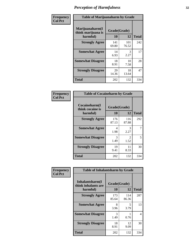| Frequency      |                                                   | <b>Table of Marijuanaharm by Grade</b> |              |              |  |
|----------------|---------------------------------------------------|----------------------------------------|--------------|--------------|--|
| <b>Col Pct</b> | Marijuanaharm(I<br>think marijuana is<br>harmful) | Grade(Grade)<br>10                     | 12           | <b>Total</b> |  |
|                | <b>Strongly Agree</b>                             | 141<br>69.80                           | 101<br>76.52 | 242          |  |
|                | <b>Somewhat Agree</b>                             | 14<br>6.93                             | 3<br>2.27    | 17           |  |
|                | <b>Somewhat Disagree</b>                          | 18<br>8.91                             | 10<br>7.58   | 28           |  |
|                | <b>Strongly Disagree</b>                          | 29<br>14.36                            | 18<br>13.64  | 47           |  |
|                | <b>Total</b>                                      | 202                                    | 132          | 334          |  |

| <b>Table of Cocaineharm by Grade</b>          |                    |                        |              |  |  |  |
|-----------------------------------------------|--------------------|------------------------|--------------|--|--|--|
| Cocaineharm(I<br>think cocaine is<br>harmful) | Grade(Grade)<br>10 | 12                     | <b>Total</b> |  |  |  |
| <b>Strongly Agree</b>                         | 176<br>87.13       | 116<br>87.88           | 292          |  |  |  |
| <b>Somewhat Agree</b>                         | 4<br>1.98          | 3<br>2.27              | 7            |  |  |  |
| <b>Somewhat Disagree</b>                      | 3<br>1.49          | $\mathfrak{D}$<br>1.52 | 5            |  |  |  |
| <b>Strongly Disagree</b>                      | 19<br>9.41         | 11<br>8.33             | 30           |  |  |  |
| <b>Total</b>                                  | 202                | 132                    | 334          |  |  |  |

| Frequency      | <b>Table of Inhalantsharm by Grade</b> |              |              |              |  |  |
|----------------|----------------------------------------|--------------|--------------|--------------|--|--|
| <b>Col Pct</b> | Inhalantsharm(I<br>think inhalants are | Grade(Grade) |              |              |  |  |
|                | harmful)                               | 10           | 12           | <b>Total</b> |  |  |
|                | <b>Strongly Agree</b>                  | 173<br>85.64 | 114<br>86.36 | 287          |  |  |
|                | <b>Somewhat Agree</b>                  | 8<br>3.96    | 5<br>3.79    | 13           |  |  |
|                | <b>Somewhat Disagree</b>               | 3<br>1.49    | 0.76         | 4            |  |  |
|                | <b>Strongly Disagree</b>               | 18<br>8.91   | 12<br>9.09   | 30           |  |  |
|                | <b>Total</b>                           | 202          | 132          | 334          |  |  |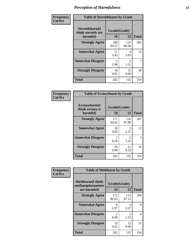| Frequency      | <b>Table of Steroidsharm by Grade</b>            |                                  |                        |              |
|----------------|--------------------------------------------------|----------------------------------|------------------------|--------------|
| <b>Col Pct</b> | Steroidsharm(I<br>think steroids are<br>harmful) | Grade(Grade)<br>10               | 12                     | <b>Total</b> |
|                | <b>Strongly Agree</b>                            | 168<br>83.17                     | 114<br>86.36           | 282          |
|                | <b>Somewhat Agree</b>                            | 11<br>5.45                       | 4<br>3.03              | 15           |
|                | <b>Somewhat Disagree</b>                         | $\overline{\mathcal{L}}$<br>2.48 | $\mathfrak{D}$<br>1.52 | 7            |
|                | <b>Strongly Disagree</b>                         | 18<br>8.91                       | 12<br>9.09             | 30           |
|                | <b>Total</b>                                     | 202                              | 132                    | 334          |

| <b>Table of Ecstasyharm by Grade</b>                |                    |                        |     |  |  |
|-----------------------------------------------------|--------------------|------------------------|-----|--|--|
| $E$ cstasyharm $(I$<br>think ecstasy is<br>harmful) | Grade(Grade)<br>10 | <b>Total</b>           |     |  |  |
| <b>Strongly Agree</b>                               | 171<br>84.65       | 116<br>87.88           | 287 |  |  |
| <b>Somewhat Agree</b>                               | 10<br>4.95         | 3<br>2.27              | 13  |  |  |
| <b>Somewhat Disagree</b>                            | 0.50               | $\mathfrak{D}$<br>1.52 | 3   |  |  |
| <b>Strongly Disagree</b>                            | 20<br>9.90         | 11<br>8.33             | 31  |  |  |
| Total                                               | 202                | 132                    | 334 |  |  |

| Frequency      | <b>Table of Methharm by Grade</b>                            |                    |              |                |
|----------------|--------------------------------------------------------------|--------------------|--------------|----------------|
| <b>Col Pct</b> | <b>Methharm</b> (I think<br>methamphetamines<br>are harmful) | Grade(Grade)<br>10 | 12           | <b>Total</b>   |
|                | <b>Strongly Agree</b>                                        | 175<br>86.63       | 115<br>87.12 | 290            |
|                | <b>Somewhat Agree</b>                                        | 6<br>2.97          | 3<br>2.27    | 9              |
|                | <b>Somewhat Disagree</b>                                     | 2<br>0.99          | 2<br>1.52    | $\overline{4}$ |
|                | <b>Strongly Disagree</b>                                     | 19<br>9.41         | 12<br>9.09   | 31             |
|                | Total                                                        | 202                | 132          | 334            |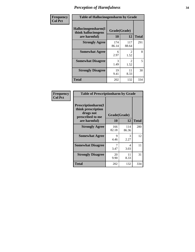| Frequency      | <b>Table of Hallucinogensharm by Grade</b>                 |                    |                       |              |
|----------------|------------------------------------------------------------|--------------------|-----------------------|--------------|
| <b>Col Pct</b> | Hallucinogensharm(I<br>think hallucinogens<br>are harmful) | Grade(Grade)<br>10 | 12                    | <b>Total</b> |
|                | <b>Strongly Agree</b>                                      | 174<br>86.14       | 117<br>88.64          | 291          |
|                | <b>Somewhat Agree</b>                                      | 6<br>2.97          | 2<br>1.52             | 8            |
|                | <b>Somewhat Disagree</b>                                   | 3<br>1.49          | $\mathcal{L}$<br>1.52 | 5            |
|                | <b>Strongly Disagree</b>                                   | 19<br>9.41         | 11<br>8.33            | 30           |
|                | <b>Total</b>                                               | 202                | 132                   | 334          |

| <b>Table of Prescriptionharm by Grade</b>                                                         |                    |              |              |  |
|---------------------------------------------------------------------------------------------------|--------------------|--------------|--------------|--|
| <b>Prescriptionharm</b> (I<br>think prescription<br>drugs not<br>prescribed to me<br>are harmful) | Grade(Grade)<br>10 | 12           | <b>Total</b> |  |
| <b>Strongly Agree</b>                                                                             | 166<br>82.18       | 114<br>86.36 | 280          |  |
| <b>Somewhat Agree</b>                                                                             | 9<br>4.46          | 3<br>2.27    | 12           |  |
| <b>Somewhat Disagree</b>                                                                          | 7<br>3.47          | 4<br>3.03    | 11           |  |
| <b>Strongly Disagree</b>                                                                          | 20<br>9.90         | 11<br>8.33   | 31           |  |
| Total                                                                                             | 202                | 132          | 334          |  |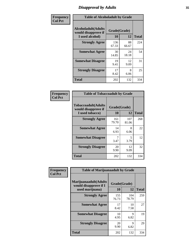### *Disapproval by Adults* **35**

| Frequency      | <b>Table of Alcoholadult by Grade</b>                                 |                    |             |              |
|----------------|-----------------------------------------------------------------------|--------------------|-------------|--------------|
| <b>Col Pct</b> | <b>Alcoholadult</b> (Adults<br>would disapprove if<br>I used alcohol) | Grade(Grade)<br>10 | 12          | <b>Total</b> |
|                | <b>Strongly Agree</b>                                                 | 136<br>67.33       | 88<br>66.67 | 224          |
|                | <b>Somewhat Agree</b>                                                 | 30<br>14.85        | 24<br>18.18 | 54           |
|                | <b>Somewhat Disagree</b>                                              | 19<br>9.41         | 12<br>9.09  | 31           |
|                | <b>Strongly Disagree</b>                                              | 17<br>8.42         | 8<br>6.06   | 25           |
|                | <b>Total</b>                                                          | 202                | 132         | 334          |

| <b>Table of Tobaccoadult by Grade</b>                                                             |              |              |     |  |  |
|---------------------------------------------------------------------------------------------------|--------------|--------------|-----|--|--|
| <b>Tobaccoadult</b> (Adults<br>Grade(Grade)<br>would disapprove if<br>10<br>12<br>I used tobacco) |              |              |     |  |  |
| <b>Strongly Agree</b>                                                                             | 161<br>79.70 | 107<br>81.06 | 268 |  |  |
| <b>Somewhat Agree</b>                                                                             | 14<br>6.93   | 8<br>6.06    | 22  |  |  |
| <b>Somewhat Disagree</b>                                                                          | 7<br>3.47    | 5<br>3.79    | 12  |  |  |
| <b>Strongly Disagree</b>                                                                          | 20<br>9.90   | 12<br>9.09   | 32  |  |  |
| Total                                                                                             | 202          | 132          | 334 |  |  |

| Frequency<br><b>Col Pct</b> | <b>Table of Marijuanaadult by Grade</b>                           |                    |              |              |
|-----------------------------|-------------------------------------------------------------------|--------------------|--------------|--------------|
|                             | Marijuanaadult(Adults<br>would disapprove if I<br>used marijuana) | Grade(Grade)<br>10 | 12           | <b>Total</b> |
|                             | <b>Strongly Agree</b>                                             | 155<br>76.73       | 104<br>78.79 | 259          |
|                             | <b>Somewhat Agree</b>                                             | 17<br>8.42         | 10<br>7.58   | 27           |
|                             | <b>Somewhat Disagree</b>                                          | 10<br>4.95         | 9<br>6.82    | 19           |
|                             | <b>Strongly Disagree</b>                                          | 20<br>9.90         | 9<br>6.82    | 29           |
|                             | <b>Total</b>                                                      | 202                | 132          | 334          |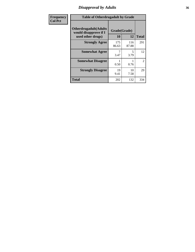### *Disapproval by Adults* **36**

| <b>Frequency</b> | <b>Table of Otherdrugadult by Grade</b>                                     |                    |              |                |
|------------------|-----------------------------------------------------------------------------|--------------------|--------------|----------------|
| <b>Col Pct</b>   | <b>Otherdrugadult</b> (Adults<br>would disapprove if I<br>used other drugs) | Grade(Grade)<br>10 | 12           | <b>Total</b>   |
|                  | <b>Strongly Agree</b>                                                       | 175<br>86.63       | 116<br>87.88 | 291            |
|                  | <b>Somewhat Agree</b>                                                       | 3.47               | 5<br>3.79    | 12             |
|                  | <b>Somewhat Disagree</b>                                                    | 0.50               | 0.76         | $\overline{2}$ |
|                  | <b>Strongly Disagree</b>                                                    | 19<br>9.41         | 10<br>7.58   | 29             |
|                  | <b>Total</b>                                                                | 202                | 132          | 334            |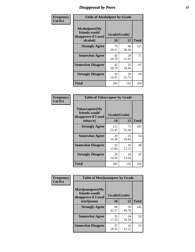# *Disapproval by Peers* **37**

| Frequency      | <b>Table of Alcoholpeer by Grade</b>                    |              |             |              |  |
|----------------|---------------------------------------------------------|--------------|-------------|--------------|--|
| <b>Col Pct</b> | Alcoholpeer(My<br>friends would<br>disapprove if I used | Grade(Grade) |             |              |  |
|                | alcohol)                                                | 10           | 12          | <b>Total</b> |  |
|                | <b>Strongly Agree</b>                                   | 79<br>39.11  | 48<br>36.36 | 127          |  |
|                | <b>Somewhat Agree</b>                                   | 42<br>20.79  | 29<br>21.97 | 71           |  |
|                | <b>Somewhat Disagree</b>                                | 42<br>20.79  | 25<br>18.94 | 67           |  |
|                | <b>Strongly Disagree</b>                                | 39<br>19.31  | 30<br>22.73 | 69           |  |
|                | Total                                                   | 202          | 132         | 334          |  |

| Frequency      | <b>Table of Tobaccopeer by Grade</b>                                |                    |             |              |
|----------------|---------------------------------------------------------------------|--------------------|-------------|--------------|
| <b>Col Pct</b> | Tobaccopeer(My<br>friends would<br>disapprove if I used<br>tobacco) | Grade(Grade)<br>10 | 12          | <b>Total</b> |
|                | <b>Strongly Agree</b>                                               | 112<br>55.45       | 73<br>55.30 | 185          |
|                | <b>Somewhat Agree</b>                                               | 29<br>14.36        | 25<br>18.94 | 54           |
|                | <b>Somewhat Disagree</b>                                            | 32<br>15.84        | 16<br>12.12 | 48           |
|                | <b>Strongly Disagree</b>                                            | 29<br>14.36        | 18<br>13.64 | 47           |
|                | Total                                                               | 202                | 132         | 334          |

| Frequency      | <b>Table of Marijuanapeer by Grade</b>                    |              |             |              |  |
|----------------|-----------------------------------------------------------|--------------|-------------|--------------|--|
| <b>Col Pct</b> | Marijuanapeer(My<br>friends would<br>disapprove if I used | Grade(Grade) |             |              |  |
|                | marijuana)                                                | 10           | 12          | <b>Total</b> |  |
|                | <b>Strongly Agree</b>                                     | 86<br>42.57  | 59<br>44.70 | 145          |  |
|                | <b>Somewhat Agree</b>                                     | 35<br>17.33  | 24<br>18.18 | 59           |  |
|                | <b>Somewhat Disagree</b>                                  | 37<br>18.32  | 16<br>12.12 | 53           |  |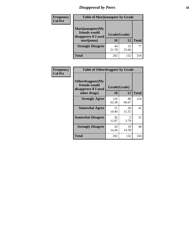# *Disapproval by Peers* **38**

| <b>Frequency</b> | <b>Table of Marijuanapeer by Grade</b>                                  |                    |             |              |
|------------------|-------------------------------------------------------------------------|--------------------|-------------|--------------|
| <b>Col Pct</b>   | Marijuanapeer(My<br>friends would<br>disapprove if I used<br>marijuana) | Grade(Grade)<br>10 | 12          | <b>Total</b> |
|                  | <b>Strongly Disagree</b>                                                | 44<br>21.78        | 33<br>25.00 | 77           |
|                  | Total                                                                   | 202                | 132         | 334          |

| <b>Frequency</b> | <b>Table of Otherdrugpeer by Grade</b>                    |              |             |              |
|------------------|-----------------------------------------------------------|--------------|-------------|--------------|
| <b>Col Pct</b>   | Otherdrugpeer(My<br>friends would<br>disapprove if I used | Grade(Grade) |             |              |
|                  | other drugs)                                              | <b>10</b>    | 12          | <b>Total</b> |
|                  | <b>Strongly Agree</b>                                     | 126<br>62.38 | 88<br>66.67 | 214          |
|                  | <b>Somewhat Agree</b>                                     | 21<br>10.40  | 20<br>15.15 | 41           |
|                  | <b>Somewhat Disagree</b>                                  | 26<br>12.87  | 5<br>3.79   | 31           |
|                  | <b>Strongly Disagree</b>                                  | 29<br>14.36  | 19<br>14.39 | 48           |
|                  | <b>Total</b>                                              | 202          | 132         | 334          |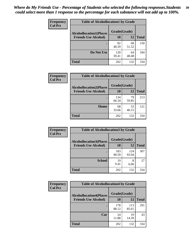| Frequency      | <b>Table of Alcohollocation1 by Grade</b> |              |             |              |
|----------------|-------------------------------------------|--------------|-------------|--------------|
| <b>Col Pct</b> | <b>Alcohollocation1(Places</b>            |              |             |              |
|                | <b>Friends Use Alcohol)</b>               | 10           | 12          | <b>Total</b> |
|                |                                           | 82<br>40.59  | 68<br>51.52 | 150          |
|                | Do Not Use                                | 120<br>59.41 | 64<br>48.48 | 184          |
|                | <b>Total</b>                              | 202          | 132         | 334          |

| <b>Frequency</b> | <b>Table of Alcohollocation2 by Grade</b>                     |                           |             |              |
|------------------|---------------------------------------------------------------|---------------------------|-------------|--------------|
| <b>Col Pct</b>   | <b>Alcohollocation2(Places</b><br><b>Friends Use Alcohol)</b> | Grade(Grade)<br><b>10</b> | 12          | <b>Total</b> |
|                  |                                                               |                           |             |              |
|                  |                                                               | 134<br>66.34              | 79<br>59.85 | 213          |
|                  | Home                                                          | 68<br>33.66               | 53<br>40.15 | 121          |
|                  | <b>Total</b>                                                  | 202                       | 132         | 334          |

| Frequency<br><b>Col Pct</b> | <b>Table of Alcohollocation 3 by Grade</b>                    |                    |              |              |
|-----------------------------|---------------------------------------------------------------|--------------------|--------------|--------------|
|                             | <b>Alcohollocation3(Places</b><br><b>Friends Use Alcohol)</b> | Grade(Grade)<br>10 | 12           | <b>Total</b> |
|                             |                                                               | 183<br>90.59       | 124<br>93.94 | 307          |
|                             | <b>School</b>                                                 | 19<br>9.41         | 8<br>6.06    | 27           |
|                             | <b>Total</b>                                                  | 202                | 132          | 334          |

| <b>Frequency</b> | <b>Table of Alcohollocation4 by Grade</b> |              |              |              |  |
|------------------|-------------------------------------------|--------------|--------------|--------------|--|
| <b>Col Pct</b>   | <b>Alcohollocation4(Places</b>            | Grade(Grade) |              |              |  |
|                  | <b>Friends Use Alcohol)</b>               | 10           | 12           | <b>Total</b> |  |
|                  |                                           | 178<br>88.12 | 113<br>85.61 | 291          |  |
|                  | Car                                       | 24<br>11.88  | 19<br>14.39  | 43           |  |
|                  | <b>Total</b>                              | 202          | 132          | 334          |  |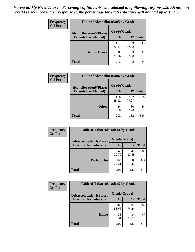| Frequency<br><b>Col Pct</b> | <b>Table of Alcohollocation5 by Grade</b> |              |             |              |
|-----------------------------|-------------------------------------------|--------------|-------------|--------------|
|                             | <b>Alcohollocation5(Places</b>            | Grade(Grade) |             |              |
|                             | <b>Friends Use Alcohol)</b>               | 10           | 12          | <b>Total</b> |
|                             |                                           | 154<br>76.24 | 89<br>67.42 | 243          |
|                             | <b>Friend's House</b>                     | 48<br>23.76  | 43<br>32.58 | 91           |
|                             | <b>Total</b>                              | 202          | 132         | 334          |

| Frequency      | <b>Table of Alcohollocation6 by Grade</b>                     |                    |              |              |
|----------------|---------------------------------------------------------------|--------------------|--------------|--------------|
| <b>Col Pct</b> | <b>Alcohollocation6(Places</b><br><b>Friends Use Alcohol)</b> | Grade(Grade)<br>10 | 12           | <b>Total</b> |
|                |                                                               | 178<br>88.12       | 102<br>77.27 | 280          |
|                | <b>Other</b>                                                  | 24<br>11.88        | 30<br>22.73  | 54           |
|                | <b>Total</b>                                                  | 202                | 132          | 334          |

| Frequency      | <b>Table of Tobaccolocation1 by Grade</b> |              |             |              |
|----------------|-------------------------------------------|--------------|-------------|--------------|
| <b>Col Pct</b> | <b>Tobaccolocation1(Places</b>            | Grade(Grade) |             |              |
|                | <b>Friends Use Tobacco)</b>               | 10           | <b>12</b>   | <b>Total</b> |
|                |                                           | 42<br>20.79  | 43<br>32.58 | 85           |
|                | <b>Do Not Use</b>                         | 160<br>79.21 | 89<br>67.42 | 249          |
|                | <b>Total</b>                              | 202          | 132         | 334          |

| Frequency      | <b>Table of Tobaccolocation2 by Grade</b> |              |             |              |  |
|----------------|-------------------------------------------|--------------|-------------|--------------|--|
| <b>Col Pct</b> | <b>Tobaccolocation2(Places</b>            | Grade(Grade) |             |              |  |
|                | <b>Friends Use Tobacco)</b>               | 10           | 12          | <b>Total</b> |  |
|                |                                           | 169<br>83.66 | 98<br>74.24 | 267          |  |
|                | Home                                      | 33<br>16.34  | 34<br>25.76 | 67           |  |
|                | <b>Total</b>                              | 202          | 132         | 334          |  |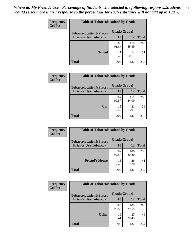| Frequency      | <b>Table of Tobaccolocation 3 by Grade</b> |              |              |              |  |
|----------------|--------------------------------------------|--------------|--------------|--------------|--|
| <b>Col Pct</b> | <b>Tobaccolocation3(Places</b>             | Grade(Grade) |              |              |  |
|                | <b>Friends Use Tobacco)</b>                | 10           | 12           | <b>Total</b> |  |
|                |                                            | 185<br>91.58 | 118<br>89.39 | 303          |  |
|                | <b>School</b>                              | 17<br>8.42   | 14<br>10.61  | 31           |  |
|                | <b>Total</b>                               | 202          | 132          | 334          |  |

| Frequency      | <b>Table of Tobaccolocation4 by Grade</b> |              |              |              |
|----------------|-------------------------------------------|--------------|--------------|--------------|
| <b>Col Pct</b> | <b>Tobaccolocation4(Places</b>            | Grade(Grade) |              |              |
|                | <b>Friends Use Tobacco)</b>               | 10           | 12           | <b>Total</b> |
|                |                                           | 187<br>92.57 | 111<br>84.09 | 298          |
|                | Car                                       | 15<br>7.43   | 21<br>15.91  | 36           |
|                | <b>Total</b>                              | 202          | 132          | 334          |

| Frequency<br><b>Col Pct</b> | <b>Table of Tobaccolocation5 by Grade</b>                     |                    |              |              |
|-----------------------------|---------------------------------------------------------------|--------------------|--------------|--------------|
|                             | <b>Tobaccolocation5(Places</b><br><b>Friends Use Tobacco)</b> | Grade(Grade)<br>10 | <b>12</b>    | <b>Total</b> |
|                             |                                                               |                    |              |              |
|                             |                                                               | 187<br>92.57       | 106<br>80.30 | 293          |
|                             | <b>Friend's House</b>                                         | 15<br>7.43         | 26<br>19.70  | 41           |
|                             | <b>Total</b>                                                  | 202                | 132          | 334          |

| <b>Frequency</b> | <b>Table of Tobaccolocation6 by Grade</b> |              |              |              |  |
|------------------|-------------------------------------------|--------------|--------------|--------------|--|
| <b>Col Pct</b>   | <b>Tobaccolocation6(Places</b>            | Grade(Grade) |              |              |  |
|                  | <b>Friends Use Tobacco)</b>               | 10           | 12           | <b>Total</b> |  |
|                  |                                           | 183<br>90.59 | 105<br>79.55 | 288          |  |
|                  | <b>Other</b>                              | 19<br>9.41   | 27<br>20.45  | 46           |  |
|                  | <b>Total</b>                              | 202          | 132          | 334          |  |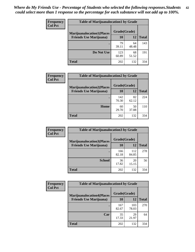| <b>Frequency</b> | <b>Table of Marijuanalocation1 by Grade</b> |              |             |              |
|------------------|---------------------------------------------|--------------|-------------|--------------|
| <b>Col Pct</b>   | <b>Marijuanalocation1(Places</b>            | Grade(Grade) |             |              |
|                  | <b>Friends Use Marijuana</b> )              | 10           | 12          | <b>Total</b> |
|                  |                                             | 79<br>39.11  | 64<br>48.48 | 143          |
|                  | Do Not Use                                  | 123<br>60.89 | 68<br>51.52 | 191          |
|                  | <b>Total</b>                                | 202          | 132         | 334          |

| <b>Frequency</b><br><b>Col Pct</b> | <b>Table of Marijuanalocation2 by Grade</b>                        |                    |             |              |
|------------------------------------|--------------------------------------------------------------------|--------------------|-------------|--------------|
|                                    | <b>Marijuanalocation2(Places</b><br><b>Friends Use Marijuana</b> ) | Grade(Grade)<br>10 | 12          | <b>Total</b> |
|                                    |                                                                    | 142<br>70.30       | 82<br>62.12 | 224          |
|                                    | Home                                                               | 60<br>29.70        | 50<br>37.88 | 110          |
|                                    | <b>Total</b>                                                       | 202                | 132         | 334          |

| Frequency<br><b>Col Pct</b> | <b>Table of Marijuanalocation3 by Grade</b> |              |              |              |
|-----------------------------|---------------------------------------------|--------------|--------------|--------------|
|                             | <b>Marijuanalocation3</b> (Places           | Grade(Grade) |              |              |
|                             | <b>Friends Use Marijuana</b> )              | 10           | 12           | <b>Total</b> |
|                             |                                             | 166<br>82.18 | 112<br>84.85 | 278          |
|                             | <b>School</b>                               | 36<br>17.82  | 20<br>15.15  | 56           |
|                             | <b>Total</b>                                | 202          | 132          | 334          |

| <b>Frequency</b> | <b>Table of Marijuanalocation4 by Grade</b> |              |              |              |  |
|------------------|---------------------------------------------|--------------|--------------|--------------|--|
| <b>Col Pct</b>   | <b>Marijuanalocation4(Places</b>            | Grade(Grade) |              |              |  |
|                  | <b>Friends Use Marijuana</b> )              | <b>10</b>    | 12           | <b>Total</b> |  |
|                  |                                             | 167<br>82.67 | 103<br>78.03 | 270          |  |
|                  | Car                                         | 35<br>17.33  | 29<br>21.97  | 64           |  |
|                  | <b>Total</b>                                | 202          | 132          | 334          |  |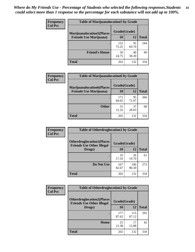| <b>Frequency</b> | <b>Table of Marijuanalocation5 by Grade</b> |              |             |              |
|------------------|---------------------------------------------|--------------|-------------|--------------|
| <b>Col Pct</b>   | <b>Marijuanalocation5</b> (Places           | Grade(Grade) |             |              |
|                  | <b>Friends Use Marijuana</b> )              | 10           | 12          | <b>Total</b> |
|                  |                                             | 152<br>75.25 | 92<br>69.70 | 244          |
|                  | <b>Friend's House</b>                       | 50<br>24.75  | 40<br>30.30 | 90           |
|                  | <b>Total</b>                                | 202          | 132         | 334          |

| <b>Frequency</b> | <b>Table of Marijuanalocation6 by Grade</b>                        |                    |             |              |
|------------------|--------------------------------------------------------------------|--------------------|-------------|--------------|
| <b>Col Pct</b>   | <b>Marijuanalocation6(Places</b><br><b>Friends Use Marijuana</b> ) | Grade(Grade)<br>10 | 12          | <b>Total</b> |
|                  |                                                                    | 171<br>84.65       | 95<br>71.97 | 266          |
|                  | <b>Other</b>                                                       | 31<br>15.35        | 37<br>28.03 | 68           |
|                  | <b>Total</b>                                                       | 202                | 132         | 334          |

| <b>Frequency</b> | <b>Table of Otherdruglocation1 by Grade</b>                          |              |              |              |
|------------------|----------------------------------------------------------------------|--------------|--------------|--------------|
| <b>Col Pct</b>   | <b>Otherdruglocation1(Places</b><br><b>Friends Use Other Illegal</b> | Grade(Grade) |              |              |
|                  | Drugs)                                                               | 10           | 12           | <b>Total</b> |
|                  |                                                                      | 35<br>17.33  | 26<br>19.70  | 61           |
|                  | Do Not Use                                                           | 167<br>82.67 | 106<br>80.30 | 273          |
|                  | <b>Total</b>                                                         | 202          | 132          | 334          |

| Frequency      | <b>Table of Otherdruglocation2 by Grade</b>                          |              |              |              |
|----------------|----------------------------------------------------------------------|--------------|--------------|--------------|
| <b>Col Pct</b> | <b>Otherdruglocation2(Places</b><br><b>Friends Use Other Illegal</b> | Grade(Grade) |              |              |
|                | Drugs)                                                               | 10           | 12           | <b>Total</b> |
|                |                                                                      | 177<br>87.62 | 115<br>87.12 | 292          |
|                | Home                                                                 | 25<br>12.38  | 17<br>12.88  | 42           |
|                | <b>Total</b>                                                         | 202          | 132          | 334          |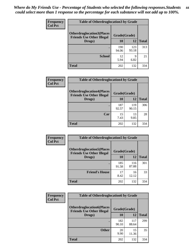| <b>Frequency</b> | <b>Table of Otherdruglocation 3 by Grade</b>                         |              |              |              |
|------------------|----------------------------------------------------------------------|--------------|--------------|--------------|
| <b>Col Pct</b>   | <b>Otherdruglocation3(Places</b><br><b>Friends Use Other Illegal</b> | Grade(Grade) |              |              |
|                  | Drugs)                                                               | 10           | 12           | <b>Total</b> |
|                  |                                                                      | 190<br>94.06 | 123<br>93.18 | 313          |
|                  | <b>School</b>                                                        | 12<br>5.94   | Q<br>6.82    | 21           |
|                  | <b>Total</b>                                                         | 202          | 132          | 334          |

| Frequency      | <b>Table of Otherdruglocation4 by Grade</b>                          |              |              |              |
|----------------|----------------------------------------------------------------------|--------------|--------------|--------------|
| <b>Col Pct</b> | <b>Otherdruglocation4(Places</b><br><b>Friends Use Other Illegal</b> | Grade(Grade) |              |              |
|                | Drugs)                                                               | 10           | 12           | <b>Total</b> |
|                |                                                                      | 187<br>92.57 | 119<br>90.15 | 306          |
|                | Car                                                                  | 15<br>7.43   | 13<br>9.85   | 28           |
|                | <b>Total</b>                                                         | 202          | 132          | 334          |

| <b>Frequency</b> | <b>Table of Otherdruglocation5 by Grade</b>                          |              |              |              |
|------------------|----------------------------------------------------------------------|--------------|--------------|--------------|
| <b>Col Pct</b>   | <b>Otherdruglocation5(Places</b><br><b>Friends Use Other Illegal</b> | Grade(Grade) |              |              |
|                  | Drugs)                                                               | 10           | 12           | <b>Total</b> |
|                  |                                                                      | 185<br>91.58 | 116<br>87.88 | 301          |
|                  | <b>Friend's House</b>                                                | 17<br>8.42   | 16<br>12.12  | 33           |
|                  | <b>Total</b>                                                         | 202          | 132          | 334          |

| <b>Frequency</b> | <b>Table of Otherdruglocation6 by Grade</b>                          |              |              |              |
|------------------|----------------------------------------------------------------------|--------------|--------------|--------------|
| <b>Col Pct</b>   | <b>Otherdruglocation6(Places</b><br><b>Friends Use Other Illegal</b> | Grade(Grade) |              |              |
|                  | Drugs)                                                               | 10           | 12           | <b>Total</b> |
|                  |                                                                      | 182<br>90.10 | 117<br>88.64 | 299          |
|                  | <b>Other</b>                                                         | 20<br>9.90   | 15<br>11.36  | 35           |
|                  | <b>Total</b>                                                         | 202          | 132          | 334          |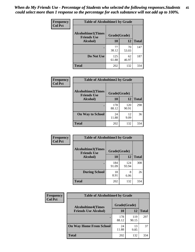| Frequency      | <b>Table of Alcoholtime1 by Grade</b>           |              |             |              |
|----------------|-------------------------------------------------|--------------|-------------|--------------|
| <b>Col Pct</b> | <b>Alcoholtime1(Times</b><br><b>Friends Use</b> | Grade(Grade) |             |              |
|                | Alcohol)                                        | 10           | 12          | <b>Total</b> |
|                |                                                 | 77<br>38.12  | 70<br>53.03 | 147          |
|                | Do Not Use                                      | 125<br>61.88 | 62<br>46.97 | 187          |
|                | <b>Total</b>                                    | 202          | 132         | 334          |

| Frequency      | <b>Table of Alcoholtime2 by Grade</b>           |              |              |              |
|----------------|-------------------------------------------------|--------------|--------------|--------------|
| <b>Col Pct</b> | <b>Alcoholtime2(Times</b><br><b>Friends Use</b> | Grade(Grade) |              |              |
|                | Alcohol)                                        | 10           | 12           | <b>Total</b> |
|                |                                                 | 178<br>88.12 | 120<br>90.91 | 298          |
|                | <b>On Way to School</b>                         | 24<br>11.88  | 12<br>9.09   | 36           |
|                | <b>Total</b>                                    | 202          | 132          | 334          |

| Frequency<br><b>Col Pct</b> | <b>Table of Alcoholtime3 by Grade</b>                    |              |              |              |
|-----------------------------|----------------------------------------------------------|--------------|--------------|--------------|
|                             | Alcoholtime3(Times<br>Grade(Grade)<br><b>Friends Use</b> |              |              |              |
|                             | Alcohol)                                                 | 10           | 12           | <b>Total</b> |
|                             |                                                          | 184<br>91.09 | 124<br>93.94 | 308          |
|                             | <b>During School</b>                                     | 18<br>8.91   | 8<br>6.06    | 26           |
|                             | Total                                                    | 202          | 132          | 334          |

| <b>Frequency</b><br><b>Col Pct</b> | <b>Table of Alcoholtime4 by Grade</b> |              |              |              |
|------------------------------------|---------------------------------------|--------------|--------------|--------------|
|                                    | <b>Alcoholtime4(Times</b>             | Grade(Grade) |              |              |
|                                    | <b>Friends Use Alcohol)</b>           | 10           | 12           | <b>Total</b> |
|                                    |                                       | 178<br>88.12 | 119<br>90.15 | 297          |
|                                    | <b>On Way Home From School</b>        | 24<br>11.88  | 13<br>9.85   | 37           |
|                                    | <b>Total</b>                          | 202          | 132          | 334          |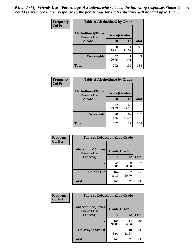*When do My Friends Use - Percentage of Students who selected the following responses.Students could select more than 1 response so the percentage for each substance will not add up to 100%.* **46**

| Frequency      | <b>Table of Alcoholtime5 by Grade</b>            |              |              |              |
|----------------|--------------------------------------------------|--------------|--------------|--------------|
| <b>Col Pct</b> | <b>Alcoholtime5</b> (Times<br><b>Friends Use</b> | Grade(Grade) |              |              |
|                | Alcohol)                                         | 10           | 12           | <b>Total</b> |
|                |                                                  | 160<br>79.21 | 111<br>84.09 | 271          |
|                | Weeknights                                       | 42<br>20.79  | 21<br>15.91  | 63           |
|                | <b>Total</b>                                     | 202          | 132          | 334          |

| Frequency      | <b>Table of Alcoholtime6 by Grade</b>           |              |             |              |
|----------------|-------------------------------------------------|--------------|-------------|--------------|
| <b>Col Pct</b> | <b>Alcoholtime6(Times</b><br><b>Friends Use</b> | Grade(Grade) |             |              |
|                | Alcohol)                                        | 10           | 12          | <b>Total</b> |
|                |                                                 | 132<br>65.35 | 65<br>49.24 | 197          |
|                | Weekends                                        | 70<br>34.65  | 67<br>50.76 | 137          |
|                | <b>Total</b>                                    | 202          | 132         | 334          |

| Frequency<br><b>Col Pct</b> | <b>Table of Tobaccotime1 by Grade</b>           |              |             |              |
|-----------------------------|-------------------------------------------------|--------------|-------------|--------------|
|                             | <b>Tobaccotime1(Times</b><br><b>Friends Use</b> | Grade(Grade) |             |              |
|                             | <b>Tobacco</b> )                                | 10           | 12          | <b>Total</b> |
|                             |                                                 | 38<br>18.81  | 40<br>30.30 | 78           |
|                             | Do Not Use                                      | 164<br>81.19 | 92<br>69.70 | 256          |
|                             | <b>Total</b>                                    | 202          | 132         | 334          |

| <b>Frequency</b> | <b>Table of Tobaccotime2 by Grade</b>           |              |              |              |
|------------------|-------------------------------------------------|--------------|--------------|--------------|
| <b>Col Pct</b>   | <b>Tobaccotime2(Times</b><br><b>Friends Use</b> | Grade(Grade) |              |              |
|                  | <b>Tobacco</b> )                                | 10           | 12           | <b>Total</b> |
|                  |                                                 | 184<br>91.09 | 114<br>86.36 | 298          |
|                  | <b>On Way to School</b>                         | 18<br>8.91   | 18<br>13.64  | 36           |
|                  | <b>Total</b>                                    | 202          | 132          | 334          |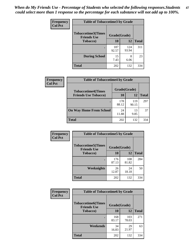*When do My Friends Use - Percentage of Students who selected the following responses.Students could select more than 1 response so the percentage for each substance will not add up to 100%.* **47**

| <b>Frequency</b> | <b>Table of Tobaccotime3 by Grade</b>           |              |              |              |  |
|------------------|-------------------------------------------------|--------------|--------------|--------------|--|
| <b>Col Pct</b>   | <b>Tobaccotime3(Times</b><br><b>Friends Use</b> | Grade(Grade) |              |              |  |
|                  | <b>Tobacco</b> )                                | 10           | 12           | <b>Total</b> |  |
|                  |                                                 | 187<br>92.57 | 124<br>93.94 | 311          |  |
|                  | <b>During School</b>                            | 15<br>7.43   | 8<br>6.06    | 23           |  |
|                  | <b>Total</b>                                    | 202          | 132          | 334          |  |

| <b>Frequency</b> | <b>Table of Tobaccotime4 by Grade</b> |              |              |              |
|------------------|---------------------------------------|--------------|--------------|--------------|
| <b>Col Pct</b>   | <b>Tobaccotime4(Times</b>             | Grade(Grade) |              |              |
|                  | <b>Friends Use Tobacco)</b>           | 10           | 12           | <b>Total</b> |
|                  |                                       | 178<br>88.12 | 119<br>90.15 | 297          |
|                  | <b>On Way Home From School</b>        | 24<br>11.88  | 13<br>9.85   | 37           |
|                  | <b>Total</b>                          | 202          | 132          | 334          |

| Frequency      | <b>Table of Tobaccotime5 by Grade</b>           |              |              |              |
|----------------|-------------------------------------------------|--------------|--------------|--------------|
| <b>Col Pct</b> | <b>Tobaccotime5(Times</b><br><b>Friends Use</b> | Grade(Grade) |              |              |
|                | <b>Tobacco</b> )                                | 10           | 12           | <b>Total</b> |
|                |                                                 | 176<br>87.13 | 108<br>81.82 | 284          |
|                | Weeknights                                      | 26<br>12.87  | 24<br>18.18  | 50           |
|                | <b>Total</b>                                    | 202          | 132          | 334          |

| <b>Frequency</b> | <b>Table of Tobaccotime6 by Grade</b>           |              |              |              |
|------------------|-------------------------------------------------|--------------|--------------|--------------|
| <b>Col Pct</b>   | <b>Tobaccotime6(Times</b><br><b>Friends Use</b> | Grade(Grade) |              |              |
|                  | <b>Tobacco</b> )                                | 10           | 12           | <b>Total</b> |
|                  | ٠                                               | 168<br>83.17 | 103<br>78.03 | 271          |
|                  | Weekends                                        | 34<br>16.83  | 29<br>21.97  | 63           |
|                  | <b>Total</b>                                    | 202          | 132          | 334          |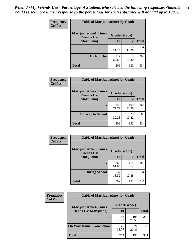| Frequency      | <b>Table of Marijuanatime1 by Grade</b>           |              |             |              |
|----------------|---------------------------------------------------|--------------|-------------|--------------|
| <b>Col Pct</b> | <b>Marijuanatime1(Times</b><br><b>Friends Use</b> | Grade(Grade) |             |              |
|                | Marijuana)                                        | 10           | 12          | <b>Total</b> |
|                |                                                   | 75<br>37.13  | 59<br>44.70 | 134          |
|                | Do Not Use                                        | 127<br>62.87 | 73<br>55.30 | 200          |
|                | <b>Total</b>                                      | 202          | 132         | 334          |

| Frequency      | <b>Table of Marijuanatime2 by Grade</b>           |              |              |              |
|----------------|---------------------------------------------------|--------------|--------------|--------------|
| <b>Col Pct</b> | <b>Marijuanatime2(Times</b><br><b>Friends Use</b> | Grade(Grade) |              |              |
|                | Marijuana)                                        | 10           | 12           | <b>Total</b> |
|                |                                                   | 157<br>77.72 | 109<br>82.58 | 266          |
|                | <b>On Way to School</b>                           | 45<br>22.28  | 23<br>17.42  | 68           |
|                | <b>Total</b>                                      | 202          | 132          | 334          |

| Frequency      | <b>Table of Marijuanatime3 by Grade</b>    |              |              |              |  |
|----------------|--------------------------------------------|--------------|--------------|--------------|--|
| <b>Col Pct</b> | Marijuanatime3(Times<br><b>Friends Use</b> | Grade(Grade) |              |              |  |
|                | Marijuana)                                 | 10           | 12           | <b>Total</b> |  |
|                |                                            | 165<br>81.68 | 115<br>87.12 | 280          |  |
|                | <b>During School</b>                       | 37<br>18.32  | 17<br>12.88  | 54           |  |
|                | <b>Total</b>                               | 202          | 132          | 334          |  |

| Frequency<br><b>Col Pct</b> | <b>Table of Marijuanatime4 by Grade</b> |              |              |       |
|-----------------------------|-----------------------------------------|--------------|--------------|-------|
|                             | <b>Marijuanatime4</b> (Times            | Grade(Grade) |              |       |
|                             | <b>Friends Use Marijuana</b> )          | 10           | 12           | Total |
|                             |                                         | 156<br>77.23 | 105<br>79.55 | 261   |
|                             | <b>On Way Home From School</b>          | 46<br>22.77  | 27<br>20.45  | 73    |
|                             | <b>Total</b>                            | 202          | 132          | 334   |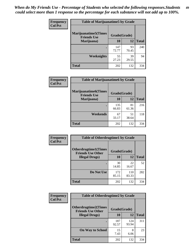| Frequency      | <b>Table of Marijuanatime5 by Grade</b>            |              |             |              |
|----------------|----------------------------------------------------|--------------|-------------|--------------|
| <b>Col Pct</b> | <b>Marijuanatime5</b> (Times<br><b>Friends Use</b> | Grade(Grade) |             |              |
|                | Marijuana)                                         | 10           | 12          | <b>Total</b> |
|                |                                                    | 147<br>72.77 | 93<br>70.45 | 240          |
|                | Weeknights                                         | 55<br>27.23  | 39<br>29.55 | 94           |
|                | <b>Total</b>                                       | 202          | 132         | 334          |

| Frequency      | <b>Table of Marijuanatime6 by Grade</b>            |              |             |              |
|----------------|----------------------------------------------------|--------------|-------------|--------------|
| <b>Col Pct</b> | <b>Marijuanatime6</b> (Times<br><b>Friends Use</b> | Grade(Grade) |             |              |
|                | Marijuana)                                         | 10           | 12          | <b>Total</b> |
|                |                                                    | 135<br>66.83 | 81<br>61.36 | 216          |
|                | Weekends                                           | 67<br>33.17  | 51<br>38.64 | 118          |
|                | <b>Total</b>                                       | 202          | 132         | 334          |

| <b>Frequency</b> | <b>Table of Otherdrugtime1 by Grade</b>                  |              |              |              |  |
|------------------|----------------------------------------------------------|--------------|--------------|--------------|--|
| <b>Col Pct</b>   | <b>Otherdrugtime1</b> (Times<br><b>Friends Use Other</b> | Grade(Grade) |              |              |  |
|                  | <b>Illegal Drugs</b> )                                   | 10           | 12           | <b>Total</b> |  |
|                  |                                                          | 30<br>14.85  | 22<br>16.67  | 52           |  |
|                  | Do Not Use                                               | 172<br>85.15 | 110<br>83.33 | 282          |  |
|                  | <b>Total</b>                                             | 202          | 132          | 334          |  |

| Frequency      | <b>Table of Otherdrugtime2 by Grade</b>                                 |              |              |              |
|----------------|-------------------------------------------------------------------------|--------------|--------------|--------------|
| <b>Col Pct</b> | <b>Otherdrugtime2(Times</b><br>Grade(Grade)<br><b>Friends Use Other</b> |              |              |              |
|                | <b>Illegal Drugs</b> )                                                  | 10           | 12           | <b>Total</b> |
|                |                                                                         | 187<br>92.57 | 124<br>93.94 | 311          |
|                | <b>On Way to School</b>                                                 | 15<br>7.43   | 8<br>6.06    | 23           |
|                | Total                                                                   | 202          | 132          | 334          |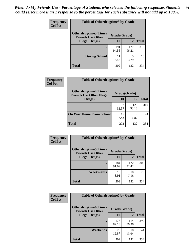| <b>Frequency</b> | <b>Table of Otherdrugtime3 by Grade</b>          |              |              |     |
|------------------|--------------------------------------------------|--------------|--------------|-----|
| <b>Col Pct</b>   | Otherdrugtime3(Times<br><b>Friends Use Other</b> | Grade(Grade) |              |     |
|                  | <b>Illegal Drugs</b> )                           | 10           | <b>Total</b> |     |
|                  |                                                  | 191<br>94.55 | 127<br>96.21 | 318 |
|                  | <b>During School</b>                             | 11<br>5.45   | 5<br>3.79    | 16  |
|                  | <b>Total</b>                                     | 202          | 132          | 334 |

| <b>Frequency</b> | <b>Table of Otherdrugtime4 by Grade</b>                         |              |              |              |  |
|------------------|-----------------------------------------------------------------|--------------|--------------|--------------|--|
| <b>Col Pct</b>   | <b>Otherdrugtime4(Times</b><br><b>Friends Use Other Illegal</b> | Grade(Grade) |              |              |  |
|                  | Drugs)                                                          | 10           | 12           | <b>Total</b> |  |
|                  | $\bullet$                                                       | 187<br>92.57 | 123<br>93.18 | 310          |  |
|                  | <b>On Way Home From School</b>                                  | 15<br>7.43   | q<br>6.82    | 24           |  |
|                  | <b>Total</b>                                                    | 202          | 132          | 334          |  |

| <b>Frequency</b> | <b>Table of Otherdrugtime5 by Grade</b>                  |              |              |              |  |
|------------------|----------------------------------------------------------|--------------|--------------|--------------|--|
| <b>Col Pct</b>   | <b>Otherdrugtime5</b> (Times<br><b>Friends Use Other</b> | Grade(Grade) |              |              |  |
|                  | <b>Illegal Drugs</b> )                                   | 10           | 12           | <b>Total</b> |  |
|                  |                                                          | 184<br>91.09 | 122<br>92.42 | 306          |  |
|                  | <b>Weeknights</b>                                        | 18<br>8.91   | 10<br>7.58   | 28           |  |
|                  | Total                                                    | 202          | 132          | 334          |  |

| <b>Frequency</b><br><b>Col Pct</b> | <b>Table of Otherdrugtime6 by Grade</b>                                 |              |              |              |  |
|------------------------------------|-------------------------------------------------------------------------|--------------|--------------|--------------|--|
|                                    | <b>Otherdrugtime6(Times</b><br>Grade(Grade)<br><b>Friends Use Other</b> |              |              |              |  |
|                                    | <b>Illegal Drugs</b> )                                                  | 10           | 12           | <b>Total</b> |  |
|                                    |                                                                         | 176<br>87.13 | 114<br>86.36 | 290          |  |
|                                    | Weekends                                                                | 26<br>12.87  | 18<br>13.64  | 44           |  |
|                                    | <b>Total</b>                                                            | 202          | 132          | 334          |  |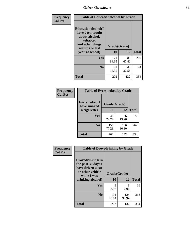| Frequency      | <b>Table of Educationalcohol by Grade</b>                                                                  |              |             |                           |  |
|----------------|------------------------------------------------------------------------------------------------------------|--------------|-------------|---------------------------|--|
| <b>Col Pct</b> | Educationalcohol(I<br>have been taught<br>about alcohol,<br>tobacco,<br>and other drugs<br>within the last | Grade(Grade) |             |                           |  |
|                | year at school)                                                                                            | 10           | 12          | <b>Total</b><br>260<br>74 |  |
|                | <b>Yes</b>                                                                                                 | 171<br>84.65 | 89<br>67.42 |                           |  |
|                | N <sub>0</sub>                                                                                             | 31<br>15.35  | 43<br>32.58 |                           |  |
|                | <b>Total</b>                                                                                               | 202          | 132         | 334                       |  |

| Frequency      | <b>Table of Eversmoked by Grade</b> |              |              |              |  |
|----------------|-------------------------------------|--------------|--------------|--------------|--|
| <b>Col Pct</b> | Eversmoked(I<br>have smoked         | Grade(Grade) |              |              |  |
|                | a cigarette)                        | 10           | 12           | <b>Total</b> |  |
|                | Yes                                 | 46<br>22.77  | 26<br>19.70  | 72           |  |
|                | N <sub>0</sub>                      | 156<br>77.23 | 106<br>80.30 | 262          |  |
|                | <b>Total</b>                        | 202          | 132          | 334          |  |

| Frequency      | <b>Table of Drovedrinking by Grade</b>                                                                              |              |                    |     |  |
|----------------|---------------------------------------------------------------------------------------------------------------------|--------------|--------------------|-----|--|
| <b>Col Pct</b> | Drovedrinking(In<br>the past 30 days I<br>have driven a car<br>or other vehicle<br>while I was<br>drinking alcohol) | 10           | Grade(Grade)<br>12 |     |  |
|                | <b>Yes</b>                                                                                                          | 8<br>3.96    | 8<br>6.06          | 16  |  |
|                | N <sub>0</sub>                                                                                                      | 194<br>96.04 | 124<br>93.94       | 318 |  |
|                | <b>Total</b>                                                                                                        | 202          | 132                | 334 |  |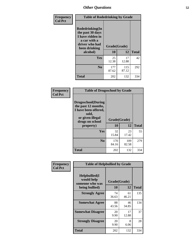| Frequency<br><b>Col Pct</b> | <b>Table of Rodedrinking by Grade</b>                                                                      |              |              |              |  |
|-----------------------------|------------------------------------------------------------------------------------------------------------|--------------|--------------|--------------|--|
|                             | Rodedrinking(In<br>the past 30 days<br>I have ridden in<br>a car with a<br>driver who had<br>been drinking | Grade(Grade) |              |              |  |
|                             | alcohol)                                                                                                   | 10           | 12           | <b>Total</b> |  |
|                             | <b>Yes</b>                                                                                                 | 25<br>12.38  | 17<br>12.88  | 42           |  |
|                             | N <sub>0</sub>                                                                                             | 177<br>87.62 | 115<br>87.12 | 292          |  |
|                             | <b>Total</b>                                                                                               | 202          | 132          | 334          |  |

#### **Frequency Col Pct**

|                                                                                                                           | <b>Table of Drugsschool by Grade</b> |              |              |  |  |
|---------------------------------------------------------------------------------------------------------------------------|--------------------------------------|--------------|--------------|--|--|
| <b>Drugsschool</b> (During<br>the past 12 months,<br>I have been offered,<br>sold,<br>or given illegal<br>drugs on school | Grade(Grade)                         |              |              |  |  |
| property)                                                                                                                 | 10                                   | 12           | <b>Total</b> |  |  |
| Yes                                                                                                                       | 32<br>15.84                          | 23<br>17.42  | 55           |  |  |
|                                                                                                                           |                                      |              |              |  |  |
| N <sub>0</sub>                                                                                                            | 170<br>84.16                         | 109<br>82.58 | 279          |  |  |

| Frequency      | <b>Table of Helpbullied by Grade</b>           |              |             |              |  |  |
|----------------|------------------------------------------------|--------------|-------------|--------------|--|--|
| <b>Col Pct</b> | Helpbullied(I<br>would help<br>someone who was | Grade(Grade) |             |              |  |  |
|                | being bullied)                                 | <b>10</b>    | 12          | <b>Total</b> |  |  |
|                | <b>Strongly Agree</b>                          | 74<br>36.63  | 61<br>46.21 | 135          |  |  |
|                | <b>Somewhat Agree</b>                          | 88<br>43.56  | 46<br>34.85 | 134          |  |  |
|                | <b>Somewhat Disagree</b>                       | 20<br>9.90   | 17<br>12.88 | 37           |  |  |
|                | <b>Strongly Disagree</b>                       | 20<br>9.90   | 8<br>6.06   | 28           |  |  |
|                | <b>Total</b>                                   | 202          | 132         | 334          |  |  |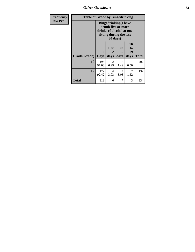*Other Questions* **53**

| <b>Frequency</b> |              | <b>Table of Grade by Bingedrinking</b>                                                                                |                        |                              |                               |              |
|------------------|--------------|-----------------------------------------------------------------------------------------------------------------------|------------------------|------------------------------|-------------------------------|--------------|
| <b>Row Pct</b>   |              | <b>Bingedrinking</b> (I have<br>drunk five or more<br>drinks of alcohol at one<br>sitting during the last<br>30 days) |                        |                              |                               |              |
|                  | Grade(Grade) | 0<br><b>Days</b>                                                                                                      | 1 or<br>2<br>days      | 3 <sub>to</sub><br>5<br>days | <b>10</b><br>to<br>19<br>days | <b>Total</b> |
|                  | 10           | 196<br>97.03                                                                                                          | $\mathfrak{D}$<br>0.99 | 3<br>1.49                    | 0.50                          | 202          |
|                  | 12           | 122<br>92.42                                                                                                          | 4<br>3.03              | 4<br>3.03                    | 2<br>1.52                     | 132          |
|                  | Total        | 318                                                                                                                   | 6                      | 7                            | 3                             | 334          |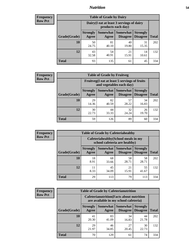## *Nutrition* **54**

| <b>Frequency</b><br>Row Pct |  |
|-----------------------------|--|
|                             |  |

| <b>Table of Grade by Dairy</b> |                          |                                                                 |                                    |                                    |              |  |
|--------------------------------|--------------------------|-----------------------------------------------------------------|------------------------------------|------------------------------------|--------------|--|
|                                |                          | Dairy (I eat at least 3 servings of dairy<br>products each day) |                                    |                                    |              |  |
| Grade(Grade)                   | <b>Strongly</b><br>Agree | Somewhat<br>Agree                                               | <b>Somewhat</b><br><b>Disagree</b> | <b>Strongly</b><br><b>Disagree</b> | <b>Total</b> |  |
| 10                             | 50<br>24.75              | 81<br>40.10                                                     | 40<br>19.80                        | 31<br>15.35                        | 202          |  |
| 12                             | 43<br>32.58              | 54<br>40.91                                                     | 21<br>15.91                        | 14<br>10.61                        | 132          |  |
| <b>Total</b>                   | 93                       | 135                                                             | 61                                 | 45                                 | 334          |  |

| <b>Frequency</b> |  |
|------------------|--|
| <b>Row Pct</b>   |  |

| <b>Table of Grade by Fruitveg</b> |                                                                          |             |                     |                                        |              |  |
|-----------------------------------|--------------------------------------------------------------------------|-------------|---------------------|----------------------------------------|--------------|--|
|                                   | Fruitveg(I eat at least 5 servings of fruits<br>and vegetables each day) |             |                     |                                        |              |  |
| Grade(Grade)                      | <b>Strongly</b><br>Agree                                                 | Agree       | Somewhat   Somewhat | <b>Strongly</b><br>Disagree   Disagree | <b>Total</b> |  |
| 10                                | 29<br>14.36                                                              | 82<br>40.59 | 57<br>28.22         | 34<br>16.83                            | 202          |  |
| 12                                | 30<br>22.73                                                              | 44<br>33.33 | 32<br>24.24         | 26<br>19.70                            | 132          |  |
| <b>Total</b>                      | 59                                                                       | 126         | 89                  | 60                                     | 334          |  |

| Frequency      | <b>Table of Grade by Cafeteriahealthy</b> |                          |                                                                       |                                    |                                    |              |  |
|----------------|-------------------------------------------|--------------------------|-----------------------------------------------------------------------|------------------------------------|------------------------------------|--------------|--|
| <b>Row Pct</b> |                                           |                          | Cafeteriahealthy (School meals in my<br>school cafeteria are healthy) |                                    |                                    |              |  |
|                | Grade(Grade)                              | <b>Strongly</b><br>Agree | Somewhat  <br>Agree                                                   | <b>Somewhat</b><br><b>Disagree</b> | <b>Strongly</b><br><b>Disagree</b> | <b>Total</b> |  |
|                | 10                                        | 18<br>8.91               | 68<br>33.66                                                           | 58<br>28.71                        | 58<br>28.71                        | 202          |  |
|                | 12                                        | 8.33                     | 45<br>34.09                                                           | 21<br>15.91                        | 55<br>41.67                        | 132          |  |
|                | <b>Total</b>                              | 29                       | 113                                                                   | 79                                 | 113                                | 334          |  |

| <b>Frequency</b> |
|------------------|
| <b>Row Pct</b>   |

| <b>Table of Grade by Cafeterianutrition</b>                                               |                          |                   |                             |                                    |              |
|-------------------------------------------------------------------------------------------|--------------------------|-------------------|-----------------------------|------------------------------------|--------------|
| <b>Cafeterianutrition</b> (Facts about nutrition<br>are available in my school cafeteria) |                          |                   |                             |                                    |              |
| Grade(Grade)                                                                              | <b>Strongly</b><br>Agree | Somewhat<br>Agree | <b>Somewhat</b><br>Disagree | <b>Strongly</b><br><b>Disagree</b> | <b>Total</b> |
| 10                                                                                        | 41<br>20.30              | 83<br>41.09       | 34<br>16.83                 | 44<br>21.78                        | 202          |
| 12                                                                                        | 29<br>21.97              | 46<br>34.85       | 27<br>20.45                 | 30<br>22.73                        | 132          |
| <b>Total</b>                                                                              | 70                       | 129               | 61                          | 74                                 | 334          |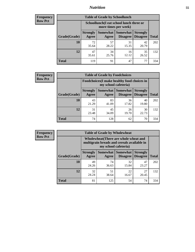## *Nutrition* **55**

| <b>Frequency</b> |
|------------------|
| <b>Row Pct</b>   |

| <b>Table of Grade by Schoollunch</b> |                          |                                                                 |                             |                                    |       |  |
|--------------------------------------|--------------------------|-----------------------------------------------------------------|-----------------------------|------------------------------------|-------|--|
|                                      |                          | Schoollunch(I eat school lunch three or<br>more times per week) |                             |                                    |       |  |
| Grade(Grade)                         | <b>Strongly</b><br>Agree | Somewhat  <br>Agree                                             | <b>Somewhat</b><br>Disagree | <b>Strongly</b><br><b>Disagree</b> | Total |  |
| 10                                   | 72<br>35.64              | 57<br>28.22                                                     | 31<br>15.35                 | 42<br>20.79                        | 202   |  |
| 12                                   | 47<br>35.61              | 34<br>25.76                                                     | 16<br>12.12                 | 35<br>26.52                        | 132   |  |
| <b>Total</b>                         | 119                      | 91                                                              | 47                          | 77                                 | 334   |  |

| <b>Frequency</b> |  |
|------------------|--|
| <b>Row Pct</b>   |  |

| <b>Table of Grade by Foodchoices</b> |                                                                            |             |                     |                                        |              |  |
|--------------------------------------|----------------------------------------------------------------------------|-------------|---------------------|----------------------------------------|--------------|--|
|                                      | <b>Foodchoices</b> (I make healthy food choices in<br>my school cafeteria) |             |                     |                                        |              |  |
| Grade(Grade)                         | <b>Strongly</b><br>Agree                                                   | Agree       | Somewhat   Somewhat | <b>Strongly</b><br>Disagree   Disagree | <b>Total</b> |  |
| 10                                   | 43<br>21.29                                                                | 83<br>41.09 | 36<br>17.82         | 40<br>19.80                            | 202          |  |
| 12                                   | 31<br>23.48                                                                | 45<br>34.09 | 26<br>19.70         | 30<br>22.73                            | 132          |  |
| <b>Total</b>                         | 74                                                                         | 128         | 62                  | 70                                     | 334          |  |

| <b>Frequency</b> |
|------------------|
| <b>Row Pct</b>   |

| y | <b>Table of Grade by Wholewheat</b> |                                                                                                             |                     |                                    |                                    |              |  |
|---|-------------------------------------|-------------------------------------------------------------------------------------------------------------|---------------------|------------------------------------|------------------------------------|--------------|--|
|   |                                     | Wholewheat (There are whole wheat and<br>multigrain breads and cereals available in<br>my school cafeteria) |                     |                                    |                                    |              |  |
|   | Grade(Grade)                        | <b>Strongly</b><br>Agree                                                                                    | Somewhat  <br>Agree | <b>Somewhat</b><br><b>Disagree</b> | <b>Strongly</b><br><b>Disagree</b> | <b>Total</b> |  |
|   | 10                                  | 49<br>24.26                                                                                                 | 74<br>36.63         | 32<br>15.84                        | 47<br>23.27                        | 202          |  |
|   | 12                                  | 32<br>24.24                                                                                                 | 51<br>38.64         | 22<br>16.67                        | 27<br>20.45                        | 132          |  |
|   | <b>Total</b>                        | 81                                                                                                          | 125                 | 54                                 | 74                                 | 334          |  |

٦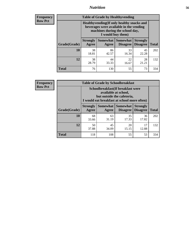## *Nutrition* **56**

**Frequency Row Pct**

| <b>Table of Grade by Healthyvending</b> |                                                                                                                                               |             |                                        |                                    |              |  |  |
|-----------------------------------------|-----------------------------------------------------------------------------------------------------------------------------------------------|-------------|----------------------------------------|------------------------------------|--------------|--|--|
|                                         | Healthyvending (If only healthy snacks and<br>beverages were available in the vending<br>machines during the school day,<br>I would buy them) |             |                                        |                                    |              |  |  |
| Grade(Grade)                            | <b>Strongly</b><br>Agree                                                                                                                      | Agree       | Somewhat   Somewhat<br><b>Disagree</b> | <b>Strongly</b><br><b>Disagree</b> | <b>Total</b> |  |  |
| 10                                      | 38<br>18.81                                                                                                                                   | 86<br>42.57 | 33<br>16.34                            | 45<br>22.28                        | 202          |  |  |
| 12                                      | 38<br>28.79                                                                                                                                   | 44<br>33.33 | 22<br>16.67                            | 28<br>21.21                        | 132          |  |  |
| <b>Total</b>                            | 76                                                                                                                                            | 130         | 55                                     | 73                                 | 334          |  |  |

**Frequency Row Pct**

| <b>Table of Grade by Schoolbreakfast</b> |                                                                                                                                         |             |                                        |                                    |              |  |  |
|------------------------------------------|-----------------------------------------------------------------------------------------------------------------------------------------|-------------|----------------------------------------|------------------------------------|--------------|--|--|
|                                          | Schoolbreakfast (If breakfast were<br>available at school,<br>but outside the cafeteria,<br>I would eat breakfast at school more often) |             |                                        |                                    |              |  |  |
| Grade(Grade)                             | <b>Strongly</b><br>Agree                                                                                                                | Agree       | Somewhat   Somewhat<br><b>Disagree</b> | <b>Strongly</b><br><b>Disagree</b> | <b>Total</b> |  |  |
| 10                                       | 68<br>33.66                                                                                                                             | 63<br>31.19 | 35<br>17.33                            | 36<br>17.82                        | 202          |  |  |
| 12                                       | 50<br>37.88                                                                                                                             | 45<br>34.09 | 20<br>15.15                            | 17<br>12.88                        | 132          |  |  |
| <b>Total</b>                             | 118                                                                                                                                     | 108         | 55                                     | 53                                 | 334          |  |  |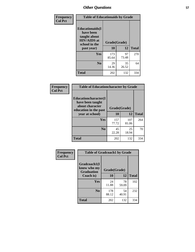| Frequency<br><b>Col Pct</b> | <b>Table of Educationaids by Grade</b>                                                      |              |             |              |
|-----------------------------|---------------------------------------------------------------------------------------------|--------------|-------------|--------------|
|                             | <b>Educationaids</b> (I<br>have been<br>taught about<br><b>HIV/AIDS</b> at<br>school in the | Grade(Grade) |             |              |
|                             | past year)                                                                                  | 10           | 12          | <b>Total</b> |
|                             | <b>Yes</b>                                                                                  | 173<br>85.64 | 97<br>73.48 | 270          |
|                             | N <sub>0</sub>                                                                              | 29<br>14.36  | 35<br>26.52 | 64           |
|                             | <b>Total</b>                                                                                | 202          | 132         | 334          |

| Frequency      | <b>Table of Educationcharacter by Grade</b>                                                  |              |              |              |
|----------------|----------------------------------------------------------------------------------------------|--------------|--------------|--------------|
| <b>Col Pct</b> | <b>Educationcharacter(I)</b><br>have been taught<br>about character<br>education in the past | Grade(Grade) |              |              |
|                | year at school)                                                                              | 10           | 12           | <b>Total</b> |
|                | Yes                                                                                          | 157<br>77.72 | 107<br>81.06 | 264          |
|                | N <sub>0</sub>                                                                               | 45<br>22.28  | 25<br>18.94  | 70           |
|                | <b>Total</b>                                                                                 | 202          | 132          | 334          |

| Frequency      | <b>Table of Gradcoach1 by Grade</b> |              |             |              |  |
|----------------|-------------------------------------|--------------|-------------|--------------|--|
| <b>Col Pct</b> | Gradcoach1(I                        |              |             |              |  |
|                | know who my<br><b>Graduation</b>    | Grade(Grade) |             |              |  |
|                | Coach is)                           | 10           | 12          | <b>Total</b> |  |
|                | Yes                                 | 24<br>11.88  | 78<br>59.09 | 102          |  |
|                | N <sub>0</sub>                      | 178<br>88.12 | 54<br>40.91 | 232          |  |
|                | <b>Total</b>                        | 202          | 132         | 334          |  |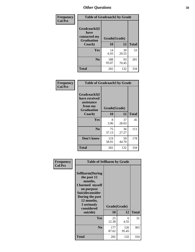| Frequency      | <b>Table of Gradcoach2 by Grade</b> |              |             |              |
|----------------|-------------------------------------|--------------|-------------|--------------|
| <b>Col Pct</b> |                                     |              |             |              |
|                | Gradcoach2(I<br>have                |              |             |              |
|                | contacted my<br><b>Graduation</b>   | Grade(Grade) |             |              |
|                | Coach)                              | 10           | 12          | <b>Total</b> |
|                | <b>Yes</b>                          | 14<br>6.93   | 39<br>29.55 | 53           |
|                | N <sub>0</sub>                      | 188<br>93.07 | 93<br>70.45 | 281          |
|                | <b>Total</b>                        | 202          | 132         | 334          |

| Frequency<br><b>Col Pct</b> | <b>Table of Gradcoach3 by Grade</b>                                         |              |             |              |
|-----------------------------|-----------------------------------------------------------------------------|--------------|-------------|--------------|
|                             | Gradcoach3(I<br>have received<br>assistance<br>from my<br><b>Graduation</b> | Grade(Grade) |             |              |
|                             | Coach)                                                                      | 10           | 12          | <b>Total</b> |
|                             | Yes                                                                         | 8<br>3.96    | 37<br>28.03 | 45           |
|                             | N <sub>0</sub>                                                              | 75<br>37.13  | 36<br>27.27 | 111          |
|                             | Don't know                                                                  | 119<br>58.91 | 59<br>44.70 | 178          |
|                             | <b>Total</b>                                                                | 202          | 132         | 334          |

| Frequency      | <b>Table of Selfharm by Grade</b>                                                                                                                                                      |                    |              |              |
|----------------|----------------------------------------------------------------------------------------------------------------------------------------------------------------------------------------|--------------------|--------------|--------------|
| <b>Col Pct</b> | <b>Selfharm</b> (During<br>the past 12<br>months,<br>I harmed myself<br>on purpose<br><b>Suicideconsider</b><br>During the past<br>12 months,<br>I seriously<br>considered<br>suicide) | Grade(Grade)<br>10 | 12           | <b>Total</b> |
|                | Yes                                                                                                                                                                                    | 25<br>12.38        | 6<br>4.55    | 31           |
|                | N <sub>0</sub>                                                                                                                                                                         | 177<br>87.62       | 126<br>95.45 | 303          |
|                | Total                                                                                                                                                                                  | 202                | 132          | 334          |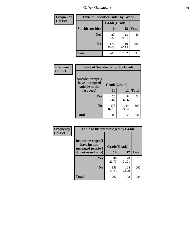| <b>Frequency</b> | <b>Table of Suicideconsider by Grade</b> |              |              |              |  |
|------------------|------------------------------------------|--------------|--------------|--------------|--|
| <b>Col Pct</b>   |                                          | Grade(Grade) |              |              |  |
|                  | Suicideconsider                          | <b>10</b>    | 12           | <b>Total</b> |  |
|                  | Yes                                      | 27<br>13.37  | 13<br>9.85   | 40           |  |
|                  | N <sub>0</sub>                           | 175<br>86.63 | 119<br>90.15 | 294          |  |
|                  | Total                                    | 202          | 132          | 334          |  |

| Frequency      | <b>Table of Suicideattempt by Grade</b>              |              |              |              |
|----------------|------------------------------------------------------|--------------|--------------|--------------|
| <b>Col Pct</b> | Suicideattempt(I<br>have attempted<br>suicide in the | Grade(Grade) |              |              |
|                | last year)                                           | 10           | 12           | <b>Total</b> |
|                | Yes                                                  | 26<br>12.87  | 8<br>6.06    | 34           |
|                | N <sub>0</sub>                                       | 176<br>87.13 | 124<br>93.94 | 300          |
|                | <b>Total</b>                                         | 202          | 132          | 334          |

| Frequency      | <b>Table of Instantmessaged by Grade</b>               |              |              |              |
|----------------|--------------------------------------------------------|--------------|--------------|--------------|
| <b>Col Pct</b> | Instantmessaged(I<br>have instant<br>messaged people I | Grade(Grade) |              |              |
|                | do not even know)                                      | 10           | 12           | <b>Total</b> |
|                | Yes                                                    | 46<br>22.77  | 28<br>21.21  | 74           |
|                | N <sub>0</sub>                                         | 156<br>77.23 | 104<br>78.79 | 260          |
|                | <b>Total</b>                                           | 202          | 132          | 334          |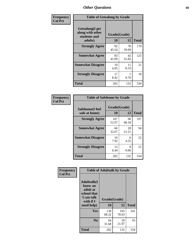| Frequency      | <b>Table of Getsalong by Grade</b>                          |              |             |              |  |  |  |
|----------------|-------------------------------------------------------------|--------------|-------------|--------------|--|--|--|
| <b>Col Pct</b> | <b>Getsalong</b> (I get<br>along with other<br>students and | Grade(Grade) |             |              |  |  |  |
|                | adults)                                                     | 10           | 12          | <b>Total</b> |  |  |  |
|                | <b>Strongly Agree</b>                                       | 92<br>45.54  | 78<br>59.09 | 170          |  |  |  |
|                | <b>Somewhat Agree</b>                                       | 83<br>41.09  | 42<br>31.82 | 125          |  |  |  |
|                | <b>Somewhat Disagree</b>                                    | 10<br>4.95   | 11<br>8.33  | 21           |  |  |  |
|                | <b>Strongly Disagree</b>                                    | 17<br>8.42   | 0.76        | 18           |  |  |  |
|                | Total                                                       | 202          | 132         | 334          |  |  |  |

| Frequency      | <b>Table of Safehome by Grade</b> |                    |             |              |
|----------------|-----------------------------------|--------------------|-------------|--------------|
| <b>Col Pct</b> | Safehome(I feel<br>safe at home)  | Grade(Grade)<br>10 | 12          | <b>Total</b> |
|                | <b>Strongly Agree</b>             | 107<br>52.97       | 90<br>68.18 | 197          |
|                | <b>Somewhat Agree</b>             | 66<br>32.67        | 28<br>21.21 | 94           |
|                | <b>Somewhat Disagree</b>          | 16<br>7.92         | 6<br>4.55   | 22           |
|                | <b>Strongly Disagree</b>          | 13<br>6.44         | 8<br>6.06   | 21           |
|                | <b>Total</b>                      | 202                | 132         | 334          |

| Frequency      | <b>Table of Adulttalk by Grade</b>                                                    |              |              |              |  |  |  |  |
|----------------|---------------------------------------------------------------------------------------|--------------|--------------|--------------|--|--|--|--|
| <b>Col Pct</b> | <b>Adulttalk(I</b><br>know an<br>adult at<br>school that<br>I can talk<br>with if $I$ | Grade(Grade) |              |              |  |  |  |  |
|                | need help)                                                                            | 10           | 12           | <b>Total</b> |  |  |  |  |
|                | <b>Yes</b>                                                                            | 138<br>68.32 | 103<br>78.03 | 241          |  |  |  |  |
|                | N <sub>0</sub>                                                                        | 64<br>31.68  | 29<br>21.97  | 93           |  |  |  |  |
|                | <b>Total</b>                                                                          | 202          | 132          | 334          |  |  |  |  |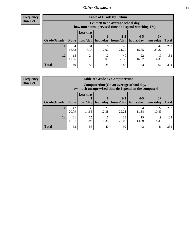**Frequency Row Pct**

| <b>Table of Grade by Tytime</b> |             |                                                                                         |            |                                                                      |             |             |              |  |  |  |
|---------------------------------|-------------|-----------------------------------------------------------------------------------------|------------|----------------------------------------------------------------------|-------------|-------------|--------------|--|--|--|
|                                 |             | Tytime (On an average school day,<br>how much unsupervised time do I spend watching TV) |            |                                                                      |             |             |              |  |  |  |
| Grade(Grade)   None             |             | <b>Less that</b>                                                                        |            | $2 - 3$<br>$hour/day$   hour/day   hours/day   hours/day   hours/day | $4 - 5$     | $6+$        | <b>Total</b> |  |  |  |
| 10                              | 34<br>16.83 | 31<br>15.35                                                                             | 16<br>7.92 | 43<br>21.29                                                          | 31<br>15.35 | 47<br>23.27 | 202          |  |  |  |
| 12                              | 15<br>11.36 | 24<br>18.18                                                                             | 12<br>9.09 | 40<br>30.30                                                          | 22<br>16.67 | 19<br>14.39 | 132          |  |  |  |
| <b>Total</b>                    | 49          | 55                                                                                      | 28         | 83                                                                   | 53          | 66          | 334          |  |  |  |

**Frequency Row Pct**

| <b>Table of Grade by Computertime</b> |             |                                                                                                   |             |                      |                      |                   |              |  |  |  |
|---------------------------------------|-------------|---------------------------------------------------------------------------------------------------|-------------|----------------------|----------------------|-------------------|--------------|--|--|--|
|                                       |             | Computertime (On an average school day,<br>how much unsupervised time do I spend on the computer) |             |                      |                      |                   |              |  |  |  |
| Grade(Grade)                          | None        | <b>Less that</b><br>hour/day                                                                      | hour/day    | $2 - 3$<br>hours/day | $4 - 5$<br>hours/day | $6+$<br>hours/day | <b>Total</b> |  |  |  |
| 10                                    | 42<br>20.79 | 30<br>14.85                                                                                       | 25<br>12.38 | 59<br>29.21          | 24<br>11.88          | 22<br>10.89       | 202          |  |  |  |
| 12                                    | 21<br>15.91 | 25<br>15<br>33<br>19<br>19<br>18.94<br>14.39<br>14.39<br>11.36<br>25.00                           |             |                      |                      |                   |              |  |  |  |
| <b>Total</b>                          | 63          | 55                                                                                                | 40          | 92                   | 43                   | 41                | 334          |  |  |  |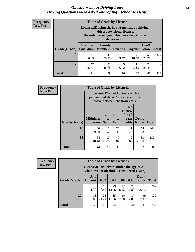#### *Questions about Driving Laws* **62** *Driving Questions were asked only of high school students.*

| <b>Frequency</b> |
|------------------|
| <b>Row Pct</b>   |

| <b>Table of Grade by License1</b> |                                     |                                                                                                                                           |                |               |               |              |  |  |  |  |  |
|-----------------------------------|-------------------------------------|-------------------------------------------------------------------------------------------------------------------------------------------|----------------|---------------|---------------|--------------|--|--|--|--|--|
|                                   |                                     | License1(During the first 6 months of driving<br>with a provisional license,<br>the only passengers who can ride with the<br>driver are:) |                |               |               |              |  |  |  |  |  |
| Grade(Grade)                      | <b>Parent or</b><br><b>Guardian</b> | Family<br><b>Members</b>                                                                                                                  | <b>Friends</b> | <b>Anyone</b> | Don't<br>Know | <b>Total</b> |  |  |  |  |  |
| 10                                | 74<br>36.63                         | 41<br>20.30                                                                                                                               | ℸ<br>3.47      | 21<br>10.40   | 59<br>29.21   | 202          |  |  |  |  |  |
| 12                                | 47<br>35.61                         | 38<br>27<br>9<br>11<br>8.33<br>28.79<br>6.82<br>20.45                                                                                     |                |               |               |              |  |  |  |  |  |
| <b>Total</b>                      | 121                                 | 79                                                                                                                                        | 16             | 32            | 86            | 334          |  |  |  |  |  |

| <b>Frequency</b> |                                                                                                          | <b>Table of Grade by License2</b> |                  |                              |                                                      |               |              |  |  |  |
|------------------|----------------------------------------------------------------------------------------------------------|-----------------------------------|------------------|------------------------------|------------------------------------------------------|---------------|--------------|--|--|--|
| <b>Row Pct</b>   | License2(17 yr old drivers with a<br>provisional driver's license cannot<br>drive between the hours of:) |                                   |                  |                              |                                                      |               |              |  |  |  |
|                  | Grade(Grade)                                                                                             | <b>Midnight</b><br>to 6am         | 1am<br>to<br>5am | 1am<br>t <sub>0</sub><br>6am | N <sub>0</sub><br>curfew<br>for $17$<br>year<br>olds | Don't<br>Know | <b>Total</b> |  |  |  |
|                  | 10                                                                                                       | 80<br>39.60                       | 16<br>7.92       | 21<br>10.40                  | 11<br>5.45                                           | 74<br>36.63   | 202          |  |  |  |
|                  | 12                                                                                                       | 64<br>48.48                       | 17<br>12.88      | 9<br>6.82                    | 9<br>6.82                                            | 33<br>25.00   | 132          |  |  |  |
|                  | <b>Total</b>                                                                                             | 144                               | 33               | 30                           | 20                                                   | 107           | 334          |  |  |  |

| Frequency                                                                                                |              | <b>Table of Grade by License3</b> |             |             |            |             |               |              |  |
|----------------------------------------------------------------------------------------------------------|--------------|-----------------------------------|-------------|-------------|------------|-------------|---------------|--------------|--|
| <b>Row Pct</b><br>License3(For drivers under the age of 21,<br>what level of alcohol is considered DUI?) |              |                                   |             |             |            |             |               |              |  |
|                                                                                                          | Grade(Grade) | Any<br><b>Amount</b>              | 0.02        | 0.04        | 0.06       | 0.08        | Don't<br>know | <b>Total</b> |  |
|                                                                                                          | 10           | 23<br>11.39                       | 17<br>8.42  | 29<br>14.36 | 17<br>8.42 | 24<br>11.88 | 92<br>45.54   | 202          |  |
|                                                                                                          | 12           | 13<br>9.85                        | 28<br>21.21 | 15<br>11.36 | 10<br>7.58 | 17<br>12.88 | 49<br>37.12   | 132          |  |
|                                                                                                          | <b>Total</b> | 36                                | 45          | 44          | 27         | 41          | 141           | 334          |  |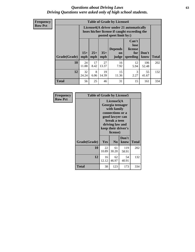#### *Questions about Driving Laws* **63** *Driving Questions were asked only of high school students.*

**Frequency Row Pct**

| <b>Table of Grade by License4</b> |             |                                                                                                                                                                                                                                                                                       |             |            |            |              |     |  |  |
|-----------------------------------|-------------|---------------------------------------------------------------------------------------------------------------------------------------------------------------------------------------------------------------------------------------------------------------------------------------|-------------|------------|------------|--------------|-----|--|--|
|                                   |             | License4(A driver under 21 automatically<br>loses his/her license if caught exceeding the<br>posted speet limit by:)<br>Can't<br>lose<br>license<br><b>Depends</b><br>$15+$<br>$25+$<br>$35+$<br>Don't<br>for<br><b>on</b><br>speeding<br><b>Total</b><br>mph<br>know<br>mph<br>judge |             |            |            |              |     |  |  |
| Grade(Grade)                      | mph         |                                                                                                                                                                                                                                                                                       |             |            |            |              |     |  |  |
| 10                                | 24<br>11.88 | 17<br>8.42                                                                                                                                                                                                                                                                            | 27<br>13.37 | 16<br>7.92 | 12<br>5.94 | 106<br>52.48 | 202 |  |  |
| 12                                | 32<br>24.24 | 19<br>8<br>15<br>55<br>3<br>6.06<br>2.27<br>14.39<br>11.36<br>41.67                                                                                                                                                                                                                   |             |            |            |              |     |  |  |
| <b>Total</b>                      | 56          | 25                                                                                                                                                                                                                                                                                    | 46          | 31         | 15         | 161          | 334 |  |  |

| Frequency      | <b>Table of Grade by License5</b> |             |                                                                                                                                      |                     |       |
|----------------|-----------------------------------|-------------|--------------------------------------------------------------------------------------------------------------------------------------|---------------------|-------|
| <b>Row Pct</b> |                                   |             | License5(A)<br>Georgia teenager<br>with family<br>connections or a<br>good lawyer can<br>break a teen<br>driving law and<br>license) | keep their driver's |       |
|                | Grade(Grade)                      | <b>Yes</b>  | N <sub>0</sub>                                                                                                                       | Don't<br>know       | Total |
|                | 10                                | 22<br>10.89 | 61<br>30.20                                                                                                                          | 119<br>58.91        | 202   |
|                | 12                                | 16<br>12.12 | 62<br>46.97                                                                                                                          | 54<br>40.91         | 132   |
|                | Total                             | 38          | 123                                                                                                                                  | 173                 | 334   |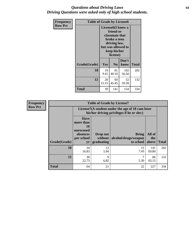#### *Questions about Driving Laws* **64** *Driving Questions were asked only of high school students.*

| <b>Frequency</b> |              | <b>Table of Grade by License6</b>                                                                                                               |                |               |       |  |  |
|------------------|--------------|-------------------------------------------------------------------------------------------------------------------------------------------------|----------------|---------------|-------|--|--|
| <b>Row Pct</b>   |              | License <sub>6</sub> (I know a<br>friend or<br>classmate that<br>broke a teen<br>driving law,<br>but was allowed to<br>keep his/her<br>license) |                |               |       |  |  |
|                  | Grade(Grade) | Yes                                                                                                                                             | N <sub>0</sub> | Don't<br>know | Total |  |  |
|                  | 10           | 19<br>81<br>102<br>40.10<br>50.50<br>9.41                                                                                                       |                |               | 202   |  |  |
|                  | 12           | 20<br>52<br>60<br>39.39<br>15.15<br>45.45                                                                                                       |                |               | 132   |  |  |
|                  | <b>Total</b> | 39                                                                                                                                              | 141            | 154           | 334   |  |  |

| <b>Frequency</b> | <b>Table of Grade by License7</b> |                                                                             |                                     |                                                                                               |                        |              |
|------------------|-----------------------------------|-----------------------------------------------------------------------------|-------------------------------------|-----------------------------------------------------------------------------------------------|------------------------|--------------|
| <b>Row Pct</b>   |                                   |                                                                             |                                     | License7(A student under the age of 18 cam loser<br>his/her driving privileges if he or she:) |                        |              |
|                  | Grade(Grade)                      | <b>Have</b><br>more than<br>10<br>unexcused<br>absences<br>per school<br>yr | Drop out<br>without  <br>graduating | <b>Bring</b><br>alcohol/drugs/weapon<br>to school                                             | All of<br>the<br>above | <b>Total</b> |
|                  | 10                                | 34<br>16.83                                                                 | 12<br>5.94                          | 15<br>7.43                                                                                    | 141<br>69.80           | 202          |
|                  | 12                                | 30<br>22.73                                                                 | 9<br>6.82                           | ⇁<br>5.30                                                                                     | 86<br>65.15            | 132          |
|                  | <b>Total</b>                      | 64                                                                          | 21                                  | 22                                                                                            | 227                    | 334          |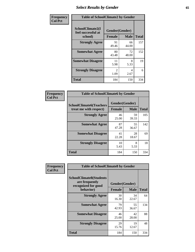# *Select Results by Gender* **65**

| Frequency      | <b>Table of SchoolClimate2 by Gender</b>          |                                 |             |              |
|----------------|---------------------------------------------------|---------------------------------|-------------|--------------|
| <b>Col Pct</b> | SchoolClimate2(I<br>feel successful at<br>school) | Gender(Gender)<br><b>Female</b> | <b>Male</b> | <b>Total</b> |
|                | <b>Strongly Agree</b>                             | 91<br>49.46                     | 66<br>44.00 | 157          |
|                | <b>Somewhat Agree</b>                             | 80<br>43.48                     | 72<br>48.00 | 152          |
|                | <b>Somewhat Disagree</b>                          | 11<br>5.98                      | 8<br>5.33   | 19           |
|                | <b>Strongly Disagree</b>                          | $\mathfrak{D}$<br>1.09          | 4<br>2.67   | 6            |
|                | <b>Total</b>                                      | 184                             | 150         | 334          |

| Frequency      | <b>Table of SchoolClimate6 by Gender</b>                 |                                 |             |              |  |  |
|----------------|----------------------------------------------------------|---------------------------------|-------------|--------------|--|--|
| <b>Col Pct</b> | <b>SchoolClimate6(Teachers</b><br>treat me with respect) | Gender(Gender)<br><b>Female</b> | <b>Male</b> | <b>Total</b> |  |  |
|                | <b>Strongly Agree</b>                                    | 46<br>25.00                     | 59<br>39.33 | 105          |  |  |
|                | <b>Somewhat Agree</b>                                    | 87<br>47.28                     | 55<br>36.67 | 142          |  |  |
|                | <b>Somewhat Disagree</b>                                 | 41<br>22.28                     | 28<br>18.67 | 69           |  |  |
|                | <b>Strongly Disagree</b>                                 | 10<br>5.43                      | 8<br>5.33   | 18           |  |  |
|                | Total                                                    | 184                             | 150         | 334          |  |  |

| Frequency      | <b>Table of SchoolClimate8 by Gender</b>                                             |                                 |                      |              |
|----------------|--------------------------------------------------------------------------------------|---------------------------------|----------------------|--------------|
| <b>Col Pct</b> | <b>SchoolClimate8(Students</b><br>are frequently<br>recognized for good<br>behavior) | Gender(Gender)<br><b>Female</b> | <b>Male</b>          | <b>Total</b> |
|                | <b>Strongly Agree</b>                                                                | 30                              | 34                   | 64           |
|                | <b>Somewhat Agree</b>                                                                | 16.30<br>79<br>42.93            | 22.67<br>55<br>36.67 | 134          |
|                | <b>Somewhat Disagree</b>                                                             | 46<br>25.00                     | 42<br>28.00          | 88           |
|                | <b>Strongly Disagree</b>                                                             | 29<br>15.76                     | 19<br>12.67          | 48           |
|                | Total                                                                                | 184                             | 150                  | 334          |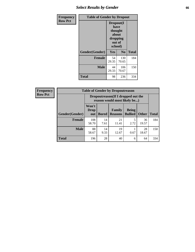# *Select Results by Gender* **66**

| Frequency      | <b>Table of Gender by Dropout</b> |                                                                        |                |              |
|----------------|-----------------------------------|------------------------------------------------------------------------|----------------|--------------|
| <b>Row Pct</b> |                                   | Dropout(I<br>have<br>thought<br>about<br>dropping<br>out of<br>school) |                |              |
|                | Gender(Gender)                    | <b>Yes</b>                                                             | N <sub>0</sub> | <b>Total</b> |
|                | <b>Female</b>                     | 54<br>29.35                                                            | 130<br>70.65   | 184          |
|                | <b>Male</b>                       | 44<br>29.33                                                            | 106<br>70.67   | 150          |
|                | <b>Total</b>                      | 98                                                                     | 236            | 334          |

| <b>Frequency</b> | <b>Table of Gender by Dropoutreason</b> |                                                                    |              |                          |                                |              |              |
|------------------|-----------------------------------------|--------------------------------------------------------------------|--------------|--------------------------|--------------------------------|--------------|--------------|
| <b>Row Pct</b>   |                                         | Dropoutreason(If I dropped out the<br>reason would most likely be) |              |                          |                                |              |              |
|                  | Gender(Gender)                          | Won't<br>Drop<br>out                                               | <b>Bored</b> | Family<br><b>Reasons</b> | <b>Being</b><br><b>Bullied</b> | <b>Other</b> | <b>Total</b> |
|                  | Female                                  | 108<br>58.70                                                       | 14<br>7.61   | 21<br>11.41              | 2.72                           | 36<br>19.57  | 184          |
|                  | <b>Male</b>                             | 88<br>58.67                                                        | 14<br>9.33   | 19<br>12.67              | 0.67                           | 28<br>18.67  | 150          |
|                  | <b>Total</b>                            | 196                                                                | 28           | 40                       | 6                              | 64           | 334          |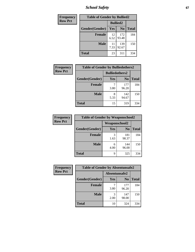*School Safety* **67**

| Frequency      |                | <b>Table of Gender by Bullied2</b> |                |              |
|----------------|----------------|------------------------------------|----------------|--------------|
| <b>Row Pct</b> |                | <b>Bullied2</b>                    |                |              |
|                | Gender(Gender) | Yes                                | N <sub>0</sub> | <b>Total</b> |
|                | Female         | 12<br>6.52                         | 172<br>93.48   | 184          |
|                | <b>Male</b>    | 11<br>7.33                         | 139<br>92.67   | 150          |
|                | Total          | 23                                 | 311            | 334          |

| <b>Frequency</b> | <b>Table of Gender by Bulliedothers2</b> |                       |                |       |
|------------------|------------------------------------------|-----------------------|----------------|-------|
| <b>Row Pct</b>   |                                          | <b>Bulliedothers2</b> |                |       |
|                  | Gender(Gender)                           | <b>Yes</b>            | N <sub>0</sub> | Total |
|                  | <b>Female</b>                            | 3.80                  | 177<br>96.20   | 184   |
|                  | <b>Male</b>                              | 8<br>5.33             | 142<br>94.67   | 150   |
|                  | <b>Total</b>                             | 15                    | 319            | 334   |

| <b>Frequency</b> | <b>Table of Gender by Weaponschool2</b> |                      |                |              |
|------------------|-----------------------------------------|----------------------|----------------|--------------|
| <b>Row Pct</b>   |                                         | <b>Weaponschool2</b> |                |              |
|                  | Gender(Gender)                          | Yes                  | N <sub>0</sub> | <b>Total</b> |
|                  | <b>Female</b>                           | 3<br>1.63            | 181<br>98.37   | 184          |
|                  | <b>Male</b>                             | 6<br>4.00            | 144<br>96.00   | 150          |
|                  | <b>Total</b>                            | q                    | 325            | 334          |

| Frequency      | <b>Table of Gender by Absentunsafe2</b> |               |                |              |
|----------------|-----------------------------------------|---------------|----------------|--------------|
| <b>Row Pct</b> |                                         | Absentunsafe2 |                |              |
|                | Gender(Gender)                          | Yes           | N <sub>0</sub> | <b>Total</b> |
|                | <b>Female</b>                           | 3.80          | 177<br>96.20   | 184          |
|                | <b>Male</b>                             | 2.00          | 147<br>98.00   | 150          |
|                | <b>Total</b>                            | 10            | 324            | 334          |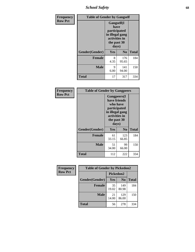*School Safety* **68**

| Frequency      |                | <b>Table of Gender by Gangself</b>                                                                     |                |              |
|----------------|----------------|--------------------------------------------------------------------------------------------------------|----------------|--------------|
| <b>Row Pct</b> |                | <b>Gangself</b> (I<br>have<br>participated<br>in illegal gang<br>activities in<br>the past 30<br>days) |                |              |
|                | Gender(Gender) | Yes                                                                                                    | N <sub>0</sub> | <b>Total</b> |
|                | <b>Female</b>  | 8<br>4.35                                                                                              | 176<br>95.65   | 184          |
|                | <b>Male</b>    | 9<br>6.00                                                                                              | 141<br>94.00   | 150          |
|                | <b>Total</b>   | 17                                                                                                     | 317            | 334          |

| <b>Frequency</b> | <b>Table of Gender by Gangpeers</b>                                                                                         |             |                |              |
|------------------|-----------------------------------------------------------------------------------------------------------------------------|-------------|----------------|--------------|
| <b>Row Pct</b>   | <b>Gangpeers</b> (I<br>have friends<br>who have<br>participated<br>in illegal gang<br>activities in<br>the past 30<br>days) |             |                |              |
|                  | Gender(Gender)                                                                                                              | Yes         | N <sub>0</sub> | <b>Total</b> |
|                  | <b>Female</b>                                                                                                               | 61<br>33.15 | 123<br>66.85   | 184          |
|                  | <b>Male</b>                                                                                                                 | 51<br>34.00 | 99<br>66.00    | 150          |
|                  | Total                                                                                                                       | 112         | 222            | 334          |

| Frequency      | <b>Table of Gender by Pickedon2</b> |             |                |              |
|----------------|-------------------------------------|-------------|----------------|--------------|
| <b>Row Pct</b> |                                     | Pickedon2   |                |              |
|                | Gender(Gender)                      | <b>Yes</b>  | N <sub>0</sub> | <b>Total</b> |
|                | <b>Female</b>                       | 35<br>19.02 | 149<br>80.98   | 184          |
|                | <b>Male</b>                         | 21<br>14.00 | 129<br>86.00   | 150          |
|                | <b>Total</b>                        | 56          | 278            | 334          |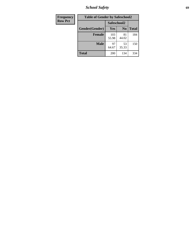*School Safety* **69**

| Frequency      | <b>Table of Gender by Safeschool2</b> |              |                |              |
|----------------|---------------------------------------|--------------|----------------|--------------|
| <b>Row Pct</b> |                                       |              | Safeschool2    |              |
|                | Gender(Gender)                        | <b>Yes</b>   | N <sub>0</sub> | <b>Total</b> |
|                | <b>Female</b>                         | 103<br>55.98 | 81<br>44.02    | 184          |
|                | <b>Male</b>                           | 97<br>64.67  | 53<br>35.33    | 150          |
|                | <b>Total</b>                          | 200          | 134            | 334          |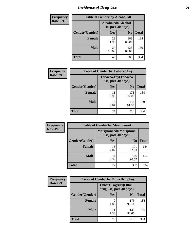# *Incidence of Drug Use* **70**

| <b>Frequency</b> |                                          | <b>Table of Gender by AlcoholAlt</b> |                |              |
|------------------|------------------------------------------|--------------------------------------|----------------|--------------|
| <b>Row Pct</b>   | AlcoholAlt(Alcohol<br>use, past 30 days) |                                      |                |              |
|                  | Gender(Gender)                           | Yes                                  | N <sub>0</sub> | <b>Total</b> |
|                  | <b>Female</b>                            | 22<br>11.96                          | 162<br>88.04   | 184          |
|                  | <b>Male</b>                              | 24<br>16.00                          | 126<br>84.00   | 150          |
|                  | <b>Total</b>                             | 46                                   | 288            | 334          |

| <b>Frequency</b> |                | <b>Table of Gender by TobaccoAny</b> |                    |              |
|------------------|----------------|--------------------------------------|--------------------|--------------|
| <b>Row Pct</b>   |                | use, past 30 days)                   | TobaccoAny(Tobacco |              |
|                  | Gender(Gender) | Yes                                  | N <sub>0</sub>     | <b>Total</b> |
|                  | <b>Female</b>  | 11<br>5.98                           | 173<br>94.02       | 184          |
|                  | Male           | 13<br>8.67                           | 137<br>91.33       | 150          |
|                  | <b>Total</b>   | 24                                   | 310                | 334          |

| <b>Frequency</b> | <b>Table of Gender by MarijuanaAlt</b> |                                              |                |              |
|------------------|----------------------------------------|----------------------------------------------|----------------|--------------|
| <b>Row Pct</b>   |                                        | MarijuanaAlt(Marijuana<br>use, past 30 days) |                |              |
|                  | Gender(Gender)                         | <b>Yes</b>                                   | N <sub>0</sub> | <b>Total</b> |
|                  | <b>Female</b>                          | 13<br>7.07                                   | 171<br>92.93   | 184          |
|                  | <b>Male</b>                            | 14<br>9.33                                   | 136<br>90.67   | 150          |
|                  | <b>Total</b>                           | 27                                           | 307            | 334          |

| <b>Frequency</b> | <b>Table of Gender by OtherDrugAny</b> |                                                      |                |              |
|------------------|----------------------------------------|------------------------------------------------------|----------------|--------------|
| <b>Row Pct</b>   |                                        | <b>OtherDrugAny(Other</b><br>drug use, past 30 days) |                |              |
|                  | Gender(Gender)                         | <b>Yes</b>                                           | N <sub>0</sub> | <b>Total</b> |
|                  | <b>Female</b>                          | 9<br>4.89                                            | 175<br>95.11   | 184          |
|                  | <b>Male</b>                            | 7.33                                                 | 139<br>92.67   | 150          |
|                  | <b>Total</b>                           | 20                                                   | 314            | 334          |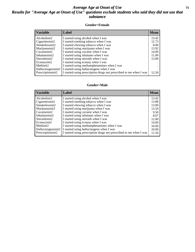### *Average Age at Onset of Use* **71** *Results for "Average Age at Onset of Use" questions exclude students who said they did not use that substance*

#### **Gender=Female**

| <b>Variable</b>    | Label                                                              | <b>Mean</b> |
|--------------------|--------------------------------------------------------------------|-------------|
| Alcoholinit2       | I started using alcohol when I was                                 | 13.42       |
| Cigarettesinit2    | I started smoking tobacco when I was                               | 12.73       |
| Smokelessinit2     | I started chewing tobacco when I was                               | 8.00        |
| Marijuanainit2     | I started using marijuana when I was                               | 13.92       |
| Cocaineinit2       | I started using cocaine when I was                                 | 14.00       |
| Inhalantsinit2     | I started using inhalants when I was                               | 11.00       |
| Steroidsinit2      | I started using steroids when I was                                | 13.00       |
| Ecstasyinit2       | I started using ecstasy when I was                                 |             |
| Methinit2          | I started using methamphetamines when I was                        |             |
| Hallucinogensinit2 | I started using hallucinogens when I was                           |             |
| Prescription in t2 | I started using prescription drugs not prescribed to me when I was | 12.50       |

#### **Gender=Male**

| <b>Variable</b>    | Label                                                              | <b>Mean</b> |
|--------------------|--------------------------------------------------------------------|-------------|
| Alcoholinit2       | I started using alcohol when I was                                 | 13.42       |
| Cigarettesinit2    | I started smoking tobacco when I was                               | 13.88       |
| Smokelessinit2     | I started chewing tobacco when I was                               | 13.00       |
| Marijuanainit2     | I started using marijuana when I was                               | 13.59       |
| Cocaineinit2       | I started using cocaine when I was                                 | 9.50        |
| Inhalantsinit2     | I started using inhalants when I was                               | 8.67        |
| Steroidsinit2      | I started using steroids when I was                                | 12.00       |
| Ecstasyinit2       | I started using ecstasy when I was                                 | 14.00       |
| Methinit2          | I started using methamphetamines when I was                        | 10.00       |
| Hallucinogensinit2 | I started using hallucinogens when I was                           | 10.00       |
| Prescriptioninit2  | I started using prescription drugs not prescribed to me when I was | 11.50       |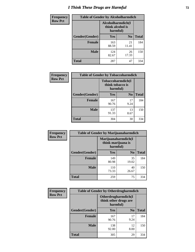# *I Think These Drugs are Harmful* **72**

| <b>Frequency</b> | <b>Table of Gender by Alcoholharmdich</b> |                                                    |                |              |
|------------------|-------------------------------------------|----------------------------------------------------|----------------|--------------|
| <b>Row Pct</b>   |                                           | Alcoholharmdich(I)<br>think alcohol is<br>harmful) |                |              |
|                  | Gender(Gender)                            | Yes                                                | N <sub>0</sub> | <b>Total</b> |
|                  | <b>Female</b>                             | 163<br>88.59                                       | 21<br>11.41    | 184          |
|                  | <b>Male</b>                               | 124<br>82.67                                       | 26<br>17.33    | 150          |
|                  | Total                                     | 287                                                | 47             | 334          |

| Frequency      | <b>Table of Gender by Tobaccoharmdich</b> |                                       |                |              |
|----------------|-------------------------------------------|---------------------------------------|----------------|--------------|
| <b>Row Pct</b> |                                           | Tobaccoharmdich(I<br>think tobacco is | harmful)       |              |
|                | Gender(Gender)                            | <b>Yes</b>                            | N <sub>0</sub> | <b>Total</b> |
|                | <b>Female</b>                             | 167<br>90.76                          | 17<br>9.24     | 184          |
|                | <b>Male</b>                               | 137<br>91.33                          | 13<br>8.67     | 150          |
|                | <b>Total</b>                              | 304                                   | 30             | 334          |

| Frequency      | <b>Table of Gender by Marijuanaharmdich</b> |                                |                     |              |  |
|----------------|---------------------------------------------|--------------------------------|---------------------|--------------|--|
| <b>Row Pct</b> |                                             | think marijuana is<br>harmful) | Marijuanaharmdich(I |              |  |
|                | Gender(Gender)                              | <b>Yes</b>                     | N <sub>0</sub>      | <b>Total</b> |  |
|                | <b>Female</b>                               | 149<br>80.98                   | 35<br>19.02         | 184          |  |
|                | <b>Male</b>                                 | 110<br>73.33                   | 40<br>26.67         | 150          |  |
|                | <b>Total</b>                                | 259                            | 75                  | 334          |  |

| Frequency      | <b>Table of Gender by Otherdrugharmdich</b> |                                   |                     |              |  |
|----------------|---------------------------------------------|-----------------------------------|---------------------|--------------|--|
| <b>Row Pct</b> |                                             | think other drugs are<br>harmful) | Otherdrugharmdich(I |              |  |
|                | Gender(Gender)                              | <b>Yes</b>                        | N <sub>0</sub>      | <b>Total</b> |  |
|                | <b>Female</b>                               | 167<br>90.76                      | 17<br>9.24          | 184          |  |
|                | <b>Male</b>                                 | 138<br>92.00                      | 12<br>8.00          | 150          |  |
|                | <b>Total</b>                                | 305                               | 29                  | 334          |  |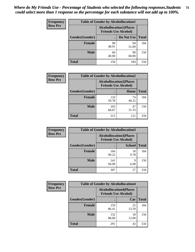| <b>Frequency</b> | <b>Table of Gender by Alcohollocation1</b> |                                                               |             |              |
|------------------|--------------------------------------------|---------------------------------------------------------------|-------------|--------------|
| <b>Row Pct</b>   |                                            | <b>Alcohollocation1(Places</b><br><b>Friends Use Alcohol)</b> |             |              |
|                  | Gender(Gender)                             |                                                               | Do Not Use  | <b>Total</b> |
|                  | <b>Female</b>                              | 90<br>48.91                                                   | 94<br>51.09 | 184          |
|                  | <b>Male</b>                                | 60<br>40.00                                                   | 90<br>60.00 | 150          |
|                  | <b>Total</b>                               | 150                                                           | 184         | 334          |

| <b>Frequency</b> | <b>Table of Gender by Alcohollocation2</b> |                                                               |             |              |
|------------------|--------------------------------------------|---------------------------------------------------------------|-------------|--------------|
| <b>Row Pct</b>   |                                            | <b>Alcohollocation2(Places</b><br><b>Friends Use Alcohol)</b> |             |              |
|                  | Gender(Gender)                             |                                                               | Home        | <b>Total</b> |
|                  | <b>Female</b>                              | 110<br>59.78                                                  | 74<br>40.22 | 184          |
|                  | <b>Male</b>                                | 103<br>68.67                                                  | 47<br>31.33 | 150          |
|                  | <b>Total</b>                               | 213                                                           | 121         | 334          |

| Frequency      | <b>Table of Gender by Alcohollocation3</b> |                                                               |               |              |
|----------------|--------------------------------------------|---------------------------------------------------------------|---------------|--------------|
| <b>Row Pct</b> |                                            | <b>Alcohollocation3(Places</b><br><b>Friends Use Alcohol)</b> |               |              |
|                | Gender(Gender)                             |                                                               | <b>School</b> | <b>Total</b> |
|                | <b>Female</b>                              | 166<br>90.22                                                  | 18<br>9.78    | 184          |
|                | <b>Male</b>                                | 141<br>94.00                                                  | q<br>6.00     | 150          |
|                | <b>Total</b>                               | 307                                                           | 27            | 334          |

| <b>Frequency</b> | <b>Table of Gender by Alcohollocation4</b> |                                                               |             |              |
|------------------|--------------------------------------------|---------------------------------------------------------------|-------------|--------------|
| <b>Row Pct</b>   |                                            | <b>Alcohollocation4(Places</b><br><b>Friends Use Alcohol)</b> |             |              |
|                  | Gender(Gender)                             |                                                               | Car         | <b>Total</b> |
|                  | <b>Female</b>                              | 159<br>86.41                                                  | 25<br>13.59 | 184          |
|                  | <b>Male</b>                                | 132<br>88.00                                                  | 18<br>12.00 | 150          |
|                  | <b>Total</b>                               | 291                                                           | 43          | 334          |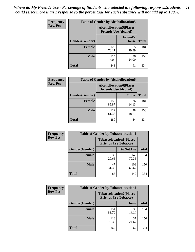| <b>Frequency</b> | <b>Table of Gender by Alcohollocation5</b> |                                                               |                                 |              |
|------------------|--------------------------------------------|---------------------------------------------------------------|---------------------------------|--------------|
| <b>Row Pct</b>   |                                            | <b>Alcohollocation5(Places</b><br><b>Friends Use Alcohol)</b> |                                 |              |
|                  | Gender(Gender)                             |                                                               | <b>Friend's</b><br><b>House</b> | <b>Total</b> |
|                  | <b>Female</b>                              | 129<br>70.11                                                  | 55<br>29.89                     | 184          |
|                  | <b>Male</b>                                | 114<br>76.00                                                  | 36<br>24.00                     | 150          |
|                  | <b>Total</b>                               | 243                                                           | 91                              | 334          |

| <b>Frequency</b> | <b>Table of Gender by Alcohollocation6</b> |              |                                                               |              |
|------------------|--------------------------------------------|--------------|---------------------------------------------------------------|--------------|
| <b>Row Pct</b>   |                                            |              | <b>Alcohollocation6(Places</b><br><b>Friends Use Alcohol)</b> |              |
|                  | Gender(Gender)                             |              | <b>Other</b>                                                  | <b>Total</b> |
|                  | Female                                     | 158<br>85.87 | 26<br>14.13                                                   | 184          |
|                  | <b>Male</b>                                | 122<br>81.33 | 28<br>18.67                                                   | 150          |
|                  | <b>Total</b>                               | 280          | 54                                                            | 334          |

| Frequency      | <b>Table of Gender by Tobaccolocation1</b> |                                                               |              |              |
|----------------|--------------------------------------------|---------------------------------------------------------------|--------------|--------------|
| <b>Row Pct</b> |                                            | <b>Tobaccolocation1(Places</b><br><b>Friends Use Tobacco)</b> |              |              |
|                | Gender(Gender)                             |                                                               | Do Not Use   | <b>Total</b> |
|                | Female                                     | 38<br>20.65                                                   | 146<br>79.35 | 184          |
|                | <b>Male</b>                                | 47<br>31.33                                                   | 103<br>68.67 | 150          |
|                | <b>Total</b>                               | 85                                                            | 249          | 334          |

| <b>Frequency</b> | <b>Table of Gender by Tobaccolocation2</b> |                                                               |             |              |
|------------------|--------------------------------------------|---------------------------------------------------------------|-------------|--------------|
| <b>Row Pct</b>   |                                            | <b>Tobaccolocation2(Places</b><br><b>Friends Use Tobacco)</b> |             |              |
|                  | Gender(Gender)                             |                                                               | Home        | <b>Total</b> |
|                  | Female                                     | 154<br>83.70                                                  | 30<br>16.30 | 184          |
|                  | <b>Male</b>                                | 113<br>75.33                                                  | 37<br>24.67 | 150          |
|                  | <b>Total</b>                               | 267                                                           | 67          | 334          |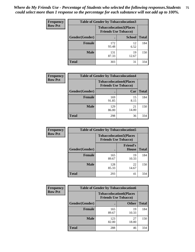| <b>Frequency</b> | <b>Table of Gender by Tobaccolocation3</b> |                                                               |               |              |
|------------------|--------------------------------------------|---------------------------------------------------------------|---------------|--------------|
| <b>Row Pct</b>   |                                            | <b>Tobaccolocation3(Places</b><br><b>Friends Use Tobacco)</b> |               |              |
|                  | Gender(Gender)                             |                                                               | <b>School</b> | <b>Total</b> |
|                  | <b>Female</b>                              | 172<br>93.48                                                  | 12<br>6.52    | 184          |
|                  | <b>Male</b>                                | 131<br>87.33                                                  | 19<br>12.67   | 150          |
|                  | Total                                      | 303                                                           | 31            | 334          |

| <b>Frequency</b> | <b>Table of Gender by Tobaccolocation4</b> |              |                                                               |              |
|------------------|--------------------------------------------|--------------|---------------------------------------------------------------|--------------|
| <b>Row Pct</b>   |                                            |              | <b>Tobaccolocation4(Places</b><br><b>Friends Use Tobacco)</b> |              |
|                  | Gender(Gender)                             |              | Car                                                           | <b>Total</b> |
|                  | <b>Female</b>                              | 169<br>91.85 | 15<br>8.15                                                    | 184          |
|                  | <b>Male</b>                                | 129<br>86.00 | 21<br>14.00                                                   | 150          |
|                  | <b>Total</b>                               | 298          | 36                                                            | 334          |

| <b>Frequency</b> | <b>Table of Gender by Tobaccolocation5</b>                    |              |                          |              |
|------------------|---------------------------------------------------------------|--------------|--------------------------|--------------|
| <b>Row Pct</b>   | <b>Tobaccolocation5(Places</b><br><b>Friends Use Tobacco)</b> |              |                          |              |
|                  | Gender(Gender)                                                |              | <b>Friend's</b><br>House | <b>Total</b> |
|                  | <b>Female</b>                                                 | 165<br>89.67 | 19<br>10.33              | 184          |
|                  | <b>Male</b>                                                   | 128<br>85.33 | 22<br>14.67              | 150          |
|                  | <b>Total</b>                                                  | 293          | 41                       | 334          |

| <b>Frequency</b> | <b>Table of Gender by Tobaccolocation6</b> |                                                               |              |              |
|------------------|--------------------------------------------|---------------------------------------------------------------|--------------|--------------|
| <b>Row Pct</b>   |                                            | <b>Tobaccolocation6(Places</b><br><b>Friends Use Tobacco)</b> |              |              |
|                  | Gender(Gender)                             |                                                               | <b>Other</b> | <b>Total</b> |
|                  | Female                                     | 165<br>89.67                                                  | 19<br>10.33  | 184          |
|                  | <b>Male</b>                                | 123<br>82.00                                                  | 27<br>18.00  | 150          |
|                  | <b>Total</b>                               | 288                                                           | 46           | 334          |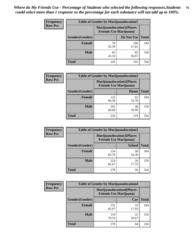| <b>Frequency</b> | <b>Table of Gender by Marijuanalocation1</b> |                                                                    |              |              |
|------------------|----------------------------------------------|--------------------------------------------------------------------|--------------|--------------|
| <b>Row Pct</b>   |                                              | <b>Marijuanalocation1(Places</b><br><b>Friends Use Marijuana</b> ) |              |              |
|                  | Gender(Gender)                               |                                                                    | Do Not Use   | <b>Total</b> |
|                  | <b>Female</b>                                | 78<br>42.39                                                        | 106<br>57.61 | 184          |
|                  | <b>Male</b>                                  | 65<br>43.33                                                        | 85<br>56.67  | 150          |
|                  | <b>Total</b>                                 | 143                                                                | 191          | 334          |

| <b>Frequency</b> | <b>Table of Gender by Marijuanalocation2</b> |                                                                    |             |              |
|------------------|----------------------------------------------|--------------------------------------------------------------------|-------------|--------------|
| <b>Row Pct</b>   |                                              | <b>Marijuanalocation2(Places</b><br><b>Friends Use Marijuana</b> ) |             |              |
|                  | Gender(Gender)                               |                                                                    | Home        | <b>Total</b> |
|                  | Female                                       | 122<br>66.30                                                       | 62<br>33.70 | 184          |
|                  | <b>Male</b>                                  | 102<br>68.00                                                       | 48<br>32.00 | 150          |
|                  | <b>Total</b>                                 | 224                                                                | 110         | 334          |

| Frequency      |                | <b>Table of Gender by Marijuanalocation3</b> |                                                                    |              |
|----------------|----------------|----------------------------------------------|--------------------------------------------------------------------|--------------|
| <b>Row Pct</b> |                |                                              | <b>Marijuanalocation3(Places</b><br><b>Friends Use Marijuana</b> ) |              |
|                | Gender(Gender) |                                              | <b>School</b>                                                      | <b>Total</b> |
|                | Female         | 154<br>83.70                                 | 30<br>16.30                                                        | 184          |
|                | <b>Male</b>    | 124<br>82.67                                 | 26<br>17.33                                                        | 150          |
|                | <b>Total</b>   | 278                                          | 56                                                                 | 334          |

| <b>Frequency</b> | <b>Table of Gender by Marijuanalocation4</b> |                                                                    |             |              |  |
|------------------|----------------------------------------------|--------------------------------------------------------------------|-------------|--------------|--|
| <b>Row Pct</b>   |                                              | <b>Marijuanalocation4(Places</b><br><b>Friends Use Marijuana</b> ) |             |              |  |
|                  | Gender(Gender)                               |                                                                    | Car         | <b>Total</b> |  |
|                  | Female                                       | 151<br>82.07                                                       | 33<br>17.93 | 184          |  |
|                  | <b>Male</b>                                  | 119<br>79.33                                                       | 31<br>20.67 | 150          |  |
|                  | <b>Total</b>                                 | 270                                                                | 64          | 334          |  |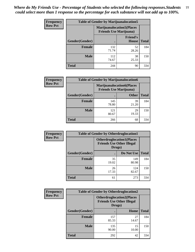| <b>Frequency</b> | <b>Table of Gender by Marijuanalocation5</b> |                                                                     |                          |              |
|------------------|----------------------------------------------|---------------------------------------------------------------------|--------------------------|--------------|
| <b>Row Pct</b>   |                                              | <b>Marijuanalocation5</b> (Places<br><b>Friends Use Marijuana</b> ) |                          |              |
|                  | Gender(Gender)                               |                                                                     | <b>Friend's</b><br>House | <b>Total</b> |
|                  | <b>Female</b>                                | 132<br>71.74                                                        | 52<br>28.26              | 184          |
|                  | <b>Male</b>                                  | 112<br>74.67                                                        | 38<br>25.33              | 150          |
|                  | <b>Total</b>                                 | 244                                                                 | 90                       | 334          |

| <b>Frequency</b> | <b>Table of Gender by Marijuanalocation6</b> |              |                                                                     |              |
|------------------|----------------------------------------------|--------------|---------------------------------------------------------------------|--------------|
| <b>Row Pct</b>   |                                              |              | <b>Marijuanalocation6(Places)</b><br><b>Friends Use Marijuana</b> ) |              |
|                  | Gender(Gender)                               |              | <b>Other</b>                                                        | <b>Total</b> |
|                  | <b>Female</b>                                | 145<br>78.80 | 39<br>21.20                                                         | 184          |
|                  | <b>Male</b>                                  | 121<br>80.67 | 29<br>19.33                                                         | 150          |
|                  | <b>Total</b>                                 | 266          | 68                                                                  | 334          |

| <b>Frequency</b> | <b>Table of Gender by Otherdruglocation1</b> |                                                                                |              |              |
|------------------|----------------------------------------------|--------------------------------------------------------------------------------|--------------|--------------|
| <b>Row Pct</b>   |                                              | <b>Otherdruglocation1(Places</b><br><b>Friends Use Other Illegal</b><br>Drugs) |              |              |
|                  | <b>Gender</b> (Gender)                       |                                                                                | Do Not Use   | <b>Total</b> |
|                  | <b>Female</b>                                | 35<br>19.02                                                                    | 149<br>80.98 | 184          |
|                  | <b>Male</b>                                  | 26<br>17.33                                                                    | 124<br>82.67 | 150          |
|                  | <b>Total</b>                                 | 61                                                                             | 273          | 334          |

| <b>Frequency</b> | <b>Table of Gender by Otherdruglocation2</b> |              |                                                                      |              |
|------------------|----------------------------------------------|--------------|----------------------------------------------------------------------|--------------|
| <b>Row Pct</b>   |                                              | Drugs)       | <b>Otherdruglocation2(Places</b><br><b>Friends Use Other Illegal</b> |              |
|                  | Gender(Gender)                               |              | Home                                                                 | <b>Total</b> |
|                  | <b>Female</b>                                | 157<br>85.33 | 27<br>14.67                                                          | 184          |
|                  | <b>Male</b>                                  | 135<br>90.00 | 15<br>10.00                                                          | 150          |
|                  | <b>Total</b>                                 | 292          | 42                                                                   | 334          |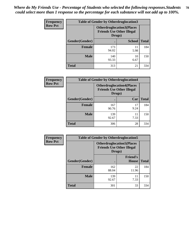| Frequency      | <b>Table of Gender by Otherdruglocation3</b> |                                                                                |               |              |
|----------------|----------------------------------------------|--------------------------------------------------------------------------------|---------------|--------------|
| <b>Row Pct</b> |                                              | <b>Otherdruglocation3(Places</b><br><b>Friends Use Other Illegal</b><br>Drugs) |               |              |
|                | Gender(Gender)                               |                                                                                | <b>School</b> | <b>Total</b> |
|                | <b>Female</b>                                | 173<br>94.02                                                                   | 11<br>5.98    | 184          |
|                | <b>Male</b>                                  | 140<br>93.33                                                                   | 10<br>6.67    | 150          |
|                | <b>Total</b>                                 | 313                                                                            | 21            | 334          |

| Frequency      | <b>Table of Gender by Otherdruglocation4</b> |                                                                                |            |              |
|----------------|----------------------------------------------|--------------------------------------------------------------------------------|------------|--------------|
| <b>Row Pct</b> |                                              | <b>Otherdruglocation4(Places</b><br><b>Friends Use Other Illegal</b><br>Drugs) |            |              |
|                | Gender(Gender)                               |                                                                                | Car        | <b>Total</b> |
|                | <b>Female</b>                                | 167<br>90.76                                                                   | 17<br>9.24 | 184          |
|                | <b>Male</b>                                  | 139<br>92.67                                                                   | 11<br>7.33 | 150          |
|                | <b>Total</b>                                 | 306                                                                            | 28         | 334          |

| Frequency      | <b>Table of Gender by Otherdruglocation5</b>                                   |              |                                 |              |
|----------------|--------------------------------------------------------------------------------|--------------|---------------------------------|--------------|
| <b>Row Pct</b> | <b>Otherdruglocation5(Places</b><br><b>Friends Use Other Illegal</b><br>Drugs) |              |                                 |              |
|                | Gender(Gender)                                                                 |              | <b>Friend's</b><br><b>House</b> | <b>Total</b> |
|                | Female                                                                         | 162<br>88.04 | 22<br>11.96                     | 184          |
|                | <b>Male</b>                                                                    | 139<br>92.67 | 11<br>7.33                      | 150          |
|                | <b>Total</b>                                                                   | 301          | 33                              | 334          |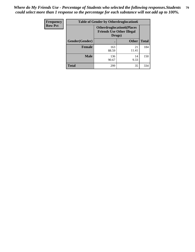| Frequency      | <b>Table of Gender by Otherdruglocation6</b> |                                                                                |              |              |
|----------------|----------------------------------------------|--------------------------------------------------------------------------------|--------------|--------------|
| <b>Row Pct</b> |                                              | <b>Otherdruglocation6(Places</b><br><b>Friends Use Other Illegal</b><br>Drugs) |              |              |
|                | Gender(Gender)                               |                                                                                | <b>Other</b> | <b>Total</b> |
|                | Female                                       | 163<br>88.59                                                                   | 21<br>11.41  | 184          |
|                | <b>Male</b>                                  | 136<br>90.67                                                                   | 14<br>9.33   | 150          |
|                | <b>Total</b>                                 | 299                                                                            | 35           | 334          |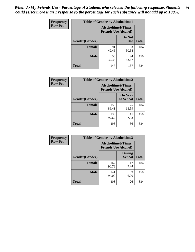| <b>Frequency</b> | <b>Table of Gender by Alcoholtime1</b> |                                                          |                      |              |
|------------------|----------------------------------------|----------------------------------------------------------|----------------------|--------------|
| <b>Row Pct</b>   |                                        | <b>Alcoholtime1(Times</b><br><b>Friends Use Alcohol)</b> |                      |              |
|                  | Gender(Gender)                         | $\bullet$                                                | Do Not<br><b>Use</b> | <b>Total</b> |
|                  | <b>Female</b>                          | 91<br>49.46                                              | 93<br>50.54          | 184          |
|                  | <b>Male</b>                            | 56<br>37.33                                              | 94<br>62.67          | 150          |
|                  | <b>Total</b>                           | 147                                                      | 187                  | 334          |

| <b>Frequency</b> | <b>Table of Gender by Alcoholtime2</b> |                                                          |                            |              |
|------------------|----------------------------------------|----------------------------------------------------------|----------------------------|--------------|
| <b>Row Pct</b>   |                                        | <b>Alcoholtime2(Times</b><br><b>Friends Use Alcohol)</b> |                            |              |
|                  | Gender(Gender)                         |                                                          | <b>On Way</b><br>to School | <b>Total</b> |
|                  | <b>Female</b>                          | 159<br>86.41                                             | 25<br>13.59                | 184          |
|                  | <b>Male</b>                            | 139<br>92.67                                             | 11<br>7.33                 | 150          |
|                  | <b>Total</b>                           | 298                                                      | 36                         | 334          |

| Frequency      | <b>Table of Gender by Alcoholtime3</b> |                                                          |                                |              |
|----------------|----------------------------------------|----------------------------------------------------------|--------------------------------|--------------|
| <b>Row Pct</b> |                                        | <b>Alcoholtime3(Times</b><br><b>Friends Use Alcohol)</b> |                                |              |
|                | Gender(Gender)                         |                                                          | <b>During</b><br><b>School</b> | <b>Total</b> |
|                | Female                                 | 167<br>90.76                                             | 17<br>9.24                     | 184          |
|                | <b>Male</b>                            | 141<br>94.00                                             | 9<br>6.00                      | 150          |
|                | <b>Total</b>                           | 308                                                      | 26                             | 334          |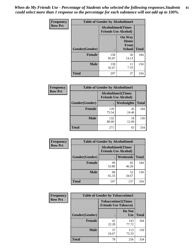*When do My Friends Use - Percentage of Students who selected the following responses.Students could select more than 1 response so the percentage for each substance will not add up to 100%.* **81**

| <b>Frequency</b> | <b>Table of Gender by Alcoholtime4</b> |                                                          |                                                       |              |
|------------------|----------------------------------------|----------------------------------------------------------|-------------------------------------------------------|--------------|
| <b>Row Pct</b>   |                                        | <b>Alcoholtime4(Times</b><br><b>Friends Use Alcohol)</b> |                                                       |              |
|                  | Gender(Gender)                         |                                                          | <b>On Way</b><br>Home<br><b>From</b><br><b>School</b> | <b>Total</b> |
|                  | <b>Female</b>                          | 158<br>85.87                                             | 26<br>14.13                                           | 184          |
|                  | <b>Male</b>                            | 139<br>92.67                                             | 11<br>7.33                                            | 150          |
|                  | <b>Total</b>                           | 297                                                      | 37                                                    | 334          |

| <b>Frequency</b> | <b>Table of Gender by Alcoholtime5</b> |                                                           |             |              |
|------------------|----------------------------------------|-----------------------------------------------------------|-------------|--------------|
| <b>Row Pct</b>   |                                        | <b>Alcoholtime5</b> (Times<br><b>Friends Use Alcohol)</b> |             |              |
|                  | Gender(Gender)                         |                                                           | Weeknights  | <b>Total</b> |
|                  | <b>Female</b>                          | 139<br>75.54                                              | 45<br>24.46 | 184          |
|                  | <b>Male</b>                            | 132<br>88.00                                              | 18<br>12.00 | 150          |
|                  | <b>Total</b>                           | 271                                                       | 63          | 334          |

| <b>Frequency</b> | <b>Table of Gender by Alcoholtime6</b> |             |                                                           |              |
|------------------|----------------------------------------|-------------|-----------------------------------------------------------|--------------|
| <b>Row Pct</b>   |                                        |             | <b>Alcoholtime6</b> (Times<br><b>Friends Use Alcohol)</b> |              |
|                  | Gender(Gender)                         |             | Weekends                                                  | <b>Total</b> |
|                  | Female                                 | 99<br>53.80 | 85<br>46.20                                               | 184          |
|                  | <b>Male</b>                            | 98<br>65.33 | 52<br>34.67                                               | 150          |
|                  | <b>Total</b>                           | 197         | 137                                                       | 334          |

| <b>Frequency</b> | <b>Table of Gender by Tobaccotime1</b> |                                                          |                      |              |
|------------------|----------------------------------------|----------------------------------------------------------|----------------------|--------------|
| <b>Row Pct</b>   |                                        | <b>Tobaccotime1(Times</b><br><b>Friends Use Tobacco)</b> |                      |              |
|                  | Gender(Gender)                         |                                                          | Do Not<br><b>Use</b> | <b>Total</b> |
|                  | <b>Female</b>                          | 41<br>22.28                                              | 143<br>77.72         | 184          |
|                  | <b>Male</b>                            | 37<br>24.67                                              | 113<br>75.33         | 150          |
|                  | <b>Total</b>                           | 78                                                       | 256                  | 334          |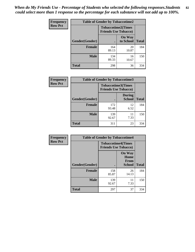*When do My Friends Use - Percentage of Students who selected the following responses.Students could select more than 1 response so the percentage for each substance will not add up to 100%.* **82**

| Frequency      | <b>Table of Gender by Tobaccotime2</b> |                                                          |                            |              |
|----------------|----------------------------------------|----------------------------------------------------------|----------------------------|--------------|
| <b>Row Pct</b> |                                        | <b>Tobaccotime2(Times</b><br><b>Friends Use Tobacco)</b> |                            |              |
|                | Gender(Gender)                         |                                                          | <b>On Way</b><br>to School | <b>Total</b> |
|                | <b>Female</b>                          | 164<br>89.13                                             | 20<br>10.87                | 184          |
|                | <b>Male</b>                            | 134<br>89.33                                             | 16<br>10.67                | 150          |
|                | <b>Total</b>                           | 298                                                      | 36                         | 334          |

| Frequency      | <b>Table of Gender by Tobaccotime3</b> |                                                          |                                |              |
|----------------|----------------------------------------|----------------------------------------------------------|--------------------------------|--------------|
| <b>Row Pct</b> |                                        | <b>Tobaccotime3(Times</b><br><b>Friends Use Tobacco)</b> |                                |              |
|                | Gender(Gender)                         |                                                          | <b>During</b><br><b>School</b> | <b>Total</b> |
|                | <b>Female</b>                          | 172<br>93.48                                             | 12<br>6.52                     | 184          |
|                | <b>Male</b>                            | 139<br>92.67                                             | 11<br>7.33                     | 150          |
|                | <b>Total</b>                           | 311                                                      | 23                             | 334          |

| <b>Frequency</b> | <b>Table of Gender by Tobaccotime4</b> |                                                          |                                                |              |
|------------------|----------------------------------------|----------------------------------------------------------|------------------------------------------------|--------------|
| <b>Row Pct</b>   |                                        | <b>Tobaccotime4(Times</b><br><b>Friends Use Tobacco)</b> |                                                |              |
|                  | Gender(Gender)                         |                                                          | <b>On Way</b><br>Home<br><b>From</b><br>School | <b>Total</b> |
|                  | <b>Female</b>                          | 158<br>85.87                                             | 26<br>14.13                                    | 184          |
|                  | <b>Male</b>                            | 139<br>92.67                                             | 11<br>7.33                                     | 150          |
|                  | <b>Total</b>                           | 297                                                      | 37                                             | 334          |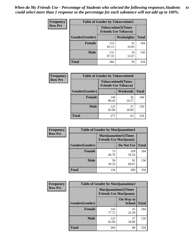| <b>Frequency</b> | <b>Table of Gender by Tobaccotime5</b> |              |                                                           |              |  |
|------------------|----------------------------------------|--------------|-----------------------------------------------------------|--------------|--|
| <b>Row Pct</b>   |                                        |              | <b>Tobaccotime5</b> (Times<br><b>Friends Use Tobacco)</b> |              |  |
|                  | Gender(Gender)                         |              | <b>Weeknights</b>                                         | <b>Total</b> |  |
|                  | <b>Female</b>                          | 153<br>83.15 | 31<br>16.85                                               | 184          |  |
|                  | <b>Male</b>                            | 131<br>87.33 | 19<br>12.67                                               | 150          |  |
|                  | Total                                  | 284          | 50                                                        | 334          |  |

| <b>Frequency</b> | <b>Table of Gender by Tobaccotime6</b> |                                                          |             |              |
|------------------|----------------------------------------|----------------------------------------------------------|-------------|--------------|
| <b>Row Pct</b>   |                                        | <b>Tobaccotime6(Times</b><br><b>Friends Use Tobacco)</b> |             |              |
|                  | Gender(Gender)                         |                                                          | Weekends    | <b>Total</b> |
|                  | <b>Female</b>                          | 148<br>80.43                                             | 36<br>19.57 | 184          |
|                  | <b>Male</b>                            | 123<br>82.00                                             | 27<br>18.00 | 150          |
|                  | <b>Total</b>                           | 271                                                      | 63          | 334          |

| Frequency      |                | <b>Table of Gender by Marijuanatime1</b>                      |              |              |
|----------------|----------------|---------------------------------------------------------------|--------------|--------------|
| <b>Row Pct</b> |                | <b>Marijuanatime1(Times</b><br><b>Friends Use Marijuana</b> ) |              |              |
|                | Gender(Gender) |                                                               | Do Not Use   | <b>Total</b> |
|                | <b>Female</b>  | 75<br>40.76                                                   | 109<br>59.24 | 184          |
|                | <b>Male</b>    | 59<br>39.33                                                   | 91<br>60.67  | 150          |
|                | <b>Total</b>   | 134                                                           | 200          | 334          |

| <b>Frequency</b> | <b>Table of Gender by Marijuanatime2</b> |                                                               |                            |              |
|------------------|------------------------------------------|---------------------------------------------------------------|----------------------------|--------------|
| <b>Row Pct</b>   |                                          | <b>Marijuanatime2(Times</b><br><b>Friends Use Marijuana</b> ) |                            |              |
|                  | Gender(Gender)                           |                                                               | On Way to<br><b>School</b> | <b>Total</b> |
|                  | Female                                   | 143<br>77.72                                                  | 41<br>22.28                | 184          |
|                  | <b>Male</b>                              | 123<br>82.00                                                  | 27<br>18.00                | 150          |
|                  | <b>Total</b>                             | 266                                                           | 68                         | 334          |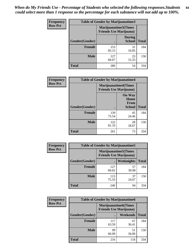*When do My Friends Use - Percentage of Students who selected the following responses.Students could select more than 1 response so the percentage for each substance will not add up to 100%.* **84**

| <b>Frequency</b> | Table of Gender by Marijuanatime3 |                                                        |                                |              |
|------------------|-----------------------------------|--------------------------------------------------------|--------------------------------|--------------|
| <b>Row Pct</b>   |                                   | Marijuanatime3(Times<br><b>Friends Use Marijuana</b> ) |                                |              |
|                  | Gender(Gender)                    |                                                        | <b>During</b><br><b>School</b> | <b>Total</b> |
|                  | <b>Female</b>                     | 153<br>83.15                                           | 31<br>16.85                    | 184          |
|                  | <b>Male</b>                       | 127<br>84.67                                           | 23<br>15.33                    | 150          |
|                  | <b>Total</b>                      | 280                                                    | 54                             | 334          |

| Frequency      | <b>Table of Gender by Marijuanatime4</b> |                             |                                                |              |
|----------------|------------------------------------------|-----------------------------|------------------------------------------------|--------------|
| <b>Row Pct</b> |                                          | <b>Marijuanatime4(Times</b> | <b>Friends Use Marijuana</b> )                 |              |
|                | Gender(Gender)                           |                             | <b>On Way</b><br>Home<br>From<br><b>School</b> | <b>Total</b> |
|                | <b>Female</b>                            | 139<br>75.54                | 45<br>24.46                                    | 184          |
|                | <b>Male</b>                              | 122<br>81.33                | 28<br>18.67                                    | 150          |
|                | <b>Total</b>                             | 261                         | 73                                             | 334          |

| Frequency      | <b>Table of Gender by Marijuanatime5</b> |                                                                |             |              |  |
|----------------|------------------------------------------|----------------------------------------------------------------|-------------|--------------|--|
| <b>Row Pct</b> |                                          | <b>Marijuanatime5</b> (Times<br><b>Friends Use Marijuana</b> ) |             |              |  |
|                | Gender(Gender)                           | ٠                                                              | Weeknights  | <b>Total</b> |  |
|                | <b>Female</b>                            | 127<br>69.02                                                   | 57<br>30.98 | 184          |  |
|                | <b>Male</b>                              | 113<br>75.33                                                   | 37<br>24.67 | 150          |  |
|                | <b>Total</b>                             | 240                                                            | 94          | 334          |  |

| <b>Frequency</b> | <b>Table of Gender by Marijuanatime6</b> |                                                               |                 |              |  |
|------------------|------------------------------------------|---------------------------------------------------------------|-----------------|--------------|--|
| <b>Row Pct</b>   |                                          | <b>Marijuanatime6(Times</b><br><b>Friends Use Marijuana</b> ) |                 |              |  |
|                  | Gender(Gender)                           |                                                               | <b>Weekends</b> | <b>Total</b> |  |
|                  | Female                                   | 117<br>63.59                                                  | 67<br>36.41     | 184          |  |
|                  | <b>Male</b>                              | 99<br>66.00                                                   | 51<br>34.00     | 150          |  |
|                  | <b>Total</b>                             | 216                                                           | 118             | 334          |  |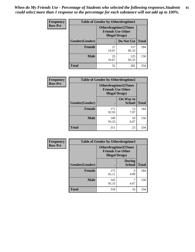*When do My Friends Use - Percentage of Students who selected the following responses.Students could select more than 1 response so the percentage for each substance will not add up to 100%.* **85**

| <b>Frequency</b> | <b>Table of Gender by Otherdrugtime1</b> |                                                    |                              |              |
|------------------|------------------------------------------|----------------------------------------------------|------------------------------|--------------|
| <b>Row Pct</b>   |                                          | <b>Friends Use Other</b><br><b>Illegal Drugs</b> ) | <b>Otherdrugtime1</b> (Times |              |
|                  | Gender(Gender)                           |                                                    | Do Not Use                   | <b>Total</b> |
|                  | <b>Female</b>                            | 27<br>14.67                                        | 157<br>85.33                 | 184          |
|                  | <b>Male</b>                              | 25<br>16.67                                        | 125<br>83.33                 | 150          |
|                  | <b>Total</b>                             | 52                                                 | 282                          | 334          |

| Frequency      | <b>Table of Gender by Otherdrugtime2</b> |                                                                                   |                            |              |  |
|----------------|------------------------------------------|-----------------------------------------------------------------------------------|----------------------------|--------------|--|
| <b>Row Pct</b> |                                          | <b>Otherdrugtime2(Times</b><br><b>Friends Use Other</b><br><b>Illegal Drugs</b> ) |                            |              |  |
|                | Gender(Gender)                           |                                                                                   | On Way to<br><b>School</b> | <b>Total</b> |  |
|                | <b>Female</b>                            | 171<br>92.93                                                                      | 13<br>7.07                 | 184          |  |
|                | <b>Male</b>                              | 140<br>93.33                                                                      | 10<br>6.67                 | 150          |  |
|                | <b>Total</b>                             | 311                                                                               | 23                         | 334          |  |

| Frequency      |                | <b>Table of Gender by Otherdrugtime3</b> |                                                  |              |
|----------------|----------------|------------------------------------------|--------------------------------------------------|--------------|
| <b>Row Pct</b> |                | <b>Illegal Drugs</b> )                   | Otherdrugtime3(Times<br><b>Friends Use Other</b> |              |
|                | Gender(Gender) |                                          | <b>During</b><br><b>School</b>                   | <b>Total</b> |
|                | <b>Female</b>  | 175<br>95.11                             | 9<br>4.89                                        | 184          |
|                | <b>Male</b>    | 143<br>95.33                             | 7<br>4.67                                        | 150          |
|                | <b>Total</b>   | 318                                      | 16                                               | 334          |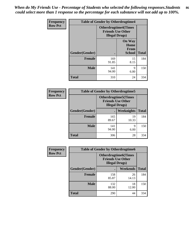*When do My Friends Use - Percentage of Students who selected the following responses.Students could select more than 1 response so the percentage for each substance will not add up to 100%.* **86**

| <b>Frequency</b> | <b>Table of Gender by Otherdrugtime4</b> |                                                    |                                                |              |
|------------------|------------------------------------------|----------------------------------------------------|------------------------------------------------|--------------|
| <b>Row Pct</b>   |                                          | <b>Friends Use Other</b><br><b>Illegal Drugs</b> ) | <b>Otherdrugtime4(Times</b>                    |              |
|                  | Gender(Gender)                           |                                                    | <b>On Way</b><br>Home<br>From<br><b>School</b> | <b>Total</b> |
|                  | Female                                   | 169<br>91.85                                       | 15<br>8.15                                     | 184          |
|                  | <b>Male</b>                              | 141<br>94.00                                       | 9<br>6.00                                      | 150          |
|                  | <b>Total</b>                             | 310                                                | 24                                             | 334          |

| Frequency      | <b>Table of Gender by Otherdrugtime5</b> |                                                                                    |             |              |
|----------------|------------------------------------------|------------------------------------------------------------------------------------|-------------|--------------|
| <b>Row Pct</b> |                                          | <b>Otherdrugtime5</b> (Times<br><b>Friends Use Other</b><br><b>Illegal Drugs</b> ) |             |              |
|                | Gender(Gender)                           |                                                                                    | Weeknights  | <b>Total</b> |
|                | Female                                   | 165<br>89.67                                                                       | 19<br>10.33 | 184          |
|                | <b>Male</b>                              | 141<br>94.00                                                                       | 9<br>6.00   | 150          |
|                | <b>Total</b>                             | 306                                                                                | 28          | 334          |

| <b>Frequency</b> | <b>Table of Gender by Otherdrugtime6</b> |                                                                                   |             |              |
|------------------|------------------------------------------|-----------------------------------------------------------------------------------|-------------|--------------|
| <b>Row Pct</b>   |                                          | <b>Otherdrugtime6(Times</b><br><b>Friends Use Other</b><br><b>Illegal Drugs</b> ) |             |              |
|                  | Gender(Gender)                           |                                                                                   | Weekends    | <b>Total</b> |
|                  | <b>Female</b>                            | 158<br>85.87                                                                      | 26<br>14.13 | 184          |
|                  | <b>Male</b>                              | 132<br>88.00                                                                      | 18<br>12.00 | 150          |
|                  | <b>Total</b>                             | 290                                                                               | 44          | 334          |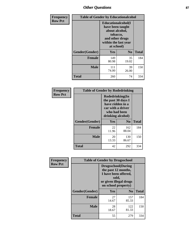## *Other Questions* **87**

| <b>Frequency</b> | <b>Table of Gender by Educationalcohol</b> |                                                                                                                                       |                |              |
|------------------|--------------------------------------------|---------------------------------------------------------------------------------------------------------------------------------------|----------------|--------------|
| <b>Row Pct</b>   |                                            | <b>Educationalcohol</b> (I<br>have been taught<br>about alcohol,<br>tobacco,<br>and other drugs<br>within the last year<br>at school) |                |              |
|                  | Gender(Gender)                             | <b>Yes</b>                                                                                                                            | N <sub>0</sub> | <b>Total</b> |
|                  | <b>Female</b>                              | 149<br>80.98                                                                                                                          | 35<br>19.02    | 184          |
|                  | <b>Male</b>                                | 111<br>74.00                                                                                                                          | 39<br>26.00    | 150          |
|                  | <b>Total</b>                               | 260                                                                                                                                   | 74             | 334          |

| Frequency      | <b>Table of Gender by Rodedrinking</b> |                                                                                                                     |                |              |
|----------------|----------------------------------------|---------------------------------------------------------------------------------------------------------------------|----------------|--------------|
| <b>Row Pct</b> |                                        | Rodedrinking(In<br>the past 30 days I<br>have ridden in a<br>car with a driver<br>who had been<br>drinking alcohol) |                |              |
|                | Gender(Gender)                         | Yes                                                                                                                 | N <sub>0</sub> | <b>Total</b> |
|                | <b>Female</b>                          | 22<br>11.96                                                                                                         | 162<br>88.04   | 184          |
|                | <b>Male</b>                            | 20<br>13.33                                                                                                         | 130<br>86.67   | 150          |
|                | <b>Total</b>                           | 42                                                                                                                  | 292            | 334          |

| Frequency      | <b>Table of Gender by Drugsschool</b> |                                                                                                                                     |                |              |
|----------------|---------------------------------------|-------------------------------------------------------------------------------------------------------------------------------------|----------------|--------------|
| <b>Row Pct</b> |                                       | <b>Drugsschool</b> (During<br>the past 12 months,<br>I have been offered,<br>sold,<br>or given illegal drugs<br>on school property) |                |              |
|                | Gender(Gender)                        | <b>Yes</b>                                                                                                                          | N <sub>0</sub> | <b>Total</b> |
|                | <b>Female</b>                         | 27<br>14.67                                                                                                                         | 157<br>85.33   | 184          |
|                | <b>Male</b>                           | 28<br>18.67                                                                                                                         | 122<br>81.33   | 150          |
|                | <b>Total</b>                          | 55                                                                                                                                  | 279            | 334          |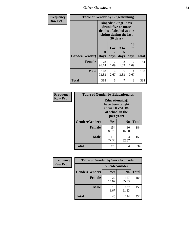*Other Questions* **88**

| <b>Frequency</b> | <b>Table of Gender by Bingedrinking</b> |                                                                                                                       |                   |                   |                               |              |
|------------------|-----------------------------------------|-----------------------------------------------------------------------------------------------------------------------|-------------------|-------------------|-------------------------------|--------------|
| <b>Row Pct</b>   |                                         | <b>Bingedrinking</b> (I have<br>drunk five or more<br>drinks of alcohol at one<br>sitting during the last<br>30 days) |                   |                   |                               |              |
|                  | Gender(Gender)                          | 0<br><b>Days</b>                                                                                                      | 1 or<br>2<br>days | 3 to<br>5<br>days | <b>10</b><br>to<br>19<br>days | <b>Total</b> |
|                  | <b>Female</b>                           | 178<br>96.74                                                                                                          | 2<br>1.09         | 2<br>1.09         | 2<br>1.09                     | 184          |
|                  | <b>Male</b>                             | 140<br>93.33                                                                                                          | 4<br>2.67         | 5<br>3.33         | 0.67                          | 150          |
|                  | <b>Total</b>                            | 318                                                                                                                   | 6                 | 7                 | 3                             | 334          |

| Frequency      | <b>Table of Gender by Educationaids</b> |                                                                                                 |                |              |  |
|----------------|-----------------------------------------|-------------------------------------------------------------------------------------------------|----------------|--------------|--|
| <b>Row Pct</b> |                                         | <b>Educationaids</b> (I<br>have been taught<br>about HIV/AIDS<br>at school in the<br>past year) |                |              |  |
|                | Gender(Gender)                          | <b>Yes</b>                                                                                      | N <sub>0</sub> | <b>Total</b> |  |
|                | <b>Female</b>                           | 154<br>83.70                                                                                    | 30<br>16.30    | 184          |  |
|                | <b>Male</b>                             | 116<br>77.33                                                                                    | 34<br>22.67    | 150          |  |
|                | <b>Total</b>                            | 270                                                                                             | 64             | 334          |  |

| Frequency      | <b>Table of Gender by Suicideconsider</b> |                 |                |              |
|----------------|-------------------------------------------|-----------------|----------------|--------------|
| <b>Row Pct</b> |                                           | Suicideconsider |                |              |
|                | Gender(Gender)                            | <b>Yes</b>      | N <sub>0</sub> | <b>Total</b> |
|                | <b>Female</b>                             | 27<br>14.67     | 157<br>85.33   | 184          |
|                | <b>Male</b>                               | 13<br>8.67      | 137<br>91.33   | 150          |
|                | <b>Total</b>                              | 40              | 294            | 334          |